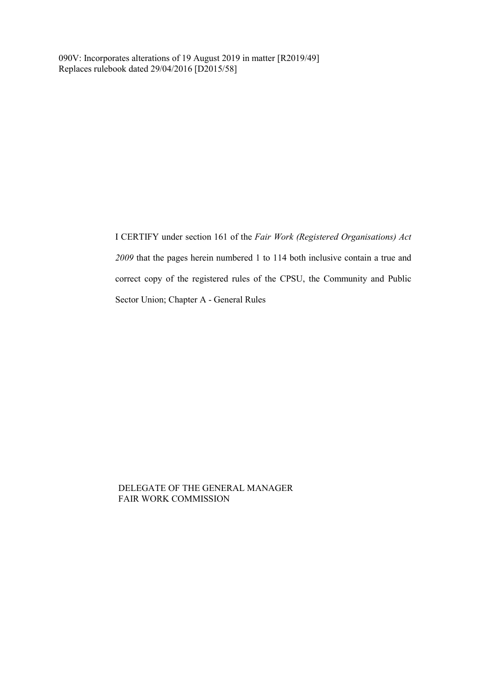090V: Incorporates alterations of 19 August 2019 in matter [R2019/49] Replaces rulebook dated 29/04/2016 [D2015/58]

> I CERTIFY under section 161 of the *Fair Work (Registered Organisations) Act 2009* that the pages herein numbered 1 to 114 both inclusive contain a true and correct copy of the registered rules of the CPSU, the Community and Public Sector Union; Chapter A - General Rules

DELEGATE OF THE GENERAL MANAGER FAIR WORK COMMISSION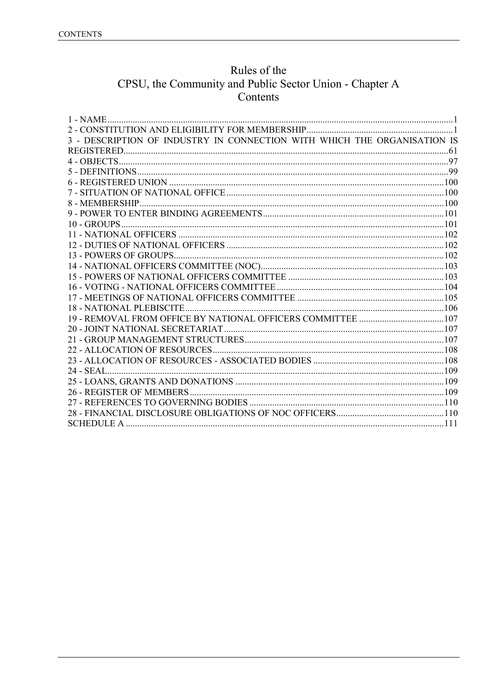# Rules of the CPSU, the Community and Public Sector Union - Chapter A<br>Contents

| 3 - DESCRIPTION OF INDUSTRY IN CONNECTION WITH WHICH THE ORGANISATION IS |  |
|--------------------------------------------------------------------------|--|
|                                                                          |  |
|                                                                          |  |
|                                                                          |  |
|                                                                          |  |
|                                                                          |  |
|                                                                          |  |
|                                                                          |  |
|                                                                          |  |
|                                                                          |  |
|                                                                          |  |
|                                                                          |  |
|                                                                          |  |
|                                                                          |  |
|                                                                          |  |
|                                                                          |  |
|                                                                          |  |
|                                                                          |  |
|                                                                          |  |
|                                                                          |  |
|                                                                          |  |
|                                                                          |  |
|                                                                          |  |
|                                                                          |  |
|                                                                          |  |
|                                                                          |  |
|                                                                          |  |
|                                                                          |  |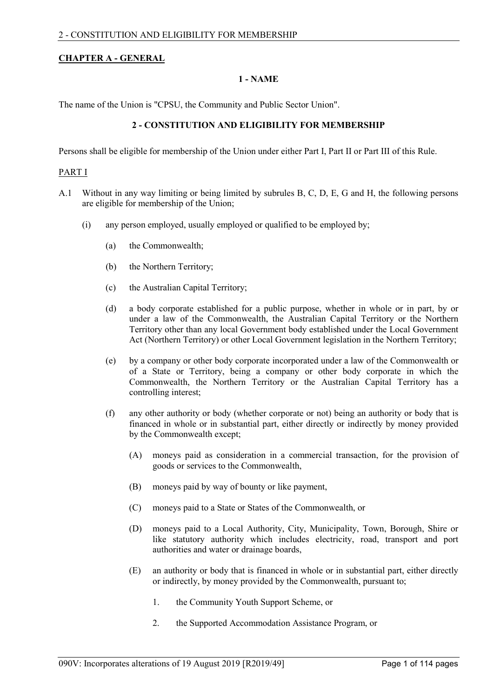# <span id="page-2-0"></span>**CHAPTER A - GENERAL**

# **1 - NAME**

<span id="page-2-1"></span>The name of the Union is "CPSU, the Community and Public Sector Union".

# **2 - CONSTITUTION AND ELIGIBILITY FOR MEMBERSHIP**

Persons shall be eligible for membership of the Union under either Part I, Part II or Part III of this Rule.

#### PART I

- A.1 Without in any way limiting or being limited by subrules B, C, D, E, G and H, the following persons are eligible for membership of the Union;
	- (i) any person employed, usually employed or qualified to be employed by;
		- (a) the Commonwealth;
		- (b) the Northern Territory;
		- (c) the Australian Capital Territory;
		- (d) a body corporate established for a public purpose, whether in whole or in part, by or under a law of the Commonwealth, the Australian Capital Territory or the Northern Territory other than any local Government body established under the Local Government Act (Northern Territory) or other Local Government legislation in the Northern Territory;
		- (e) by a company or other body corporate incorporated under a law of the Commonwealth or of a State or Territory, being a company or other body corporate in which the Commonwealth, the Northern Territory or the Australian Capital Territory has a controlling interest;
		- (f) any other authority or body (whether corporate or not) being an authority or body that is financed in whole or in substantial part, either directly or indirectly by money provided by the Commonwealth except;
			- (A) moneys paid as consideration in a commercial transaction, for the provision of goods or services to the Commonwealth,
			- (B) moneys paid by way of bounty or like payment,
			- (C) moneys paid to a State or States of the Commonwealth, or
			- (D) moneys paid to a Local Authority, City, Municipality, Town, Borough, Shire or like statutory authority which includes electricity, road, transport and port authorities and water or drainage boards,
			- (E) an authority or body that is financed in whole or in substantial part, either directly or indirectly, by money provided by the Commonwealth, pursuant to;
				- 1. the Community Youth Support Scheme, or
				- 2. the Supported Accommodation Assistance Program, or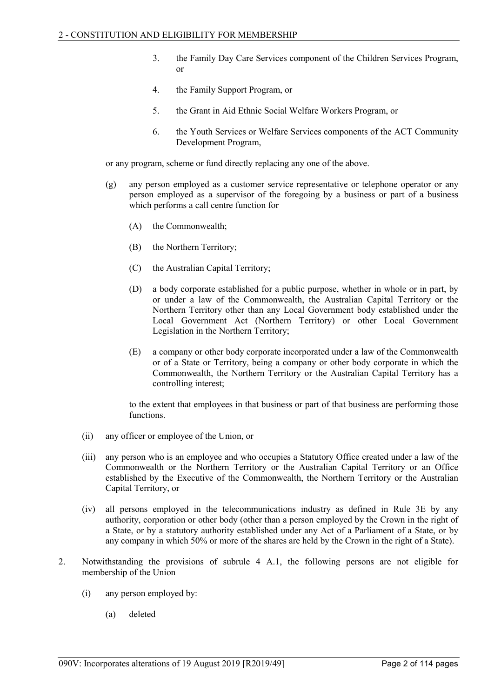- 3. the Family Day Care Services component of the Children Services Program, or
- 4. the Family Support Program, or
- 5. the Grant in Aid Ethnic Social Welfare Workers Program, or
- 6. the Youth Services or Welfare Services components of the ACT Community Development Program,

or any program, scheme or fund directly replacing any one of the above.

- (g) any person employed as a customer service representative or telephone operator or any person employed as a supervisor of the foregoing by a business or part of a business which performs a call centre function for
	- (A) the Commonwealth;
	- (B) the Northern Territory;
	- (C) the Australian Capital Territory;
	- (D) a body corporate established for a public purpose, whether in whole or in part, by or under a law of the Commonwealth, the Australian Capital Territory or the Northern Territory other than any Local Government body established under the Local Government Act (Northern Territory) or other Local Government Legislation in the Northern Territory;
	- (E) a company or other body corporate incorporated under a law of the Commonwealth or of a State or Territory, being a company or other body corporate in which the Commonwealth, the Northern Territory or the Australian Capital Territory has a controlling interest;

to the extent that employees in that business or part of that business are performing those functions.

- (ii) any officer or employee of the Union, or
- (iii) any person who is an employee and who occupies a Statutory Office created under a law of the Commonwealth or the Northern Territory or the Australian Capital Territory or an Office established by the Executive of the Commonwealth, the Northern Territory or the Australian Capital Territory, or
- (iv) all persons employed in the telecommunications industry as defined in Rule 3E by any authority, corporation or other body (other than a person employed by the Crown in the right of a State, or by a statutory authority established under any Act of a Parliament of a State, or by any company in which 50% or more of the shares are held by the Crown in the right of a State).
- 2. Notwithstanding the provisions of subrule 4 A.1, the following persons are not eligible for membership of the Union
	- (i) any person employed by:
		- (a) deleted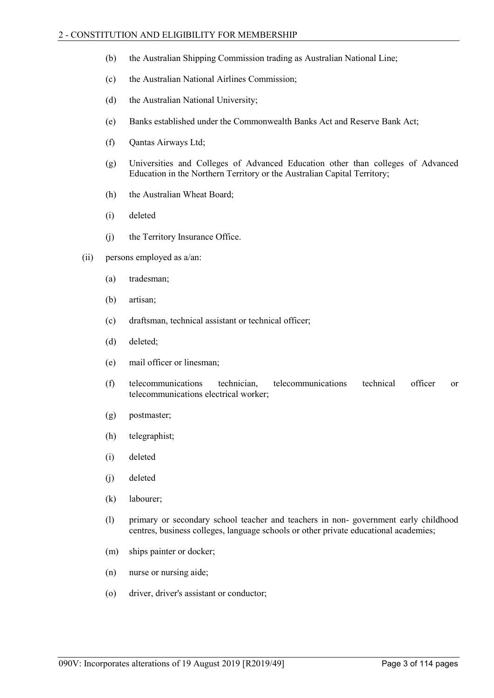- (b) the Australian Shipping Commission trading as Australian National Line;
- (c) the Australian National Airlines Commission;
- (d) the Australian National University;
- (e) Banks established under the Commonwealth Banks Act and Reserve Bank Act;
- (f) Qantas Airways Ltd;
- (g) Universities and Colleges of Advanced Education other than colleges of Advanced Education in the Northern Territory or the Australian Capital Territory;
- (h) the Australian Wheat Board;
- (i) deleted
- (j) the Territory Insurance Office.
- (ii) persons employed as a/an:
	- (a) tradesman;
	- (b) artisan;
	- (c) draftsman, technical assistant or technical officer;
	- (d) deleted;
	- (e) mail officer or linesman;
	- (f) telecommunications technician, telecommunications technical officer or telecommunications electrical worker;
	- (g) postmaster;
	- (h) telegraphist;
	- (i) deleted
	- (j) deleted
	- (k) labourer;
	- (l) primary or secondary school teacher and teachers in non- government early childhood centres, business colleges, language schools or other private educational academies;
	- (m) ships painter or docker;
	- (n) nurse or nursing aide;
	- (o) driver, driver's assistant or conductor;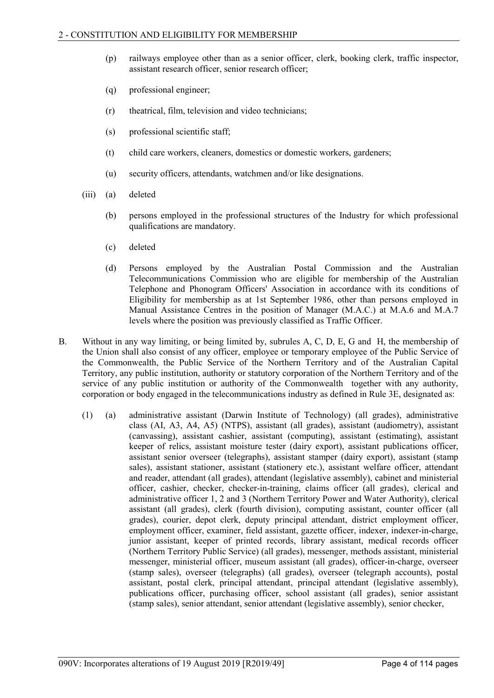- (p) railways employee other than as a senior officer, clerk, booking clerk, traffic inspector, assistant research officer, senior research officer;
- (q) professional engineer;
- (r) theatrical, film, television and video technicians;
- (s) professional scientific staff;
- (t) child care workers, cleaners, domestics or domestic workers, gardeners;
- (u) security officers, attendants, watchmen and/or like designations.
- (iii) (a) deleted
	- (b) persons employed in the professional structures of the Industry for which professional qualifications are mandatory.
	- (c) deleted
	- (d) Persons employed by the Australian Postal Commission and the Australian Telecommunications Commission who are eligible for membership of the Australian Telephone and Phonogram Officers' Association in accordance with its conditions of Eligibility for membership as at 1st September 1986, other than persons employed in Manual Assistance Centres in the position of Manager (M.A.C.) at M.A.6 and M.A.7 levels where the position was previously classified as Traffic Officer.
- B. Without in any way limiting, or being limited by, subrules A, C, D, E, G and H, the membership of the Union shall also consist of any officer, employee or temporary employee of the Public Service of the Commonwealth, the Public Service of the Northern Territory and of the Australian Capital Territory, any public institution, authority or statutory corporation of the Northern Territory and of the service of any public institution or authority of the Commonwealth together with any authority, corporation or body engaged in the telecommunications industry as defined in Rule 3E, designated as:
	- (1) (a) administrative assistant (Darwin Institute of Technology) (all grades), administrative class (AI, A3, A4, A5) (NTPS), assistant (all grades), assistant (audiometry), assistant (canvassing), assistant cashier, assistant (computing), assistant (estimating), assistant keeper of relics, assistant moisture tester (dairy export), assistant publications officer, assistant senior overseer (telegraphs), assistant stamper (dairy export), assistant (stamp sales), assistant stationer, assistant (stationery etc.), assistant welfare officer, attendant and reader, attendant (all grades), attendant (legislative assembly), cabinet and ministerial officer, cashier, checker, checker-in-training, claims officer (all grades), clerical and administrative officer 1, 2 and 3 (Northern Territory Power and Water Authority), clerical assistant (all grades), clerk (fourth division), computing assistant, counter officer (all grades), courier, depot clerk, deputy principal attendant, district employment officer, employment officer, examiner, field assistant, gazette officer, indexer, indexer-in-charge, junior assistant, keeper of printed records, library assistant, medical records officer (Northern Territory Public Service) (all grades), messenger, methods assistant, ministerial messenger, ministerial officer, museum assistant (all grades), officer-in-charge, overseer (stamp sales), overseer (telegraphs) (all grades), overseer (telegraph accounts), postal assistant, postal clerk, principal attendant, principal attendant (legislative assembly), publications officer, purchasing officer, school assistant (all grades), senior assistant (stamp sales), senior attendant, senior attendant (legislative assembly), senior checker,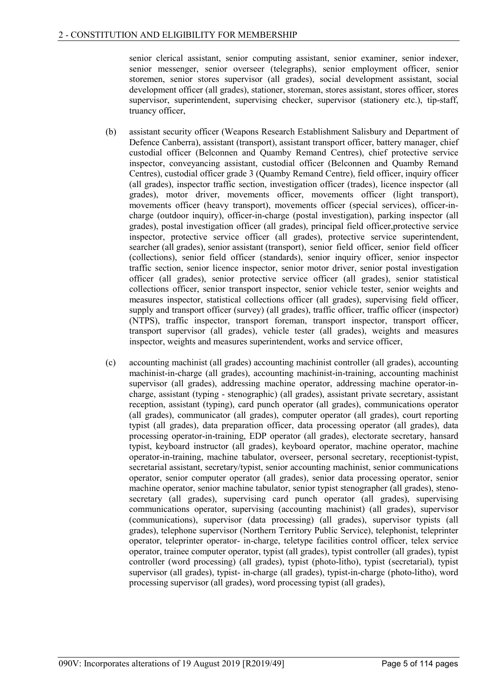senior clerical assistant, senior computing assistant, senior examiner, senior indexer, senior messenger, senior overseer (telegraphs), senior employment officer, senior storemen, senior stores supervisor (all grades), social development assistant, social development officer (all grades), stationer, storeman, stores assistant, stores officer, stores supervisor, superintendent, supervising checker, supervisor (stationery etc.), tip-staff, truancy officer,

- (b) assistant security officer (Weapons Research Establishment Salisbury and Department of Defence Canberra), assistant (transport), assistant transport officer, battery manager, chief custodial officer (Belconnen and Quamby Remand Centres), chief protective service inspector, conveyancing assistant, custodial officer (Belconnen and Quamby Remand Centres), custodial officer grade 3 (Quamby Remand Centre), field officer, inquiry officer (all grades), inspector traffic section, investigation officer (trades), licence inspector (all grades), motor driver, movements officer, movements officer (light transport), movements officer (heavy transport), movements officer (special services), officer-incharge (outdoor inquiry), officer-in-charge (postal investigation), parking inspector (all grades), postal investigation officer (all grades), principal field officer,protective service inspector, protective service officer (all grades), protective service superintendent, searcher (all grades), senior assistant (transport), senior field officer, senior field officer (collections), senior field officer (standards), senior inquiry officer, senior inspector traffic section, senior licence inspector, senior motor driver, senior postal investigation officer (all grades), senior protective service officer (all grades), senior statistical collections officer, senior transport inspector, senior vehicle tester, senior weights and measures inspector, statistical collections officer (all grades), supervising field officer, supply and transport officer (survey) (all grades), traffic officer, traffic officer (inspector) (NTPS), traffic inspector, transport foreman, transport inspector, transport officer, transport supervisor (all grades), vehicle tester (all grades), weights and measures inspector, weights and measures superintendent, works and service officer,
- (c) accounting machinist (all grades) accounting machinist controller (all grades), accounting machinist-in-charge (all grades), accounting machinist-in-training, accounting machinist supervisor (all grades), addressing machine operator, addressing machine operator-incharge, assistant (typing - stenographic) (all grades), assistant private secretary, assistant reception, assistant (typing), card punch operator (all grades), communications operator (all grades), communicator (all grades), computer operator (all grades), court reporting typist (all grades), data preparation officer, data processing operator (all grades), data processing operator-in-training, EDP operator (all grades), electorate secretary, hansard typist, keyboard instructor (all grades), keyboard operator, machine operator, machine operator-in-training, machine tabulator, overseer, personal secretary, receptionist-typist, secretarial assistant, secretary/typist, senior accounting machinist, senior communications operator, senior computer operator (all grades), senior data processing operator, senior machine operator, senior machine tabulator, senior typist stenographer (all grades), stenosecretary (all grades), supervising card punch operator (all grades), supervising communications operator, supervising (accounting machinist) (all grades), supervisor (communications), supervisor (data processing) (all grades), supervisor typists (all grades), telephone supervisor (Northern Territory Public Service), telephonist, teleprinter operator, teleprinter operator- in-charge, teletype facilities control officer, telex service operator, trainee computer operator, typist (all grades), typist controller (all grades), typist controller (word processing) (all grades), typist (photo-litho), typist (secretarial), typist supervisor (all grades), typist- in-charge (all grades), typist-in-charge (photo-litho), word processing supervisor (all grades), word processing typist (all grades),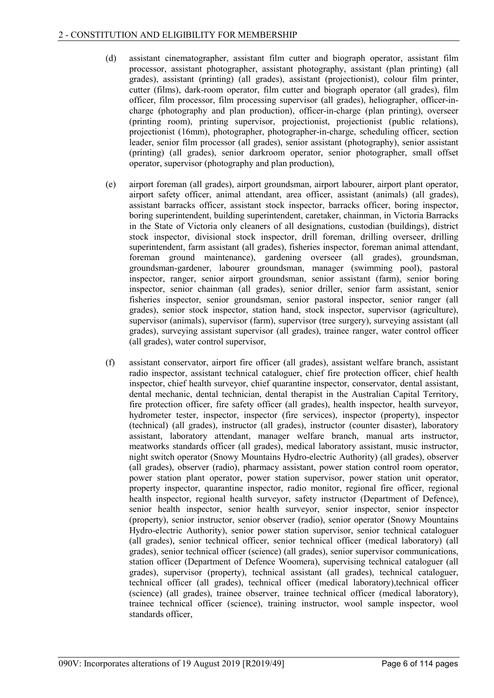- (d) assistant cinematographer, assistant film cutter and biograph operator, assistant film processor, assistant photographer, assistant photography, assistant (plan printing) (all grades), assistant (printing) (all grades), assistant (projectionist), colour film printer, cutter (films), dark-room operator, film cutter and biograph operator (all grades), film officer, film processor, film processing supervisor (all grades), heliographer, officer-incharge (photography and plan production), officer-in-charge (plan printing), overseer (printing room), printing supervisor, projectionist, projectionist (public relations), projectionist (16mm), photographer, photographer-in-charge, scheduling officer, section leader, senior film processor (all grades), senior assistant (photography), senior assistant (printing) (all grades), senior darkroom operator, senior photographer, small offset operator, supervisor (photography and plan production),
- (e) airport foreman (all grades), airport groundsman, airport labourer, airport plant operator, airport safety officer, animal attendant, area officer, assistant (animals) (all grades), assistant barracks officer, assistant stock inspector, barracks officer, boring inspector, boring superintendent, building superintendent, caretaker, chainman, in Victoria Barracks in the State of Victoria only cleaners of all designations, custodian (buildings), district stock inspector, divisional stock inspector, drill foreman, drilling overseer, drilling superintendent, farm assistant (all grades), fisheries inspector, foreman animal attendant, foreman ground maintenance), gardening overseer (all grades), groundsman, groundsman-gardener, labourer groundsman, manager (swimming pool), pastoral inspector, ranger, senior airport groundsman, senior assistant (farm), senior boring inspector, senior chainman (all grades), senior driller, senior farm assistant, senior fisheries inspector, senior groundsman, senior pastoral inspector, senior ranger (all grades), senior stock inspector, station hand, stock inspector, supervisor (agriculture), supervisor (animals), supervisor (farm), supervisor (tree surgery), surveying assistant (all grades), surveying assistant supervisor (all grades), trainee ranger, water control officer (all grades), water control supervisor,
- (f) assistant conservator, airport fire officer (all grades), assistant welfare branch, assistant radio inspector, assistant technical cataloguer, chief fire protection officer, chief health inspector, chief health surveyor, chief quarantine inspector, conservator, dental assistant, dental mechanic, dental technician, dental therapist in the Australian Capital Territory, fire protection officer, fire safety officer (all grades), health inspector, health surveyor, hydrometer tester, inspector, inspector (fire services), inspector (property), inspector (technical) (all grades), instructor (all grades), instructor (counter disaster), laboratory assistant, laboratory attendant, manager welfare branch, manual arts instructor, meatworks standards officer (all grades), medical laboratory assistant, music instructor, night switch operator (Snowy Mountains Hydro-electric Authority) (all grades), observer (all grades), observer (radio), pharmacy assistant, power station control room operator, power station plant operator, power station supervisor, power station unit operator, property inspector, quarantine inspector, radio monitor, regional fire officer, regional health inspector, regional health surveyor, safety instructor (Department of Defence), senior health inspector, senior health surveyor, senior inspector, senior inspector (property), senior instructor, senior observer (radio), senior operator (Snowy Mountains Hydro-electric Authority), senior power station supervisor, senior technical cataloguer (all grades), senior technical officer, senior technical officer (medical laboratory) (all grades), senior technical officer (science) (all grades), senior supervisor communications, station officer (Department of Defence Woomera), supervising technical cataloguer (all grades), supervisor (property), technical assistant (all grades), technical cataloguer, technical officer (all grades), technical officer (medical laboratory),technical officer (science) (all grades), trainee observer, trainee technical officer (medical laboratory), trainee technical officer (science), training instructor, wool sample inspector, wool standards officer,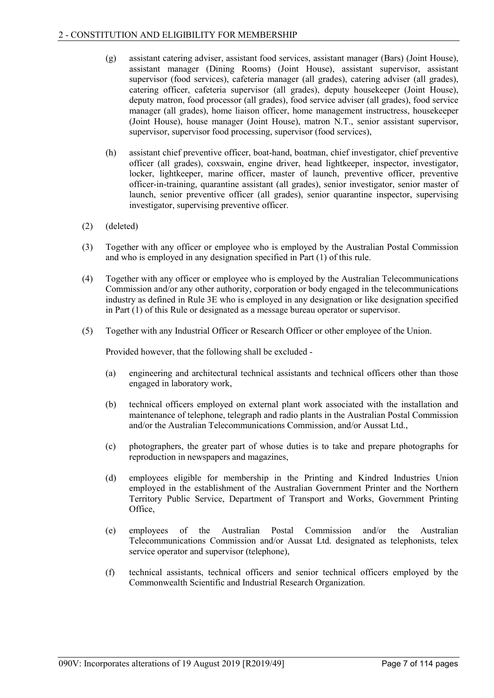- (g) assistant catering adviser, assistant food services, assistant manager (Bars) (Joint House), assistant manager (Dining Rooms) (Joint House), assistant supervisor, assistant supervisor (food services), cafeteria manager (all grades), catering adviser (all grades), catering officer, cafeteria supervisor (all grades), deputy housekeeper (Joint House), deputy matron, food processor (all grades), food service adviser (all grades), food service manager (all grades), home liaison officer, home management instructress, housekeeper (Joint House), house manager (Joint House), matron N.T., senior assistant supervisor, supervisor, supervisor food processing, supervisor (food services),
- (h) assistant chief preventive officer, boat-hand, boatman, chief investigator, chief preventive officer (all grades), coxswain, engine driver, head lightkeeper, inspector, investigator, locker, lightkeeper, marine officer, master of launch, preventive officer, preventive officer-in-training, quarantine assistant (all grades), senior investigator, senior master of launch, senior preventive officer (all grades), senior quarantine inspector, supervising investigator, supervising preventive officer.
- (2) (deleted)
- (3) Together with any officer or employee who is employed by the Australian Postal Commission and who is employed in any designation specified in Part (1) of this rule.
- (4) Together with any officer or employee who is employed by the Australian Telecommunications Commission and/or any other authority, corporation or body engaged in the telecommunications industry as defined in Rule 3E who is employed in any designation or like designation specified in Part (1) of this Rule or designated as a message bureau operator or supervisor.
- (5) Together with any Industrial Officer or Research Officer or other employee of the Union.

Provided however, that the following shall be excluded -

- (a) engineering and architectural technical assistants and technical officers other than those engaged in laboratory work,
- (b) technical officers employed on external plant work associated with the installation and maintenance of telephone, telegraph and radio plants in the Australian Postal Commission and/or the Australian Telecommunications Commission, and/or Aussat Ltd.,
- (c) photographers, the greater part of whose duties is to take and prepare photographs for reproduction in newspapers and magazines,
- (d) employees eligible for membership in the Printing and Kindred Industries Union employed in the establishment of the Australian Government Printer and the Northern Territory Public Service, Department of Transport and Works, Government Printing Office,
- (e) employees of the Australian Postal Commission and/or the Australian Telecommunications Commission and/or Aussat Ltd. designated as telephonists, telex service operator and supervisor (telephone),
- (f) technical assistants, technical officers and senior technical officers employed by the Commonwealth Scientific and Industrial Research Organization.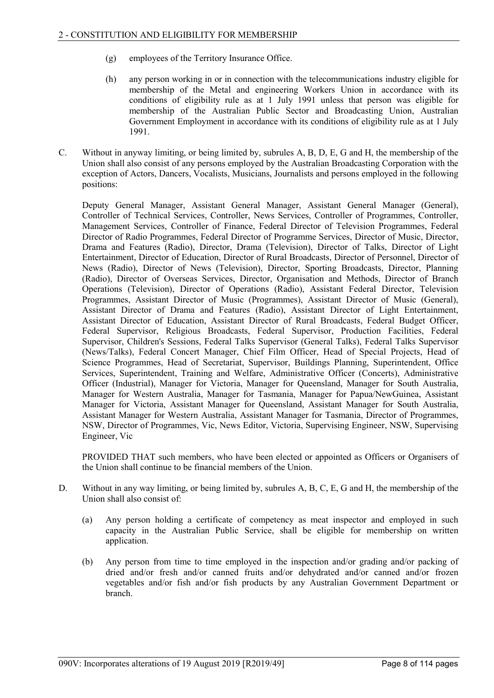- (g) employees of the Territory Insurance Office.
- (h) any person working in or in connection with the telecommunications industry eligible for membership of the Metal and engineering Workers Union in accordance with its conditions of eligibility rule as at 1 July 1991 unless that person was eligible for membership of the Australian Public Sector and Broadcasting Union, Australian Government Employment in accordance with its conditions of eligibility rule as at 1 July 1991.
- C. Without in anyway limiting, or being limited by, subrules A, B, D, E, G and H, the membership of the Union shall also consist of any persons employed by the Australian Broadcasting Corporation with the exception of Actors, Dancers, Vocalists, Musicians, Journalists and persons employed in the following positions:

Deputy General Manager, Assistant General Manager, Assistant General Manager (General), Controller of Technical Services, Controller, News Services, Controller of Programmes, Controller, Management Services, Controller of Finance, Federal Director of Television Programmes, Federal Director of Radio Programmes, Federal Director of Programme Services, Director of Music, Director, Drama and Features (Radio), Director, Drama (Television), Director of Talks, Director of Light Entertainment, Director of Education, Director of Rural Broadcasts, Director of Personnel, Director of News (Radio), Director of News (Television), Director, Sporting Broadcasts, Director, Planning (Radio), Director of Overseas Services, Director, Organisation and Methods, Director of Branch Operations (Television), Director of Operations (Radio), Assistant Federal Director, Television Programmes, Assistant Director of Music (Programmes), Assistant Director of Music (General), Assistant Director of Drama and Features (Radio), Assistant Director of Light Entertainment, Assistant Director of Education, Assistant Director of Rural Broadcasts, Federal Budget Officer, Federal Supervisor, Religious Broadcasts, Federal Supervisor, Production Facilities, Federal Supervisor, Children's Sessions, Federal Talks Supervisor (General Talks), Federal Talks Supervisor (News/Talks), Federal Concert Manager, Chief Film Officer, Head of Special Projects, Head of Science Programmes, Head of Secretariat, Supervisor, Buildings Planning, Superintendent, Office Services, Superintendent, Training and Welfare, Administrative Officer (Concerts), Administrative Officer (Industrial), Manager for Victoria, Manager for Queensland, Manager for South Australia, Manager for Western Australia, Manager for Tasmania, Manager for Papua/NewGuinea, Assistant Manager for Victoria, Assistant Manager for Queensland, Assistant Manager for South Australia, Assistant Manager for Western Australia, Assistant Manager for Tasmania, Director of Programmes, NSW, Director of Programmes, Vic, News Editor, Victoria, Supervising Engineer, NSW, Supervising Engineer, Vic

PROVIDED THAT such members, who have been elected or appointed as Officers or Organisers of the Union shall continue to be financial members of the Union.

- D. Without in any way limiting, or being limited by, subrules A, B, C, E, G and H, the membership of the Union shall also consist of:
	- (a) Any person holding a certificate of competency as meat inspector and employed in such capacity in the Australian Public Service, shall be eligible for membership on written application.
	- (b) Any person from time to time employed in the inspection and/or grading and/or packing of dried and/or fresh and/or canned fruits and/or dehydrated and/or canned and/or frozen vegetables and/or fish and/or fish products by any Australian Government Department or branch.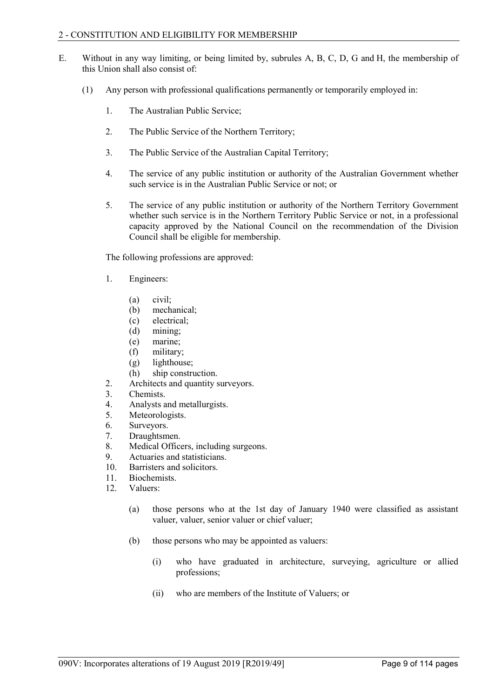- E. Without in any way limiting, or being limited by, subrules A, B, C, D, G and H, the membership of this Union shall also consist of:
	- (1) Any person with professional qualifications permanently or temporarily employed in:
		- 1. The Australian Public Service;
		- 2. The Public Service of the Northern Territory;
		- 3. The Public Service of the Australian Capital Territory;
		- 4. The service of any public institution or authority of the Australian Government whether such service is in the Australian Public Service or not; or
		- 5. The service of any public institution or authority of the Northern Territory Government whether such service is in the Northern Territory Public Service or not, in a professional capacity approved by the National Council on the recommendation of the Division Council shall be eligible for membership.

The following professions are approved:

- 1. Engineers:
	- (a) civil;
	- (b) mechanical;
	- (c) electrical;
	- (d) mining;
	- (e) marine;
	- (f) military;
	- (g) lighthouse;
	- (h) ship construction.
- 2. Architects and quantity surveyors.
- 3. Chemists.
- 4. Analysts and metallurgists.
- 5. Meteorologists.
- 6. Surveyors.
- 7. Draughtsmen.
- 8. Medical Officers, including surgeons.
- 9. Actuaries and statisticians.
- 10. Barristers and solicitors.
- 11. Biochemists.<br>12. Valuers:
- Valuers:
	- (a) those persons who at the 1st day of January 1940 were classified as assistant valuer, valuer, senior valuer or chief valuer;
	- (b) those persons who may be appointed as valuers:
		- (i) who have graduated in architecture, surveying, agriculture or allied professions;
		- (ii) who are members of the Institute of Valuers; or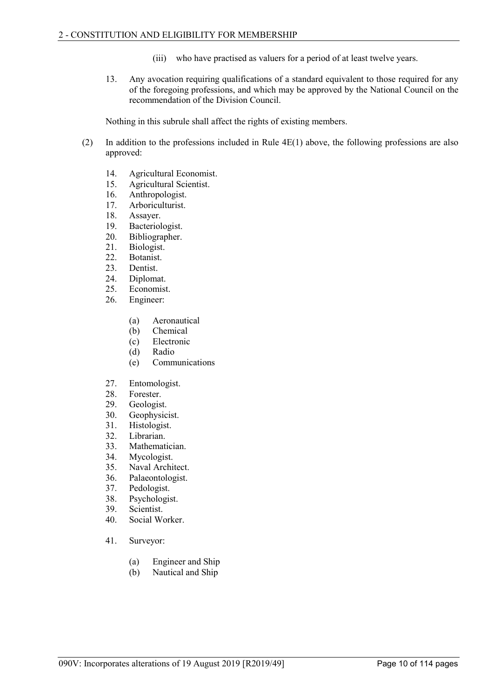- (iii) who have practised as valuers for a period of at least twelve years.
- 13. Any avocation requiring qualifications of a standard equivalent to those required for any of the foregoing professions, and which may be approved by the National Council on the recommendation of the Division Council.

Nothing in this subrule shall affect the rights of existing members.

- (2) In addition to the professions included in Rule 4E(1) above, the following professions are also approved:
	- 14. Agricultural Economist.
	- 15. Agricultural Scientist.
	- 16. Anthropologist.
	- 17. Arboriculturist.
	- 18. Assayer.
	- 19. Bacteriologist.
	- 20. Bibliographer.
	- 21. Biologist.<br>22. Botanist.
	- Botanist.
	- 23. Dentist.
	- 24. Diplomat.
	- 25. Economist.
	- 26. Engineer:
		- (a) Aeronautical
		- (b) Chemical
		- (c) Electronic
		- (d) Radio
		- (e) Communications
	- 27. Entomologist.
	-
	- 28. Forester.<br>29. Geologist 29. Geologist.<br>30. Geophysic
	- 30. Geophysicist.<br>31. Histologist.
	- Histologist.
	- 32. Librarian.
	- 33. Mathematician.
	- 34. Mycologist.
	- 35. Naval Architect.
	- 36. Palaeontologist.<br>37. Pedologist.
	- Pedologist.
	- 38. Psychologist.
	- 39. Scientist.
	- 40. Social Worker.
	- 41. Surveyor:
		- (a) Engineer and Ship
		- (b) Nautical and Ship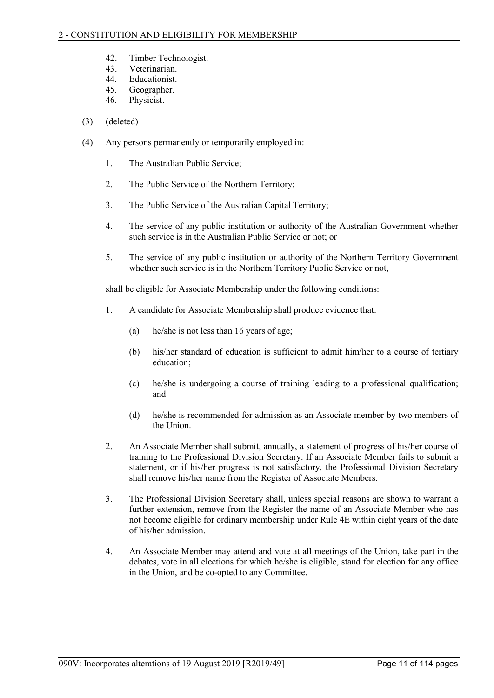- 42. Timber Technologist.
- 43. Veterinarian.
- 44. Educationist.<br>45 Geographer
- Geographer.
- 46. Physicist.
- (3) (deleted)
- (4) Any persons permanently or temporarily employed in:
	- 1. The Australian Public Service;
	- 2. The Public Service of the Northern Territory;
	- 3. The Public Service of the Australian Capital Territory;
	- 4. The service of any public institution or authority of the Australian Government whether such service is in the Australian Public Service or not; or
	- 5. The service of any public institution or authority of the Northern Territory Government whether such service is in the Northern Territory Public Service or not,

shall be eligible for Associate Membership under the following conditions:

- 1. A candidate for Associate Membership shall produce evidence that:
	- (a) he/she is not less than 16 years of age;
	- (b) his/her standard of education is sufficient to admit him/her to a course of tertiary education;
	- (c) he/she is undergoing a course of training leading to a professional qualification; and
	- (d) he/she is recommended for admission as an Associate member by two members of the Union.
- 2. An Associate Member shall submit, annually, a statement of progress of his/her course of training to the Professional Division Secretary. If an Associate Member fails to submit a statement, or if his/her progress is not satisfactory, the Professional Division Secretary shall remove his/her name from the Register of Associate Members.
- 3. The Professional Division Secretary shall, unless special reasons are shown to warrant a further extension, remove from the Register the name of an Associate Member who has not become eligible for ordinary membership under Rule 4E within eight years of the date of his/her admission.
- 4. An Associate Member may attend and vote at all meetings of the Union, take part in the debates, vote in all elections for which he/she is eligible, stand for election for any office in the Union, and be co-opted to any Committee.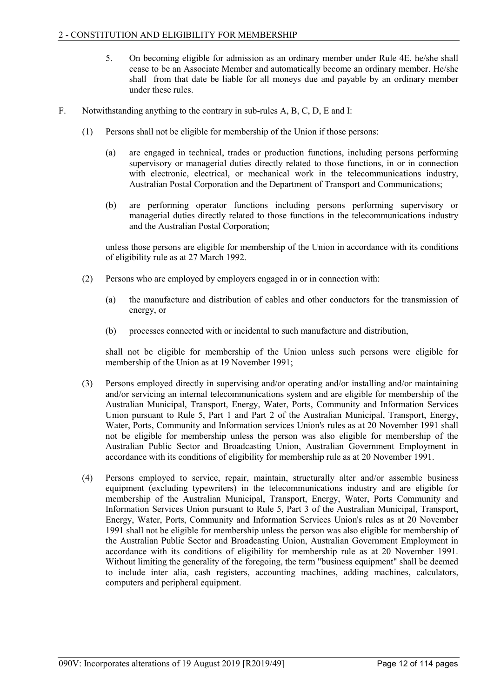- 5. On becoming eligible for admission as an ordinary member under Rule 4E, he/she shall cease to be an Associate Member and automatically become an ordinary member. He/she shall from that date be liable for all moneys due and payable by an ordinary member under these rules.
- F. Notwithstanding anything to the contrary in sub-rules A, B, C, D, E and I:
	- (1) Persons shall not be eligible for membership of the Union if those persons:
		- (a) are engaged in technical, trades or production functions, including persons performing supervisory or managerial duties directly related to those functions, in or in connection with electronic, electrical, or mechanical work in the telecommunications industry, Australian Postal Corporation and the Department of Transport and Communications;
		- (b) are performing operator functions including persons performing supervisory or managerial duties directly related to those functions in the telecommunications industry and the Australian Postal Corporation;

unless those persons are eligible for membership of the Union in accordance with its conditions of eligibility rule as at 27 March 1992.

- (2) Persons who are employed by employers engaged in or in connection with:
	- (a) the manufacture and distribution of cables and other conductors for the transmission of energy, or
	- (b) processes connected with or incidental to such manufacture and distribution,

shall not be eligible for membership of the Union unless such persons were eligible for membership of the Union as at 19 November 1991;

- (3) Persons employed directly in supervising and/or operating and/or installing and/or maintaining and/or servicing an internal telecommunications system and are eligible for membership of the Australian Municipal, Transport, Energy, Water, Ports, Community and Information Services Union pursuant to Rule 5, Part 1 and Part 2 of the Australian Municipal, Transport, Energy, Water, Ports, Community and Information services Union's rules as at 20 November 1991 shall not be eligible for membership unless the person was also eligible for membership of the Australian Public Sector and Broadcasting Union, Australian Government Employment in accordance with its conditions of eligibility for membership rule as at 20 November 1991.
- (4) Persons employed to service, repair, maintain, structurally alter and/or assemble business equipment (excluding typewriters) in the telecommunications industry and are eligible for membership of the Australian Municipal, Transport, Energy, Water, Ports Community and Information Services Union pursuant to Rule 5, Part 3 of the Australian Municipal, Transport, Energy, Water, Ports, Community and Information Services Union's rules as at 20 November 1991 shall not be eligible for membership unless the person was also eligible for membership of the Australian Public Sector and Broadcasting Union, Australian Government Employment in accordance with its conditions of eligibility for membership rule as at 20 November 1991. Without limiting the generality of the foregoing, the term "business equipment" shall be deemed to include inter alia, cash registers, accounting machines, adding machines, calculators, computers and peripheral equipment.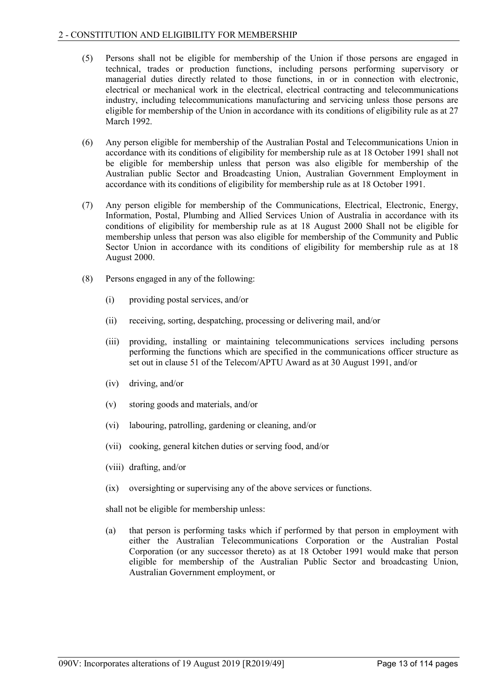- (5) Persons shall not be eligible for membership of the Union if those persons are engaged in technical, trades or production functions, including persons performing supervisory or managerial duties directly related to those functions, in or in connection with electronic, electrical or mechanical work in the electrical, electrical contracting and telecommunications industry, including telecommunications manufacturing and servicing unless those persons are eligible for membership of the Union in accordance with its conditions of eligibility rule as at 27 March 1992.
- (6) Any person eligible for membership of the Australian Postal and Telecommunications Union in accordance with its conditions of eligibility for membership rule as at 18 October 1991 shall not be eligible for membership unless that person was also eligible for membership of the Australian public Sector and Broadcasting Union, Australian Government Employment in accordance with its conditions of eligibility for membership rule as at 18 October 1991.
- (7) Any person eligible for membership of the Communications, Electrical, Electronic, Energy, Information, Postal, Plumbing and Allied Services Union of Australia in accordance with its conditions of eligibility for membership rule as at 18 August 2000 Shall not be eligible for membership unless that person was also eligible for membership of the Community and Public Sector Union in accordance with its conditions of eligibility for membership rule as at 18 August 2000.
- (8) Persons engaged in any of the following:
	- (i) providing postal services, and/or
	- (ii) receiving, sorting, despatching, processing or delivering mail, and/or
	- (iii) providing, installing or maintaining telecommunications services including persons performing the functions which are specified in the communications officer structure as set out in clause 51 of the Telecom/APTU Award as at 30 August 1991, and/or
	- (iv) driving, and/or
	- (v) storing goods and materials, and/or
	- (vi) labouring, patrolling, gardening or cleaning, and/or
	- (vii) cooking, general kitchen duties or serving food, and/or
	- (viii) drafting, and/or
	- (ix) oversighting or supervising any of the above services or functions.

shall not be eligible for membership unless:

(a) that person is performing tasks which if performed by that person in employment with either the Australian Telecommunications Corporation or the Australian Postal Corporation (or any successor thereto) as at 18 October 1991 would make that person eligible for membership of the Australian Public Sector and broadcasting Union, Australian Government employment, or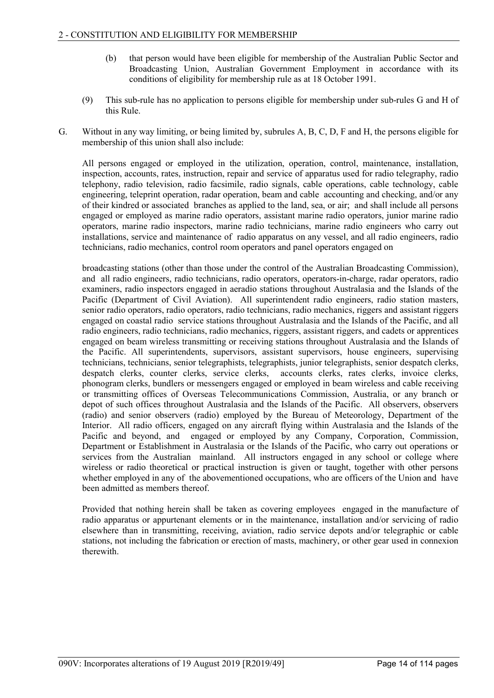- (b) that person would have been eligible for membership of the Australian Public Sector and Broadcasting Union, Australian Government Employment in accordance with its conditions of eligibility for membership rule as at 18 October 1991.
- (9) This sub-rule has no application to persons eligible for membership under sub-rules G and H of this Rule.
- G. Without in any way limiting, or being limited by, subrules A, B, C, D, F and H, the persons eligible for membership of this union shall also include:

All persons engaged or employed in the utilization, operation, control, maintenance, installation, inspection, accounts, rates, instruction, repair and service of apparatus used for radio telegraphy, radio telephony, radio television, radio facsimile, radio signals, cable operations, cable technology, cable engineering, teleprint operation, radar operation, beam and cable accounting and checking, and/or any of their kindred or associated branches as applied to the land, sea, or air; and shall include all persons engaged or employed as marine radio operators, assistant marine radio operators, junior marine radio operators, marine radio inspectors, marine radio technicians, marine radio engineers who carry out installations, service and maintenance of radio apparatus on any vessel, and all radio engineers, radio technicians, radio mechanics, control room operators and panel operators engaged on

broadcasting stations (other than those under the control of the Australian Broadcasting Commission), and all radio engineers, radio technicians, radio operators, operators-in-charge, radar operators, radio examiners, radio inspectors engaged in aeradio stations throughout Australasia and the Islands of the Pacific (Department of Civil Aviation). All superintendent radio engineers, radio station masters, senior radio operators, radio operators, radio technicians, radio mechanics, riggers and assistant riggers engaged on coastal radio service stations throughout Australasia and the Islands of the Pacific, and all radio engineers, radio technicians, radio mechanics, riggers, assistant riggers, and cadets or apprentices engaged on beam wireless transmitting or receiving stations throughout Australasia and the Islands of the Pacific. All superintendents, supervisors, assistant supervisors, house engineers, supervising technicians, technicians, senior telegraphists, telegraphists, junior telegraphists, senior despatch clerks, despatch clerks, counter clerks, service clerks, accounts clerks, rates clerks, invoice clerks, phonogram clerks, bundlers or messengers engaged or employed in beam wireless and cable receiving or transmitting offices of Overseas Telecommunications Commission, Australia, or any branch or depot of such offices throughout Australasia and the Islands of the Pacific. All observers, observers (radio) and senior observers (radio) employed by the Bureau of Meteorology, Department of the Interior. All radio officers, engaged on any aircraft flying within Australasia and the Islands of the Pacific and beyond, and engaged or employed by any Company, Corporation, Commission, Department or Establishment in Australasia or the Islands of the Pacific, who carry out operations or services from the Australian mainland. All instructors engaged in any school or college where wireless or radio theoretical or practical instruction is given or taught, together with other persons whether employed in any of the abovementioned occupations, who are officers of the Union and have been admitted as members thereof.

Provided that nothing herein shall be taken as covering employees engaged in the manufacture of radio apparatus or appurtenant elements or in the maintenance, installation and/or servicing of radio elsewhere than in transmitting, receiving, aviation, radio service depots and/or telegraphic or cable stations, not including the fabrication or erection of masts, machinery, or other gear used in connexion therewith.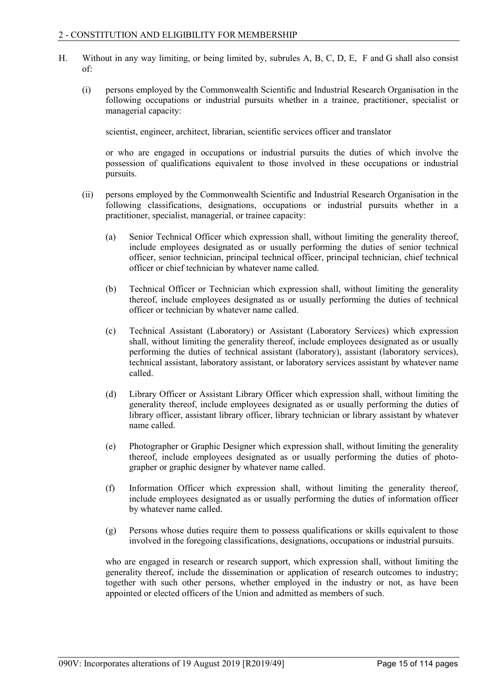- H. Without in any way limiting, or being limited by, subrules A, B, C, D, E, F and G shall also consist of:
	- (i) persons employed by the Commonwealth Scientific and Industrial Research Organisation in the following occupations or industrial pursuits whether in a trainee, practitioner, specialist or managerial capacity:

scientist, engineer, architect, librarian, scientific services officer and translator

or who are engaged in occupations or industrial pursuits the duties of which involve the possession of qualifications equivalent to those involved in these occupations or industrial pursuits.

- (ii) persons employed by the Commonwealth Scientific and Industrial Research Organisation in the following classifications, designations, occupations or industrial pursuits whether in a practitioner, specialist, managerial, or trainee capacity:
	- (a) Senior Technical Officer which expression shall, without limiting the generality thereof, include employees designated as or usually performing the duties of senior technical officer, senior technician, principal technical officer, principal technician, chief technical officer or chief technician by whatever name called.
	- (b) Technical Officer or Technician which expression shall, without limiting the generality thereof, include employees designated as or usually performing the duties of technical officer or technician by whatever name called.
	- (c) Technical Assistant (Laboratory) or Assistant (Laboratory Services) which expression shall, without limiting the generality thereof, include employees designated as or usually performing the duties of technical assistant (laboratory), assistant (laboratory services), technical assistant, laboratory assistant, or laboratory services assistant by whatever name called.
	- (d) Library Officer or Assistant Library Officer which expression shall, without limiting the generality thereof, include employees designated as or usually performing the duties of library officer, assistant library officer, library technician or library assistant by whatever name called.
	- (e) Photographer or Graphic Designer which expression shall, without limiting the generality thereof, include employees designated as or usually performing the duties of photographer or graphic designer by whatever name called.
	- (f) Information Officer which expression shall, without limiting the generality thereof, include employees designated as or usually performing the duties of information officer by whatever name called.
	- (g) Persons whose duties require them to possess qualifications or skills equivalent to those involved in the foregoing classifications, designations, occupations or industrial pursuits.

who are engaged in research or research support, which expression shall, without limiting the generality thereof, include the dissemination or application of research outcomes to industry; together with such other persons, whether employed in the industry or not, as have been appointed or elected officers of the Union and admitted as members of such.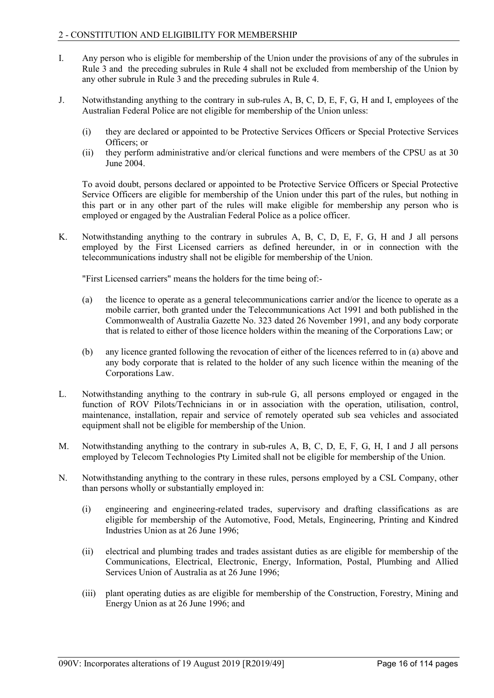- I. Any person who is eligible for membership of the Union under the provisions of any of the subrules in Rule 3 and the preceding subrules in Rule 4 shall not be excluded from membership of the Union by any other subrule in Rule 3 and the preceding subrules in Rule 4.
- J. Notwithstanding anything to the contrary in sub-rules A, B, C, D, E, F, G, H and I, employees of the Australian Federal Police are not eligible for membership of the Union unless:
	- (i) they are declared or appointed to be Protective Services Officers or Special Protective Services Officers; or
	- (ii) they perform administrative and/or clerical functions and were members of the CPSU as at 30 June 2004.

To avoid doubt, persons declared or appointed to be Protective Service Officers or Special Protective Service Officers are eligible for membership of the Union under this part of the rules, but nothing in this part or in any other part of the rules will make eligible for membership any person who is employed or engaged by the Australian Federal Police as a police officer.

K. Notwithstanding anything to the contrary in subrules A, B, C, D, E, F, G, H and J all persons employed by the First Licensed carriers as defined hereunder, in or in connection with the telecommunications industry shall not be eligible for membership of the Union.

"First Licensed carriers" means the holders for the time being of:-

- (a) the licence to operate as a general telecommunications carrier and/or the licence to operate as a mobile carrier, both granted under the Telecommunications Act 1991 and both published in the Commonwealth of Australia Gazette No. 323 dated 26 November 1991, and any body corporate that is related to either of those licence holders within the meaning of the Corporations Law; or
- (b) any licence granted following the revocation of either of the licences referred to in (a) above and any body corporate that is related to the holder of any such licence within the meaning of the Corporations Law.
- L. Notwithstanding anything to the contrary in sub-rule G, all persons employed or engaged in the function of ROV Pilots/Technicians in or in association with the operation, utilisation, control, maintenance, installation, repair and service of remotely operated sub sea vehicles and associated equipment shall not be eligible for membership of the Union.
- M. Notwithstanding anything to the contrary in sub-rules A, B, C, D, E, F, G, H, I and J all persons employed by Telecom Technologies Pty Limited shall not be eligible for membership of the Union.
- N. Notwithstanding anything to the contrary in these rules, persons employed by a CSL Company, other than persons wholly or substantially employed in:
	- (i) engineering and engineering-related trades, supervisory and drafting classifications as are eligible for membership of the Automotive, Food, Metals, Engineering, Printing and Kindred Industries Union as at 26 June 1996;
	- (ii) electrical and plumbing trades and trades assistant duties as are eligible for membership of the Communications, Electrical, Electronic, Energy, Information, Postal, Plumbing and Allied Services Union of Australia as at 26 June 1996;
	- (iii) plant operating duties as are eligible for membership of the Construction, Forestry, Mining and Energy Union as at 26 June 1996; and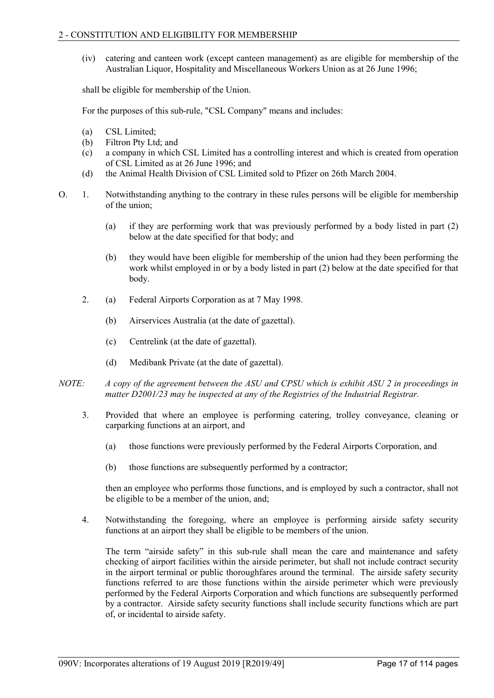(iv) catering and canteen work (except canteen management) as are eligible for membership of the Australian Liquor, Hospitality and Miscellaneous Workers Union as at 26 June 1996;

shall be eligible for membership of the Union.

For the purposes of this sub-rule, "CSL Company" means and includes:

- (a) CSL Limited;
- (b) Filtron Pty Ltd; and
- (c) a company in which CSL Limited has a controlling interest and which is created from operation of CSL Limited as at 26 June 1996; and
- (d) the Animal Health Division of CSL Limited sold to Pfizer on 26th March 2004.
- O. 1. Notwithstanding anything to the contrary in these rules persons will be eligible for membership of the union;
	- (a) if they are performing work that was previously performed by a body listed in part (2) below at the date specified for that body; and
	- (b) they would have been eligible for membership of the union had they been performing the work whilst employed in or by a body listed in part (2) below at the date specified for that body.
	- 2. (a) Federal Airports Corporation as at 7 May 1998.
		- (b) Airservices Australia (at the date of gazettal).
		- (c) Centrelink (at the date of gazettal).
		- (d) Medibank Private (at the date of gazettal).
- *NOTE: A copy of the agreement between the ASU and CPSU which is exhibit ASU 2 in proceedings in matter D2001/23 may be inspected at any of the Registries of the Industrial Registrar.*
	- 3. Provided that where an employee is performing catering, trolley conveyance, cleaning or carparking functions at an airport, and
		- (a) those functions were previously performed by the Federal Airports Corporation, and
		- (b) those functions are subsequently performed by a contractor;

then an employee who performs those functions, and is employed by such a contractor, shall not be eligible to be a member of the union, and;

4. Notwithstanding the foregoing, where an employee is performing airside safety security functions at an airport they shall be eligible to be members of the union.

The term "airside safety" in this sub-rule shall mean the care and maintenance and safety checking of airport facilities within the airside perimeter, but shall not include contract security in the airport terminal or public thoroughfares around the terminal. The airside safety security functions referred to are those functions within the airside perimeter which were previously performed by the Federal Airports Corporation and which functions are subsequently performed by a contractor. Airside safety security functions shall include security functions which are part of, or incidental to airside safety.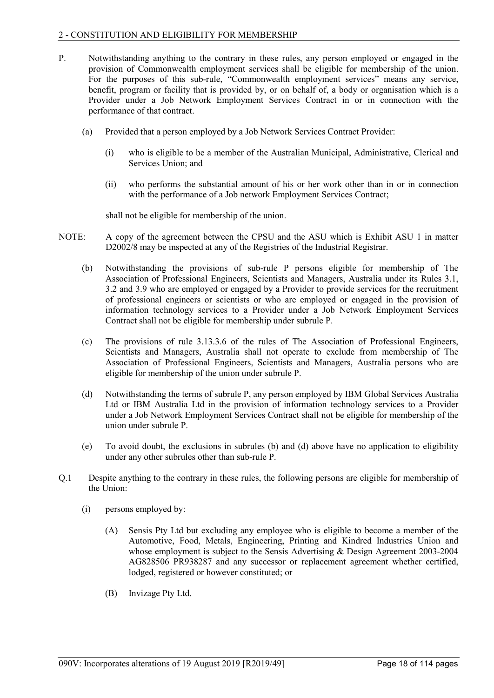- P. Notwithstanding anything to the contrary in these rules, any person employed or engaged in the provision of Commonwealth employment services shall be eligible for membership of the union. For the purposes of this sub-rule, "Commonwealth employment services" means any service, benefit, program or facility that is provided by, or on behalf of, a body or organisation which is a Provider under a Job Network Employment Services Contract in or in connection with the performance of that contract.
	- (a) Provided that a person employed by a Job Network Services Contract Provider:
		- (i) who is eligible to be a member of the Australian Municipal, Administrative, Clerical and Services Union; and
		- (ii) who performs the substantial amount of his or her work other than in or in connection with the performance of a Job network Employment Services Contract;

shall not be eligible for membership of the union.

- NOTE: A copy of the agreement between the CPSU and the ASU which is Exhibit ASU 1 in matter D2002/8 may be inspected at any of the Registries of the Industrial Registrar.
	- (b) Notwithstanding the provisions of sub-rule P persons eligible for membership of The Association of Professional Engineers, Scientists and Managers, Australia under its Rules 3.1, 3.2 and 3.9 who are employed or engaged by a Provider to provide services for the recruitment of professional engineers or scientists or who are employed or engaged in the provision of information technology services to a Provider under a Job Network Employment Services Contract shall not be eligible for membership under subrule P.
	- (c) The provisions of rule 3.13.3.6 of the rules of The Association of Professional Engineers, Scientists and Managers, Australia shall not operate to exclude from membership of The Association of Professional Engineers, Scientists and Managers, Australia persons who are eligible for membership of the union under subrule P.
	- (d) Notwithstanding the terms of subrule P, any person employed by IBM Global Services Australia Ltd or IBM Australia Ltd in the provision of information technology services to a Provider under a Job Network Employment Services Contract shall not be eligible for membership of the union under subrule P.
	- (e) To avoid doubt, the exclusions in subrules (b) and (d) above have no application to eligibility under any other subrules other than sub-rule P.
- Q.1 Despite anything to the contrary in these rules, the following persons are eligible for membership of the Union:
	- (i) persons employed by:
		- (A) Sensis Pty Ltd but excluding any employee who is eligible to become a member of the Automotive, Food, Metals, Engineering, Printing and Kindred Industries Union and whose employment is subject to the Sensis Advertising & Design Agreement 2003-2004 AG828506 PR938287 and any successor or replacement agreement whether certified, lodged, registered or however constituted; or
		- (B) Invizage Pty Ltd.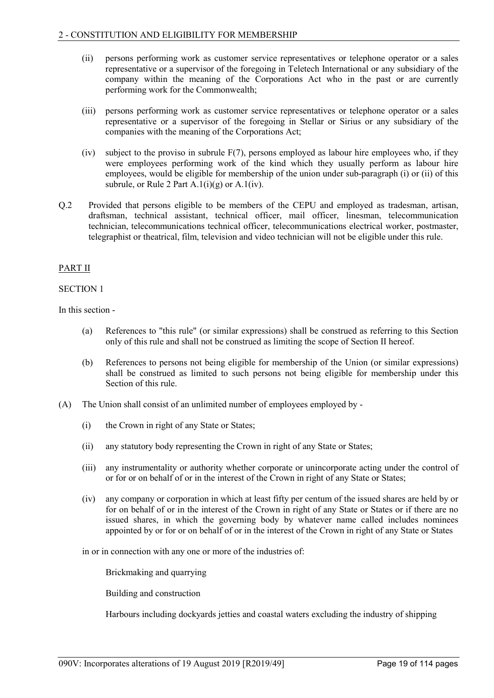- (ii) persons performing work as customer service representatives or telephone operator or a sales representative or a supervisor of the foregoing in Teletech International or any subsidiary of the company within the meaning of the Corporations Act who in the past or are currently performing work for the Commonwealth;
- (iii) persons performing work as customer service representatives or telephone operator or a sales representative or a supervisor of the foregoing in Stellar or Sirius or any subsidiary of the companies with the meaning of the Corporations Act;
- (iv) subject to the proviso in subrule F(7), persons employed as labour hire employees who, if they were employees performing work of the kind which they usually perform as labour hire employees, would be eligible for membership of the union under sub-paragraph (i) or (ii) of this subrule, or Rule 2 Part  $A.1(i)(g)$  or  $A.1(iv)$ .
- Q.2 Provided that persons eligible to be members of the CEPU and employed as tradesman, artisan, draftsman, technical assistant, technical officer, mail officer, linesman, telecommunication technician, telecommunications technical officer, telecommunications electrical worker, postmaster, telegraphist or theatrical, film, television and video technician will not be eligible under this rule.

# PART II

# SECTION 1

In this section -

- (a) References to "this rule" (or similar expressions) shall be construed as referring to this Section only of this rule and shall not be construed as limiting the scope of Section II hereof.
- (b) References to persons not being eligible for membership of the Union (or similar expressions) shall be construed as limited to such persons not being eligible for membership under this Section of this rule.
- (A) The Union shall consist of an unlimited number of employees employed by
	- (i) the Crown in right of any State or States;
	- (ii) any statutory body representing the Crown in right of any State or States;
	- (iii) any instrumentality or authority whether corporate or unincorporate acting under the control of or for or on behalf of or in the interest of the Crown in right of any State or States;
	- (iv) any company or corporation in which at least fifty per centum of the issued shares are held by or for on behalf of or in the interest of the Crown in right of any State or States or if there are no issued shares, in which the governing body by whatever name called includes nominees appointed by or for or on behalf of or in the interest of the Crown in right of any State or States

in or in connection with any one or more of the industries of:

Brickmaking and quarrying

Building and construction

Harbours including dockyards jetties and coastal waters excluding the industry of shipping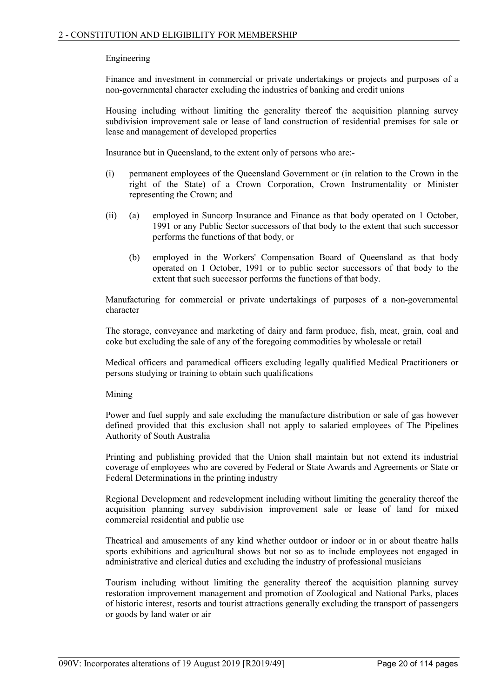# Engineering

Finance and investment in commercial or private undertakings or projects and purposes of a non-governmental character excluding the industries of banking and credit unions

Housing including without limiting the generality thereof the acquisition planning survey subdivision improvement sale or lease of land construction of residential premises for sale or lease and management of developed properties

Insurance but in Queensland, to the extent only of persons who are:-

- (i) permanent employees of the Queensland Government or (in relation to the Crown in the right of the State) of a Crown Corporation, Crown Instrumentality or Minister representing the Crown; and
- (ii) (a) employed in Suncorp Insurance and Finance as that body operated on 1 October, 1991 or any Public Sector successors of that body to the extent that such successor performs the functions of that body, or
	- (b) employed in the Workers' Compensation Board of Queensland as that body operated on 1 October, 1991 or to public sector successors of that body to the extent that such successor performs the functions of that body.

Manufacturing for commercial or private undertakings of purposes of a non-governmental character

The storage, conveyance and marketing of dairy and farm produce, fish, meat, grain, coal and coke but excluding the sale of any of the foregoing commodities by wholesale or retail

Medical officers and paramedical officers excluding legally qualified Medical Practitioners or persons studying or training to obtain such qualifications

#### Mining

Power and fuel supply and sale excluding the manufacture distribution or sale of gas however defined provided that this exclusion shall not apply to salaried employees of The Pipelines Authority of South Australia

Printing and publishing provided that the Union shall maintain but not extend its industrial coverage of employees who are covered by Federal or State Awards and Agreements or State or Federal Determinations in the printing industry

Regional Development and redevelopment including without limiting the generality thereof the acquisition planning survey subdivision improvement sale or lease of land for mixed commercial residential and public use

Theatrical and amusements of any kind whether outdoor or indoor or in or about theatre halls sports exhibitions and agricultural shows but not so as to include employees not engaged in administrative and clerical duties and excluding the industry of professional musicians

Tourism including without limiting the generality thereof the acquisition planning survey restoration improvement management and promotion of Zoological and National Parks, places of historic interest, resorts and tourist attractions generally excluding the transport of passengers or goods by land water or air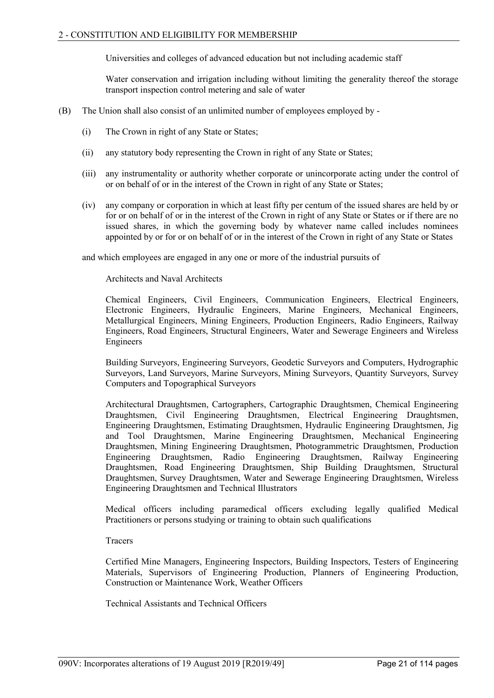Universities and colleges of advanced education but not including academic staff

Water conservation and irrigation including without limiting the generality thereof the storage transport inspection control metering and sale of water

- (B) The Union shall also consist of an unlimited number of employees employed by
	- (i) The Crown in right of any State or States;
	- (ii) any statutory body representing the Crown in right of any State or States;
	- (iii) any instrumentality or authority whether corporate or unincorporate acting under the control of or on behalf of or in the interest of the Crown in right of any State or States;
	- (iv) any company or corporation in which at least fifty per centum of the issued shares are held by or for or on behalf of or in the interest of the Crown in right of any State or States or if there are no issued shares, in which the governing body by whatever name called includes nominees appointed by or for or on behalf of or in the interest of the Crown in right of any State or States

and which employees are engaged in any one or more of the industrial pursuits of

Architects and Naval Architects

Chemical Engineers, Civil Engineers, Communication Engineers, Electrical Engineers, Electronic Engineers, Hydraulic Engineers, Marine Engineers, Mechanical Engineers, Metallurgical Engineers, Mining Engineers, Production Engineers, Radio Engineers, Railway Engineers, Road Engineers, Structural Engineers, Water and Sewerage Engineers and Wireless Engineers

Building Surveyors, Engineering Surveyors, Geodetic Surveyors and Computers, Hydrographic Surveyors, Land Surveyors, Marine Surveyors, Mining Surveyors, Quantity Surveyors, Survey Computers and Topographical Surveyors

Architectural Draughtsmen, Cartographers, Cartographic Draughtsmen, Chemical Engineering Draughtsmen, Civil Engineering Draughtsmen, Electrical Engineering Draughtsmen, Engineering Draughtsmen, Estimating Draughtsmen, Hydraulic Engineering Draughtsmen, Jig and Tool Draughtsmen, Marine Engineering Draughtsmen, Mechanical Engineering Draughtsmen, Mining Engineering Draughtsmen, Photogrammetric Draughtsmen, Production Engineering Draughtsmen, Radio Engineering Draughtsmen, Railway Engineering Draughtsmen, Road Engineering Draughtsmen, Ship Building Draughtsmen, Structural Draughtsmen, Survey Draughtsmen, Water and Sewerage Engineering Draughtsmen, Wireless Engineering Draughtsmen and Technical Illustrators

Medical officers including paramedical officers excluding legally qualified Medical Practitioners or persons studying or training to obtain such qualifications

Tracers

Certified Mine Managers, Engineering Inspectors, Building Inspectors, Testers of Engineering Materials, Supervisors of Engineering Production, Planners of Engineering Production, Construction or Maintenance Work, Weather Officers

Technical Assistants and Technical Officers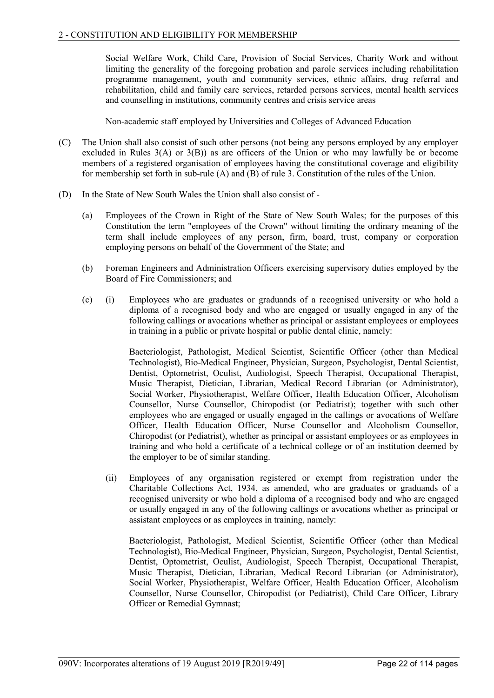Social Welfare Work, Child Care, Provision of Social Services, Charity Work and without limiting the generality of the foregoing probation and parole services including rehabilitation programme management, youth and community services, ethnic affairs, drug referral and rehabilitation, child and family care services, retarded persons services, mental health services and counselling in institutions, community centres and crisis service areas

Non-academic staff employed by Universities and Colleges of Advanced Education

- (C) The Union shall also consist of such other persons (not being any persons employed by any employer excluded in Rules 3(A) or 3(B)) as are officers of the Union or who may lawfully be or become members of a registered organisation of employees having the constitutional coverage and eligibility for membership set forth in sub-rule (A) and (B) of rule 3. Constitution of the rules of the Union.
- (D) In the State of New South Wales the Union shall also consist of
	- (a) Employees of the Crown in Right of the State of New South Wales; for the purposes of this Constitution the term "employees of the Crown" without limiting the ordinary meaning of the term shall include employees of any person, firm, board, trust, company or corporation employing persons on behalf of the Government of the State; and
	- (b) Foreman Engineers and Administration Officers exercising supervisory duties employed by the Board of Fire Commissioners; and
	- (c) (i) Employees who are graduates or graduands of a recognised university or who hold a diploma of a recognised body and who are engaged or usually engaged in any of the following callings or avocations whether as principal or assistant employees or employees in training in a public or private hospital or public dental clinic, namely:

Bacteriologist, Pathologist, Medical Scientist, Scientific Officer (other than Medical Technologist), Bio-Medical Engineer, Physician, Surgeon, Psychologist, Dental Scientist, Dentist, Optometrist, Oculist, Audiologist, Speech Therapist, Occupational Therapist, Music Therapist, Dietician, Librarian, Medical Record Librarian (or Administrator), Social Worker, Physiotherapist, Welfare Officer, Health Education Officer, Alcoholism Counsellor, Nurse Counsellor, Chiropodist (or Pediatrist); together with such other employees who are engaged or usually engaged in the callings or avocations of Welfare Officer, Health Education Officer, Nurse Counsellor and Alcoholism Counsellor, Chiropodist (or Pediatrist), whether as principal or assistant employees or as employees in training and who hold a certificate of a technical college or of an institution deemed by the employer to be of similar standing.

(ii) Employees of any organisation registered or exempt from registration under the Charitable Collections Act, 1934, as amended, who are graduates or graduands of a recognised university or who hold a diploma of a recognised body and who are engaged or usually engaged in any of the following callings or avocations whether as principal or assistant employees or as employees in training, namely:

Bacteriologist, Pathologist, Medical Scientist, Scientific Officer (other than Medical Technologist), Bio-Medical Engineer, Physician, Surgeon, Psychologist, Dental Scientist, Dentist, Optometrist, Oculist, Audiologist, Speech Therapist, Occupational Therapist, Music Therapist, Dietician, Librarian, Medical Record Librarian (or Administrator), Social Worker, Physiotherapist, Welfare Officer, Health Education Officer, Alcoholism Counsellor, Nurse Counsellor, Chiropodist (or Pediatrist), Child Care Officer, Library Officer or Remedial Gymnast;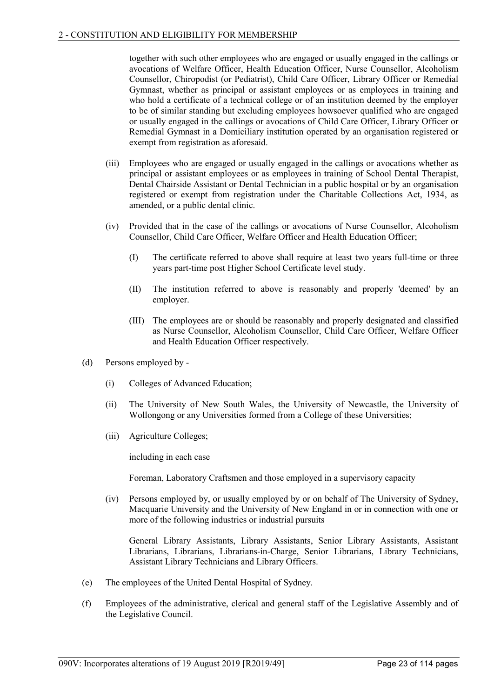together with such other employees who are engaged or usually engaged in the callings or avocations of Welfare Officer, Health Education Officer, Nurse Counsellor, Alcoholism Counsellor, Chiropodist (or Pediatrist), Child Care Officer, Library Officer or Remedial Gymnast, whether as principal or assistant employees or as employees in training and who hold a certificate of a technical college or of an institution deemed by the employer to be of similar standing but excluding employees howsoever qualified who are engaged or usually engaged in the callings or avocations of Child Care Officer, Library Officer or Remedial Gymnast in a Domiciliary institution operated by an organisation registered or exempt from registration as aforesaid.

- (iii) Employees who are engaged or usually engaged in the callings or avocations whether as principal or assistant employees or as employees in training of School Dental Therapist, Dental Chairside Assistant or Dental Technician in a public hospital or by an organisation registered or exempt from registration under the Charitable Collections Act, 1934, as amended, or a public dental clinic.
- (iv) Provided that in the case of the callings or avocations of Nurse Counsellor, Alcoholism Counsellor, Child Care Officer, Welfare Officer and Health Education Officer;
	- (I) The certificate referred to above shall require at least two years full-time or three years part-time post Higher School Certificate level study.
	- (II) The institution referred to above is reasonably and properly 'deemed' by an employer.
	- (III) The employees are or should be reasonably and properly designated and classified as Nurse Counsellor, Alcoholism Counsellor, Child Care Officer, Welfare Officer and Health Education Officer respectively.
- (d) Persons employed by
	- (i) Colleges of Advanced Education;
	- (ii) The University of New South Wales, the University of Newcastle, the University of Wollongong or any Universities formed from a College of these Universities;
	- (iii) Agriculture Colleges;

including in each case

Foreman, Laboratory Craftsmen and those employed in a supervisory capacity

(iv) Persons employed by, or usually employed by or on behalf of The University of Sydney, Macquarie University and the University of New England in or in connection with one or more of the following industries or industrial pursuits

General Library Assistants, Library Assistants, Senior Library Assistants, Assistant Librarians, Librarians, Librarians-in-Charge, Senior Librarians, Library Technicians, Assistant Library Technicians and Library Officers.

- (e) The employees of the United Dental Hospital of Sydney.
- (f) Employees of the administrative, clerical and general staff of the Legislative Assembly and of the Legislative Council.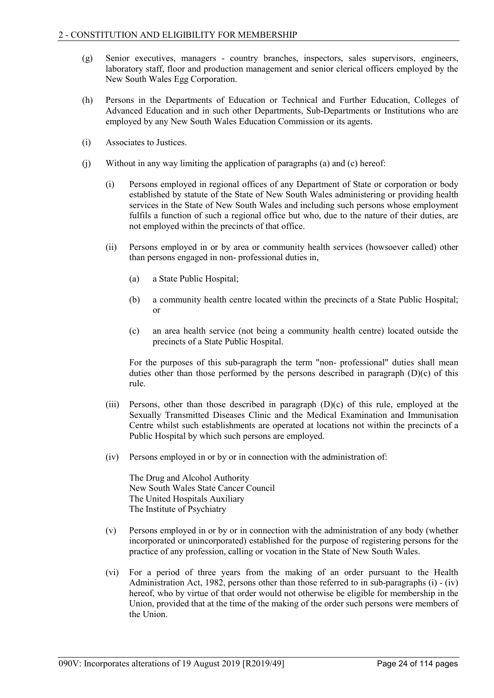- (g) Senior executives, managers country branches, inspectors, sales supervisors, engineers, laboratory staff, floor and production management and senior clerical officers employed by the New South Wales Egg Corporation.
- (h) Persons in the Departments of Education or Technical and Further Education, Colleges of Advanced Education and in such other Departments, Sub-Departments or Institutions who are employed by any New South Wales Education Commission or its agents.
- (i) Associates to Justices.
- (j) Without in any way limiting the application of paragraphs (a) and (c) hereof:
	- (i) Persons employed in regional offices of any Department of State or corporation or body established by statute of the State of New South Wales administering or providing health services in the State of New South Wales and including such persons whose employment fulfils a function of such a regional office but who, due to the nature of their duties, are not employed within the precincts of that office.
	- (ii) Persons employed in or by area or community health services (howsoever called) other than persons engaged in non- professional duties in,
		- (a) a State Public Hospital;
		- (b) a community health centre located within the precincts of a State Public Hospital; or
		- (c) an area health service (not being a community health centre) located outside the precincts of a State Public Hospital.

For the purposes of this sub-paragraph the term "non- professional" duties shall mean duties other than those performed by the persons described in paragraph (D)(c) of this rule.

- (iii) Persons, other than those described in paragraph (D)(c) of this rule, employed at the Sexually Transmitted Diseases Clinic and the Medical Examination and Immunisation Centre whilst such establishments are operated at locations not within the precincts of a Public Hospital by which such persons are employed.
- (iv) Persons employed in or by or in connection with the administration of:

The Drug and Alcohol Authority New South Wales State Cancer Council The United Hospitals Auxiliary The Institute of Psychiatry

- (v) Persons employed in or by or in connection with the administration of any body (whether incorporated or unincorporated) established for the purpose of registering persons for the practice of any profession, calling or vocation in the State of New South Wales.
- (vi) For a period of three years from the making of an order pursuant to the Health Administration Act, 1982, persons other than those referred to in sub-paragraphs (i) - (iv) hereof, who by virtue of that order would not otherwise be eligible for membership in the Union, provided that at the time of the making of the order such persons were members of the Union.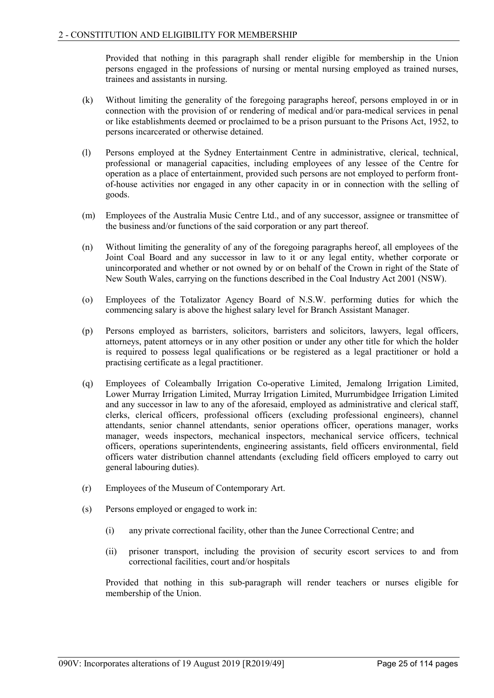Provided that nothing in this paragraph shall render eligible for membership in the Union persons engaged in the professions of nursing or mental nursing employed as trained nurses, trainees and assistants in nursing.

- (k) Without limiting the generality of the foregoing paragraphs hereof, persons employed in or in connection with the provision of or rendering of medical and/or para-medical services in penal or like establishments deemed or proclaimed to be a prison pursuant to the Prisons Act, 1952, to persons incarcerated or otherwise detained.
- (l) Persons employed at the Sydney Entertainment Centre in administrative, clerical, technical, professional or managerial capacities, including employees of any lessee of the Centre for operation as a place of entertainment, provided such persons are not employed to perform frontof-house activities nor engaged in any other capacity in or in connection with the selling of goods.
- (m) Employees of the Australia Music Centre Ltd., and of any successor, assignee or transmittee of the business and/or functions of the said corporation or any part thereof.
- (n) Without limiting the generality of any of the foregoing paragraphs hereof, all employees of the Joint Coal Board and any successor in law to it or any legal entity, whether corporate or unincorporated and whether or not owned by or on behalf of the Crown in right of the State of New South Wales, carrying on the functions described in the Coal Industry Act 2001 (NSW).
- (o) Employees of the Totalizator Agency Board of N.S.W. performing duties for which the commencing salary is above the highest salary level for Branch Assistant Manager.
- (p) Persons employed as barristers, solicitors, barristers and solicitors, lawyers, legal officers, attorneys, patent attorneys or in any other position or under any other title for which the holder is required to possess legal qualifications or be registered as a legal practitioner or hold a practising certificate as a legal practitioner.
- (q) Employees of Coleambally Irrigation Co-operative Limited, Jemalong Irrigation Limited, Lower Murray Irrigation Limited, Murray Irrigation Limited, Murrumbidgee Irrigation Limited and any successor in law to any of the aforesaid, employed as administrative and clerical staff, clerks, clerical officers, professional officers (excluding professional engineers), channel attendants, senior channel attendants, senior operations officer, operations manager, works manager, weeds inspectors, mechanical inspectors, mechanical service officers, technical officers, operations superintendents, engineering assistants, field officers environmental, field officers water distribution channel attendants (excluding field officers employed to carry out general labouring duties).
- (r) Employees of the Museum of Contemporary Art.
- (s) Persons employed or engaged to work in:
	- (i) any private correctional facility, other than the Junee Correctional Centre; and
	- (ii) prisoner transport, including the provision of security escort services to and from correctional facilities, court and/or hospitals

Provided that nothing in this sub-paragraph will render teachers or nurses eligible for membership of the Union.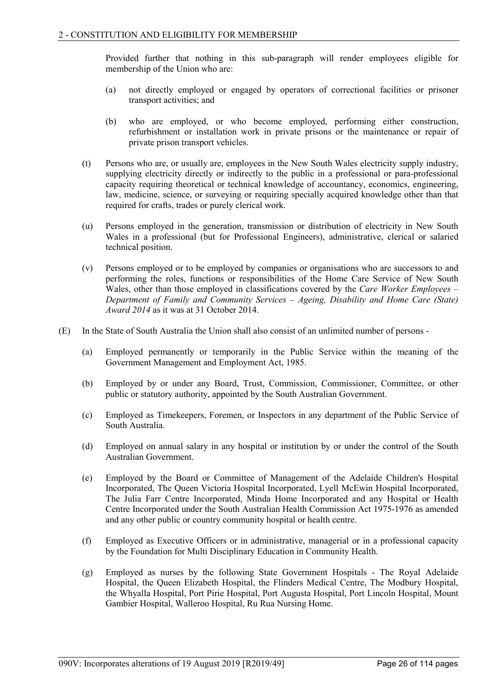Provided further that nothing in this sub-paragraph will render employees eligible for membership of the Union who are:

- (a) not directly employed or engaged by operators of correctional facilities or prisoner transport activities; and
- (b) who are employed, or who become employed, performing either construction, refurbishment or installation work in private prisons or the maintenance or repair of private prison transport vehicles.
- (t) Persons who are, or usually are, employees in the New South Wales electricity supply industry, supplying electricity directly or indirectly to the public in a professional or para-professional capacity requiring theoretical or technical knowledge of accountancy, economics, engineering, law, medicine, science, or surveying or requiring specially acquired knowledge other than that required for crafts, trades or purely clerical work.
- (u) Persons employed in the generation, transmission or distribution of electricity in New South Wales in a professional (but for Professional Engineers), administrative, clerical or salaried technical position.
- (v) Persons employed or to be employed by companies or organisations who are successors to and performing the roles, functions or responsibilities of the Home Care Service of New South Wales, other than those employed in classifications covered by the *Care Worker Employees – Department of Family and Community Services – Ageing, Disability and Home Care (State) Award 2014* as it was at 31 October 2014.
- (E) In the State of South Australia the Union shall also consist of an unlimited number of persons
	- (a) Employed permanently or temporarily in the Public Service within the meaning of the Government Management and Employment Act, 1985.
	- (b) Employed by or under any Board, Trust, Commission, Commissioner, Committee, or other public or statutory authority, appointed by the South Australian Government.
	- (c) Employed as Timekeepers, Foremen, or Inspectors in any department of the Public Service of South Australia.
	- (d) Employed on annual salary in any hospital or institution by or under the control of the South Australian Government.
	- (e) Employed by the Board or Committee of Management of the Adelaide Children's Hospital Incorporated, The Queen Victoria Hospital Incorporated, Lyell McEwin Hospital Incorporated, The Julia Farr Centre Incorporated, Minda Home Incorporated and any Hospital or Health Centre Incorporated under the South Australian Health Commission Act 1975-1976 as amended and any other public or country community hospital or health centre.
	- (f) Employed as Executive Officers or in administrative, managerial or in a professional capacity by the Foundation for Multi Disciplinary Education in Community Health.
	- (g) Employed as nurses by the following State Government Hospitals The Royal Adelaide Hospital, the Queen Elizabeth Hospital, the Flinders Medical Centre, The Modbury Hospital, the Whyalla Hospital, Port Pirie Hospital, Port Augusta Hospital, Port Lincoln Hospital, Mount Gambier Hospital, Walleroo Hospital, Ru Rua Nursing Home.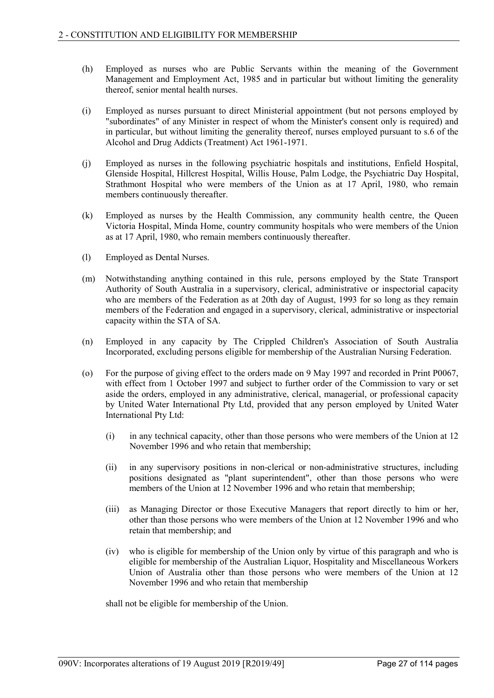- (h) Employed as nurses who are Public Servants within the meaning of the Government Management and Employment Act, 1985 and in particular but without limiting the generality thereof, senior mental health nurses.
- (i) Employed as nurses pursuant to direct Ministerial appointment (but not persons employed by "subordinates" of any Minister in respect of whom the Minister's consent only is required) and in particular, but without limiting the generality thereof, nurses employed pursuant to s.6 of the Alcohol and Drug Addicts (Treatment) Act 1961-1971.
- (j) Employed as nurses in the following psychiatric hospitals and institutions, Enfield Hospital, Glenside Hospital, Hillcrest Hospital, Willis House, Palm Lodge, the Psychiatric Day Hospital, Strathmont Hospital who were members of the Union as at 17 April, 1980, who remain members continuously thereafter.
- (k) Employed as nurses by the Health Commission, any community health centre, the Queen Victoria Hospital, Minda Home, country community hospitals who were members of the Union as at 17 April, 1980, who remain members continuously thereafter.
- (l) Employed as Dental Nurses.
- (m) Notwithstanding anything contained in this rule, persons employed by the State Transport Authority of South Australia in a supervisory, clerical, administrative or inspectorial capacity who are members of the Federation as at 20th day of August, 1993 for so long as they remain members of the Federation and engaged in a supervisory, clerical, administrative or inspectorial capacity within the STA of SA.
- (n) Employed in any capacity by The Crippled Children's Association of South Australia Incorporated, excluding persons eligible for membership of the Australian Nursing Federation.
- (o) For the purpose of giving effect to the orders made on 9 May 1997 and recorded in Print P0067, with effect from 1 October 1997 and subject to further order of the Commission to vary or set aside the orders, employed in any administrative, clerical, managerial, or professional capacity by United Water International Pty Ltd, provided that any person employed by United Water International Pty Ltd:
	- (i) in any technical capacity, other than those persons who were members of the Union at 12 November 1996 and who retain that membership;
	- (ii) in any supervisory positions in non-clerical or non-administrative structures, including positions designated as "plant superintendent", other than those persons who were members of the Union at 12 November 1996 and who retain that membership;
	- (iii) as Managing Director or those Executive Managers that report directly to him or her, other than those persons who were members of the Union at 12 November 1996 and who retain that membership; and
	- (iv) who is eligible for membership of the Union only by virtue of this paragraph and who is eligible for membership of the Australian Liquor, Hospitality and Miscellaneous Workers Union of Australia other than those persons who were members of the Union at 12 November 1996 and who retain that membership

shall not be eligible for membership of the Union.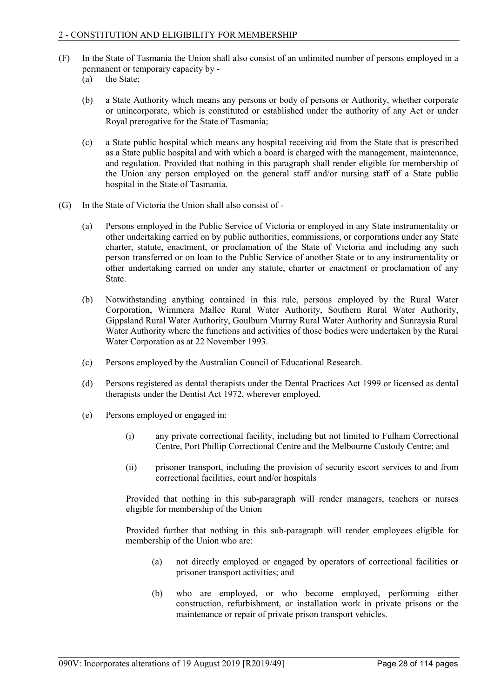- (F) In the State of Tasmania the Union shall also consist of an unlimited number of persons employed in a permanent or temporary capacity by -
	- (a) the State;
	- (b) a State Authority which means any persons or body of persons or Authority, whether corporate or unincorporate, which is constituted or established under the authority of any Act or under Royal prerogative for the State of Tasmania;
	- (c) a State public hospital which means any hospital receiving aid from the State that is prescribed as a State public hospital and with which a board is charged with the management, maintenance, and regulation. Provided that nothing in this paragraph shall render eligible for membership of the Union any person employed on the general staff and/or nursing staff of a State public hospital in the State of Tasmania.
- (G) In the State of Victoria the Union shall also consist of
	- (a) Persons employed in the Public Service of Victoria or employed in any State instrumentality or other undertaking carried on by public authorities, commissions, or corporations under any State charter, statute, enactment, or proclamation of the State of Victoria and including any such person transferred or on loan to the Public Service of another State or to any instrumentality or other undertaking carried on under any statute, charter or enactment or proclamation of any State.
	- (b) Notwithstanding anything contained in this rule, persons employed by the Rural Water Corporation, Wimmera Mallee Rural Water Authority, Southern Rural Water Authority, Gippsland Rural Water Authority, Goulburn Murray Rural Water Authority and Sunraysia Rural Water Authority where the functions and activities of those bodies were undertaken by the Rural Water Corporation as at 22 November 1993.
	- (c) Persons employed by the Australian Council of Educational Research.
	- (d) Persons registered as dental therapists under the Dental Practices Act 1999 or licensed as dental therapists under the Dentist Act 1972, wherever employed.
	- (e) Persons employed or engaged in:
		- (i) any private correctional facility, including but not limited to Fulham Correctional Centre, Port Phillip Correctional Centre and the Melbourne Custody Centre; and
		- (ii) prisoner transport, including the provision of security escort services to and from correctional facilities, court and/or hospitals

Provided that nothing in this sub-paragraph will render managers, teachers or nurses eligible for membership of the Union

Provided further that nothing in this sub-paragraph will render employees eligible for membership of the Union who are:

- (a) not directly employed or engaged by operators of correctional facilities or prisoner transport activities; and
- (b) who are employed, or who become employed, performing either construction, refurbishment, or installation work in private prisons or the maintenance or repair of private prison transport vehicles.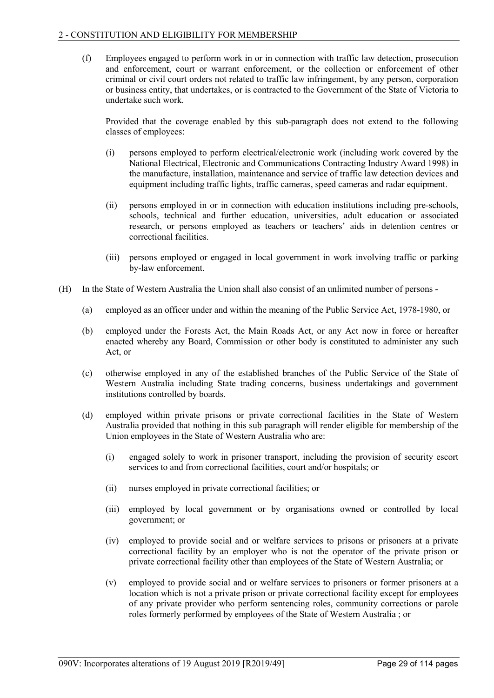(f) Employees engaged to perform work in or in connection with traffic law detection, prosecution and enforcement, court or warrant enforcement, or the collection or enforcement of other criminal or civil court orders not related to traffic law infringement, by any person, corporation or business entity, that undertakes, or is contracted to the Government of the State of Victoria to undertake such work.

Provided that the coverage enabled by this sub-paragraph does not extend to the following classes of employees:

- (i) persons employed to perform electrical/electronic work (including work covered by the National Electrical, Electronic and Communications Contracting Industry Award 1998) in the manufacture, installation, maintenance and service of traffic law detection devices and equipment including traffic lights, traffic cameras, speed cameras and radar equipment.
- (ii) persons employed in or in connection with education institutions including pre-schools, schools, technical and further education, universities, adult education or associated research, or persons employed as teachers or teachers' aids in detention centres or correctional facilities.
- (iii) persons employed or engaged in local government in work involving traffic or parking by-law enforcement.
- (H) In the State of Western Australia the Union shall also consist of an unlimited number of persons
	- (a) employed as an officer under and within the meaning of the Public Service Act, 1978-1980, or
	- (b) employed under the Forests Act, the Main Roads Act, or any Act now in force or hereafter enacted whereby any Board, Commission or other body is constituted to administer any such Act, or
	- (c) otherwise employed in any of the established branches of the Public Service of the State of Western Australia including State trading concerns, business undertakings and government institutions controlled by boards.
	- (d) employed within private prisons or private correctional facilities in the State of Western Australia provided that nothing in this sub paragraph will render eligible for membership of the Union employees in the State of Western Australia who are:
		- (i) engaged solely to work in prisoner transport, including the provision of security escort services to and from correctional facilities, court and/or hospitals; or
		- (ii) nurses employed in private correctional facilities; or
		- (iii) employed by local government or by organisations owned or controlled by local government; or
		- (iv) employed to provide social and or welfare services to prisons or prisoners at a private correctional facility by an employer who is not the operator of the private prison or private correctional facility other than employees of the State of Western Australia; or
		- (v) employed to provide social and or welfare services to prisoners or former prisoners at a location which is not a private prison or private correctional facility except for employees of any private provider who perform sentencing roles, community corrections or parole roles formerly performed by employees of the State of Western Australia ; or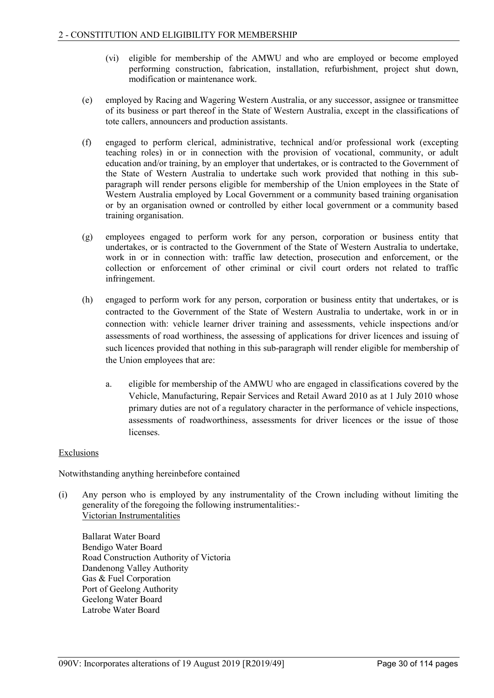- (vi) eligible for membership of the AMWU and who are employed or become employed performing construction, fabrication, installation, refurbishment, project shut down, modification or maintenance work.
- (e) employed by Racing and Wagering Western Australia, or any successor, assignee or transmittee of its business or part thereof in the State of Western Australia, except in the classifications of tote callers, announcers and production assistants.
- (f) engaged to perform clerical, administrative, technical and/or professional work (excepting teaching roles) in or in connection with the provision of vocational, community, or adult education and/or training, by an employer that undertakes, or is contracted to the Government of the State of Western Australia to undertake such work provided that nothing in this subparagraph will render persons eligible for membership of the Union employees in the State of Western Australia employed by Local Government or a community based training organisation or by an organisation owned or controlled by either local government or a community based training organisation.
- (g) employees engaged to perform work for any person, corporation or business entity that undertakes, or is contracted to the Government of the State of Western Australia to undertake, work in or in connection with: traffic law detection, prosecution and enforcement, or the collection or enforcement of other criminal or civil court orders not related to traffic infringement.
- (h) engaged to perform work for any person, corporation or business entity that undertakes, or is contracted to the Government of the State of Western Australia to undertake, work in or in connection with: vehicle learner driver training and assessments, vehicle inspections and/or assessments of road worthiness, the assessing of applications for driver licences and issuing of such licences provided that nothing in this sub-paragraph will render eligible for membership of the Union employees that are:
	- a. eligible for membership of the AMWU who are engaged in classifications covered by the Vehicle, Manufacturing, Repair Services and Retail Award 2010 as at 1 July 2010 whose primary duties are not of a regulatory character in the performance of vehicle inspections, assessments of roadworthiness, assessments for driver licences or the issue of those licenses.

# Exclusions

Notwithstanding anything hereinbefore contained

(i) Any person who is employed by any instrumentality of the Crown including without limiting the generality of the foregoing the following instrumentalities:- Victorian Instrumentalities

Ballarat Water Board Bendigo Water Board Road Construction Authority of Victoria Dandenong Valley Authority Gas & Fuel Corporation Port of Geelong Authority Geelong Water Board Latrobe Water Board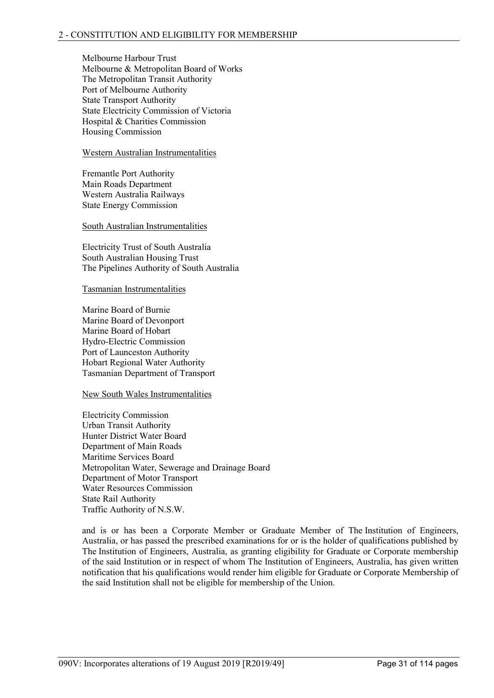Melbourne Harbour Trust Melbourne & Metropolitan Board of Works The Metropolitan Transit Authority Port of Melbourne Authority State Transport Authority State Electricity Commission of Victoria Hospital & Charities Commission Housing Commission

### Western Australian Instrumentalities

Fremantle Port Authority Main Roads Department Western Australia Railways State Energy Commission

#### South Australian Instrumentalities

Electricity Trust of South Australia South Australian Housing Trust The Pipelines Authority of South Australia

#### Tasmanian Instrumentalities

Marine Board of Burnie Marine Board of Devonport Marine Board of Hobart Hydro-Electric Commission Port of Launceston Authority Hobart Regional Water Authority Tasmanian Department of Transport

#### New South Wales Instrumentalities

Electricity Commission Urban Transit Authority Hunter District Water Board Department of Main Roads Maritime Services Board Metropolitan Water, Sewerage and Drainage Board Department of Motor Transport Water Resources Commission State Rail Authority Traffic Authority of N.S.W.

and is or has been a Corporate Member or Graduate Member of The Institution of Engineers, Australia, or has passed the prescribed examinations for or is the holder of qualifications published by The Institution of Engineers, Australia, as granting eligibility for Graduate or Corporate membership of the said Institution or in respect of whom The Institution of Engineers, Australia, has given written notification that his qualifications would render him eligible for Graduate or Corporate Membership of the said Institution shall not be eligible for membership of the Union.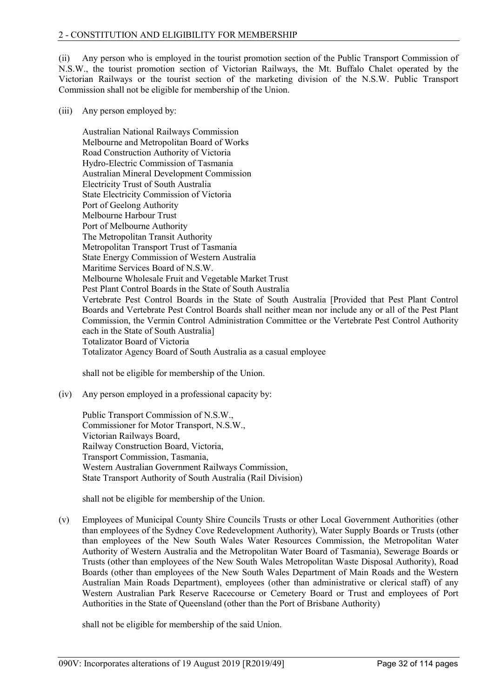(ii) Any person who is employed in the tourist promotion section of the Public Transport Commission of N.S.W., the tourist promotion section of Victorian Railways, the Mt. Buffalo Chalet operated by the Victorian Railways or the tourist section of the marketing division of the N.S.W. Public Transport Commission shall not be eligible for membership of the Union.

(iii) Any person employed by:

Australian National Railways Commission Melbourne and Metropolitan Board of Works Road Construction Authority of Victoria Hydro-Electric Commission of Tasmania Australian Mineral Development Commission Electricity Trust of South Australia State Electricity Commission of Victoria Port of Geelong Authority Melbourne Harbour Trust Port of Melbourne Authority The Metropolitan Transit Authority Metropolitan Transport Trust of Tasmania State Energy Commission of Western Australia Maritime Services Board of N.S.W. Melbourne Wholesale Fruit and Vegetable Market Trust Pest Plant Control Boards in the State of South Australia Vertebrate Pest Control Boards in the State of South Australia [Provided that Pest Plant Control Boards and Vertebrate Pest Control Boards shall neither mean nor include any or all of the Pest Plant Commission, the Vermin Control Administration Committee or the Vertebrate Pest Control Authority each in the State of South Australia] Totalizator Board of Victoria Totalizator Agency Board of South Australia as a casual employee

shall not be eligible for membership of the Union.

(iv) Any person employed in a professional capacity by:

Public Transport Commission of N.S.W., Commissioner for Motor Transport, N.S.W., Victorian Railways Board, Railway Construction Board, Victoria, Transport Commission, Tasmania, Western Australian Government Railways Commission, State Transport Authority of South Australia (Rail Division)

shall not be eligible for membership of the Union.

(v) Employees of Municipal County Shire Councils Trusts or other Local Government Authorities (other than employees of the Sydney Cove Redevelopment Authority), Water Supply Boards or Trusts (other than employees of the New South Wales Water Resources Commission, the Metropolitan Water Authority of Western Australia and the Metropolitan Water Board of Tasmania), Sewerage Boards or Trusts (other than employees of the New South Wales Metropolitan Waste Disposal Authority), Road Boards (other than employees of the New South Wales Department of Main Roads and the Western Australian Main Roads Department), employees (other than administrative or clerical staff) of any Western Australian Park Reserve Racecourse or Cemetery Board or Trust and employees of Port Authorities in the State of Queensland (other than the Port of Brisbane Authority)

shall not be eligible for membership of the said Union.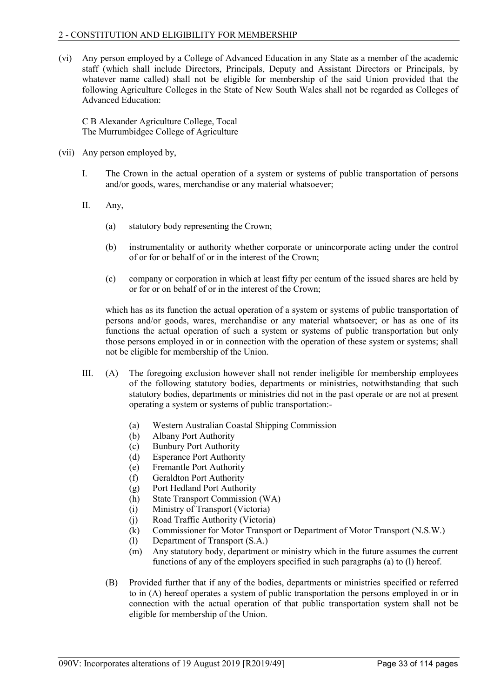(vi) Any person employed by a College of Advanced Education in any State as a member of the academic staff (which shall include Directors, Principals, Deputy and Assistant Directors or Principals, by whatever name called) shall not be eligible for membership of the said Union provided that the following Agriculture Colleges in the State of New South Wales shall not be regarded as Colleges of Advanced Education:

C B Alexander Agriculture College, Tocal The Murrumbidgee College of Agriculture

- (vii) Any person employed by,
	- I. The Crown in the actual operation of a system or systems of public transportation of persons and/or goods, wares, merchandise or any material whatsoever;
	- II. Any,
		- (a) statutory body representing the Crown;
		- (b) instrumentality or authority whether corporate or unincorporate acting under the control of or for or behalf of or in the interest of the Crown;
		- (c) company or corporation in which at least fifty per centum of the issued shares are held by or for or on behalf of or in the interest of the Crown;

which has as its function the actual operation of a system or systems of public transportation of persons and/or goods, wares, merchandise or any material whatsoever; or has as one of its functions the actual operation of such a system or systems of public transportation but only those persons employed in or in connection with the operation of these system or systems; shall not be eligible for membership of the Union.

- III. (A) The foregoing exclusion however shall not render ineligible for membership employees of the following statutory bodies, departments or ministries, notwithstanding that such statutory bodies, departments or ministries did not in the past operate or are not at present operating a system or systems of public transportation:-
	- (a) Western Australian Coastal Shipping Commission
	- (b) Albany Port Authority
	- (c) Bunbury Port Authority
	- (d) Esperance Port Authority
	- (e) Fremantle Port Authority
	- (f) Geraldton Port Authority
	- (g) Port Hedland Port Authority
	- (h) State Transport Commission (WA)
	- (i) Ministry of Transport (Victoria)
	- (j) Road Traffic Authority (Victoria)
	- (k) Commissioner for Motor Transport or Department of Motor Transport (N.S.W.)
	- (l) Department of Transport (S.A.)
	- (m) Any statutory body, department or ministry which in the future assumes the current functions of any of the employers specified in such paragraphs (a) to (l) hereof.
	- (B) Provided further that if any of the bodies, departments or ministries specified or referred to in (A) hereof operates a system of public transportation the persons employed in or in connection with the actual operation of that public transportation system shall not be eligible for membership of the Union.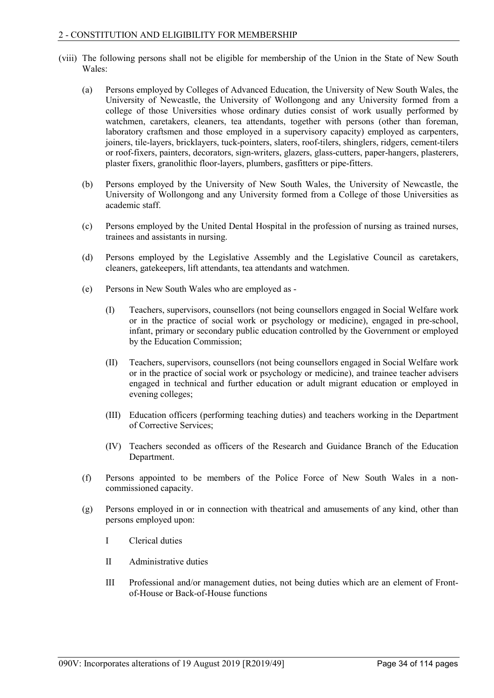- (viii) The following persons shall not be eligible for membership of the Union in the State of New South Wales:
	- (a) Persons employed by Colleges of Advanced Education, the University of New South Wales, the University of Newcastle, the University of Wollongong and any University formed from a college of those Universities whose ordinary duties consist of work usually performed by watchmen, caretakers, cleaners, tea attendants, together with persons (other than foreman, laboratory craftsmen and those employed in a supervisory capacity) employed as carpenters, joiners, tile-layers, bricklayers, tuck-pointers, slaters, roof-tilers, shinglers, ridgers, cement-tilers or roof-fixers, painters, decorators, sign-writers, glazers, glass-cutters, paper-hangers, plasterers, plaster fixers, granolithic floor-layers, plumbers, gasfitters or pipe-fitters.
	- (b) Persons employed by the University of New South Wales, the University of Newcastle, the University of Wollongong and any University formed from a College of those Universities as academic staff.
	- (c) Persons employed by the United Dental Hospital in the profession of nursing as trained nurses, trainees and assistants in nursing.
	- (d) Persons employed by the Legislative Assembly and the Legislative Council as caretakers, cleaners, gatekeepers, lift attendants, tea attendants and watchmen.
	- (e) Persons in New South Wales who are employed as
		- (I) Teachers, supervisors, counsellors (not being counsellors engaged in Social Welfare work or in the practice of social work or psychology or medicine), engaged in pre-school, infant, primary or secondary public education controlled by the Government or employed by the Education Commission;
		- (II) Teachers, supervisors, counsellors (not being counsellors engaged in Social Welfare work or in the practice of social work or psychology or medicine), and trainee teacher advisers engaged in technical and further education or adult migrant education or employed in evening colleges;
		- (III) Education officers (performing teaching duties) and teachers working in the Department of Corrective Services;
		- (IV) Teachers seconded as officers of the Research and Guidance Branch of the Education Department.
	- (f) Persons appointed to be members of the Police Force of New South Wales in a noncommissioned capacity.
	- (g) Persons employed in or in connection with theatrical and amusements of any kind, other than persons employed upon:
		- I Clerical duties
		- II Administrative duties
		- III Professional and/or management duties, not being duties which are an element of Frontof-House or Back-of-House functions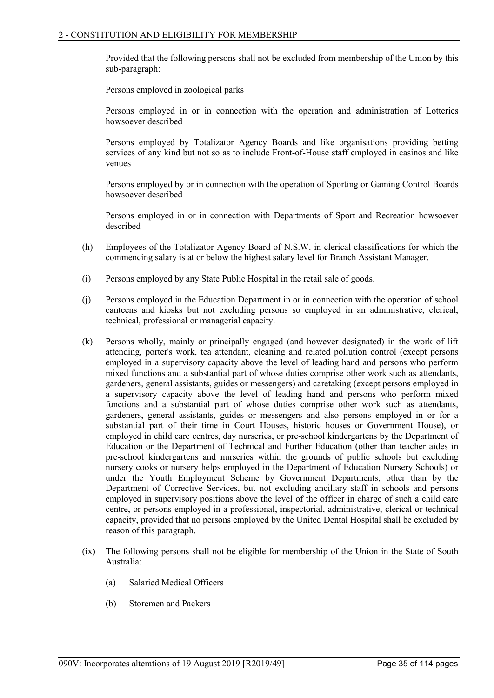Provided that the following persons shall not be excluded from membership of the Union by this sub-paragraph:

Persons employed in zoological parks

Persons employed in or in connection with the operation and administration of Lotteries howsoever described

Persons employed by Totalizator Agency Boards and like organisations providing betting services of any kind but not so as to include Front-of-House staff employed in casinos and like venues

Persons employed by or in connection with the operation of Sporting or Gaming Control Boards howsoever described

Persons employed in or in connection with Departments of Sport and Recreation howsoever described

- (h) Employees of the Totalizator Agency Board of N.S.W. in clerical classifications for which the commencing salary is at or below the highest salary level for Branch Assistant Manager.
- (i) Persons employed by any State Public Hospital in the retail sale of goods.
- (j) Persons employed in the Education Department in or in connection with the operation of school canteens and kiosks but not excluding persons so employed in an administrative, clerical, technical, professional or managerial capacity.
- (k) Persons wholly, mainly or principally engaged (and however designated) in the work of lift attending, porter's work, tea attendant, cleaning and related pollution control (except persons employed in a supervisory capacity above the level of leading hand and persons who perform mixed functions and a substantial part of whose duties comprise other work such as attendants, gardeners, general assistants, guides or messengers) and caretaking (except persons employed in a supervisory capacity above the level of leading hand and persons who perform mixed functions and a substantial part of whose duties comprise other work such as attendants, gardeners, general assistants, guides or messengers and also persons employed in or for a substantial part of their time in Court Houses, historic houses or Government House), or employed in child care centres, day nurseries, or pre-school kindergartens by the Department of Education or the Department of Technical and Further Education (other than teacher aides in pre-school kindergartens and nurseries within the grounds of public schools but excluding nursery cooks or nursery helps employed in the Department of Education Nursery Schools) or under the Youth Employment Scheme by Government Departments, other than by the Department of Corrective Services, but not excluding ancillary staff in schools and persons employed in supervisory positions above the level of the officer in charge of such a child care centre, or persons employed in a professional, inspectorial, administrative, clerical or technical capacity, provided that no persons employed by the United Dental Hospital shall be excluded by reason of this paragraph.
- (ix) The following persons shall not be eligible for membership of the Union in the State of South Australia:
	- (a) Salaried Medical Officers
	- (b) Storemen and Packers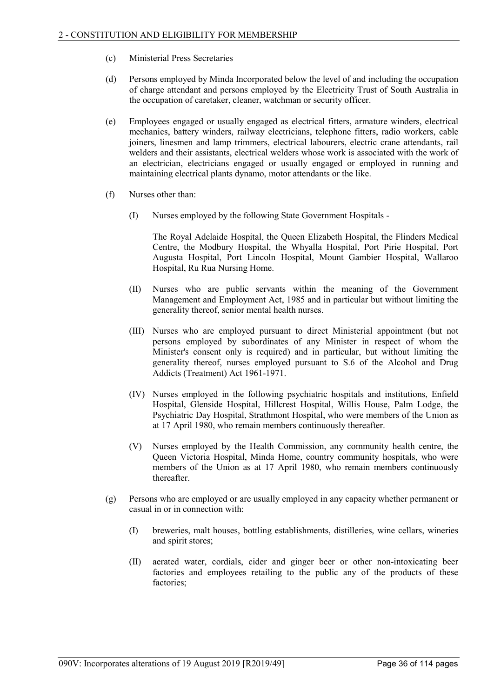- (c) Ministerial Press Secretaries
- (d) Persons employed by Minda Incorporated below the level of and including the occupation of charge attendant and persons employed by the Electricity Trust of South Australia in the occupation of caretaker, cleaner, watchman or security officer.
- (e) Employees engaged or usually engaged as electrical fitters, armature winders, electrical mechanics, battery winders, railway electricians, telephone fitters, radio workers, cable joiners, linesmen and lamp trimmers, electrical labourers, electric crane attendants, rail welders and their assistants, electrical welders whose work is associated with the work of an electrician, electricians engaged or usually engaged or employed in running and maintaining electrical plants dynamo, motor attendants or the like.
- (f) Nurses other than:
	- (I) Nurses employed by the following State Government Hospitals -

The Royal Adelaide Hospital, the Queen Elizabeth Hospital, the Flinders Medical Centre, the Modbury Hospital, the Whyalla Hospital, Port Pirie Hospital, Port Augusta Hospital, Port Lincoln Hospital, Mount Gambier Hospital, Wallaroo Hospital, Ru Rua Nursing Home.

- (II) Nurses who are public servants within the meaning of the Government Management and Employment Act, 1985 and in particular but without limiting the generality thereof, senior mental health nurses.
- (III) Nurses who are employed pursuant to direct Ministerial appointment (but not persons employed by subordinates of any Minister in respect of whom the Minister's consent only is required) and in particular, but without limiting the generality thereof, nurses employed pursuant to S.6 of the Alcohol and Drug Addicts (Treatment) Act 1961-1971.
- (IV) Nurses employed in the following psychiatric hospitals and institutions, Enfield Hospital, Glenside Hospital, Hillcrest Hospital, Willis House, Palm Lodge, the Psychiatric Day Hospital, Strathmont Hospital, who were members of the Union as at 17 April 1980, who remain members continuously thereafter.
- (V) Nurses employed by the Health Commission, any community health centre, the Queen Victoria Hospital, Minda Home, country community hospitals, who were members of the Union as at 17 April 1980, who remain members continuously thereafter.
- (g) Persons who are employed or are usually employed in any capacity whether permanent or casual in or in connection with:
	- (I) breweries, malt houses, bottling establishments, distilleries, wine cellars, wineries and spirit stores;
	- (II) aerated water, cordials, cider and ginger beer or other non-intoxicating beer factories and employees retailing to the public any of the products of these factories;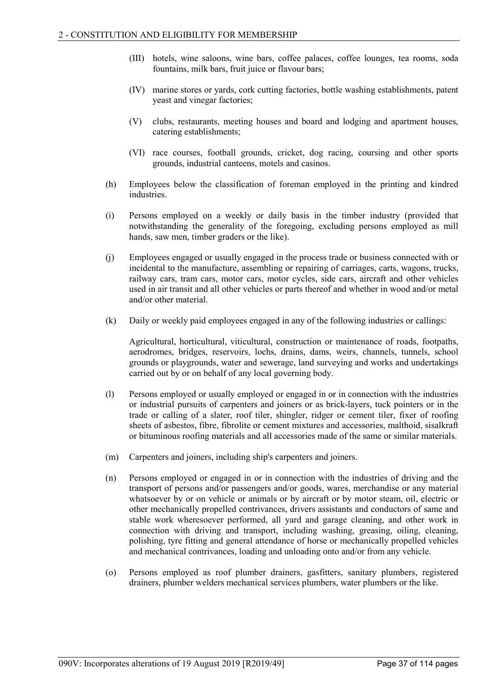- (III) hotels, wine saloons, wine bars, coffee palaces, coffee lounges, tea rooms, soda fountains, milk bars, fruit juice or flavour bars;
- (IV) marine stores or yards, cork cutting factories, bottle washing establishments, patent yeast and vinegar factories;
- (V) clubs, restaurants, meeting houses and board and lodging and apartment houses, catering establishments;
- (VI) race courses, football grounds, cricket, dog racing, coursing and other sports grounds, industrial canteens, motels and casinos.
- (h) Employees below the classification of foreman employed in the printing and kindred industries.
- (i) Persons employed on a weekly or daily basis in the timber industry (provided that notwithstanding the generality of the foregoing, excluding persons employed as mill hands, saw men, timber graders or the like).
- (j) Employees engaged or usually engaged in the process trade or business connected with or incidental to the manufacture, assembling or repairing of carriages, carts, wagons, trucks, railway cars, tram cars, motor cars, motor cycles, side cars, aircraft and other vehicles used in air transit and all other vehicles or parts thereof and whether in wood and/or metal and/or other material.
- (k) Daily or weekly paid employees engaged in any of the following industries or callings:

Agricultural, horticultural, viticultural, construction or maintenance of roads, footpaths, aerodromes, bridges, reservoirs, lochs, drains, dams, weirs, channels, tunnels, school grounds or playgrounds, water and sewerage, land surveying and works and undertakings carried out by or on behalf of any local governing body.

- (l) Persons employed or usually employed or engaged in or in connection with the industries or industrial pursuits of carpenters and joiners or as brick-layers, tuck pointers or in the trade or calling of a slater, roof tiler, shingler, ridger or cement tiler, fixer of roofing sheets of asbestos, fibre, fibrolite or cement mixtures and accessories, malthoid, sisalkraft or bituminous roofing materials and all accessories made of the same or similar materials.
- (m) Carpenters and joiners, including ship's carpenters and joiners.
- (n) Persons employed or engaged in or in connection with the industries of driving and the transport of persons and/or passengers and/or goods, wares, merchandise or any material whatsoever by or on vehicle or animals or by aircraft or by motor steam, oil, electric or other mechanically propelled contrivances, drivers assistants and conductors of same and stable work wheresoever performed, all yard and garage cleaning, and other work in connection with driving and transport, including washing, greasing, oiling, cleaning, polishing, tyre fitting and general attendance of horse or mechanically propelled vehicles and mechanical contrivances, loading and unloading onto and/or from any vehicle.
- (o) Persons employed as roof plumber drainers, gasfitters, sanitary plumbers, registered drainers, plumber welders mechanical services plumbers, water plumbers or the like.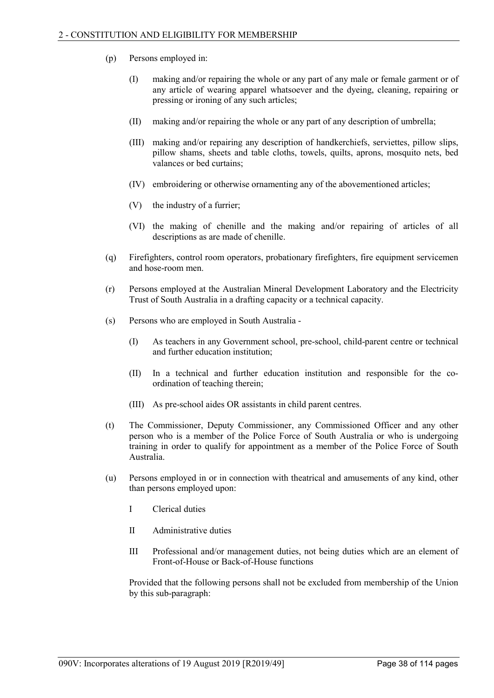- (p) Persons employed in:
	- (I) making and/or repairing the whole or any part of any male or female garment or of any article of wearing apparel whatsoever and the dyeing, cleaning, repairing or pressing or ironing of any such articles;
	- (II) making and/or repairing the whole or any part of any description of umbrella;
	- (III) making and/or repairing any description of handkerchiefs, serviettes, pillow slips, pillow shams, sheets and table cloths, towels, quilts, aprons, mosquito nets, bed valances or bed curtains;
	- (IV) embroidering or otherwise ornamenting any of the abovementioned articles;
	- (V) the industry of a furrier;
	- (VI) the making of chenille and the making and/or repairing of articles of all descriptions as are made of chenille.
- (q) Firefighters, control room operators, probationary firefighters, fire equipment servicemen and hose-room men.
- (r) Persons employed at the Australian Mineral Development Laboratory and the Electricity Trust of South Australia in a drafting capacity or a technical capacity.
- (s) Persons who are employed in South Australia
	- (I) As teachers in any Government school, pre-school, child-parent centre or technical and further education institution;
	- (II) In a technical and further education institution and responsible for the coordination of teaching therein;
	- (III) As pre-school aides OR assistants in child parent centres.
- (t) The Commissioner, Deputy Commissioner, any Commissioned Officer and any other person who is a member of the Police Force of South Australia or who is undergoing training in order to qualify for appointment as a member of the Police Force of South Australia.
- (u) Persons employed in or in connection with theatrical and amusements of any kind, other than persons employed upon:
	- I Clerical duties
	- II Administrative duties
	- III Professional and/or management duties, not being duties which are an element of Front-of-House or Back-of-House functions

Provided that the following persons shall not be excluded from membership of the Union by this sub-paragraph: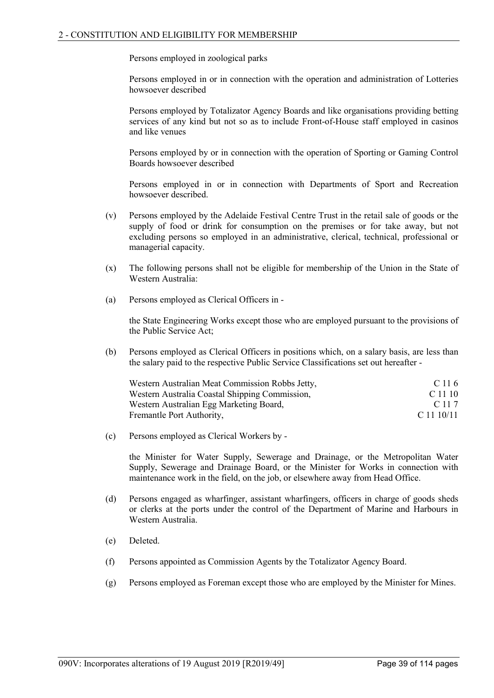Persons employed in zoological parks

Persons employed in or in connection with the operation and administration of Lotteries howsoever described

Persons employed by Totalizator Agency Boards and like organisations providing betting services of any kind but not so as to include Front-of-House staff employed in casinos and like venues

Persons employed by or in connection with the operation of Sporting or Gaming Control Boards howsoever described

Persons employed in or in connection with Departments of Sport and Recreation howsoever described.

- (v) Persons employed by the Adelaide Festival Centre Trust in the retail sale of goods or the supply of food or drink for consumption on the premises or for take away, but not excluding persons so employed in an administrative, clerical, technical, professional or managerial capacity.
- (x) The following persons shall not be eligible for membership of the Union in the State of Western Australia:
- (a) Persons employed as Clerical Officers in -

the State Engineering Works except those who are employed pursuant to the provisions of the Public Service Act;

(b) Persons employed as Clerical Officers in positions which, on a salary basis, are less than the salary paid to the respective Public Service Classifications set out hereafter -

| Western Australian Meat Commission Robbs Jetty, | C 11.6     |
|-------------------------------------------------|------------|
| Western Australia Coastal Shipping Commission,  | C 11 10    |
| Western Australian Egg Marketing Board,         | C 11 7     |
| Fremantle Port Authority,                       | C 11 10/11 |

(c) Persons employed as Clerical Workers by -

the Minister for Water Supply, Sewerage and Drainage, or the Metropolitan Water Supply, Sewerage and Drainage Board, or the Minister for Works in connection with maintenance work in the field, on the job, or elsewhere away from Head Office.

- (d) Persons engaged as wharfinger, assistant wharfingers, officers in charge of goods sheds or clerks at the ports under the control of the Department of Marine and Harbours in Western Australia.
- (e) Deleted.
- (f) Persons appointed as Commission Agents by the Totalizator Agency Board.
- (g) Persons employed as Foreman except those who are employed by the Minister for Mines.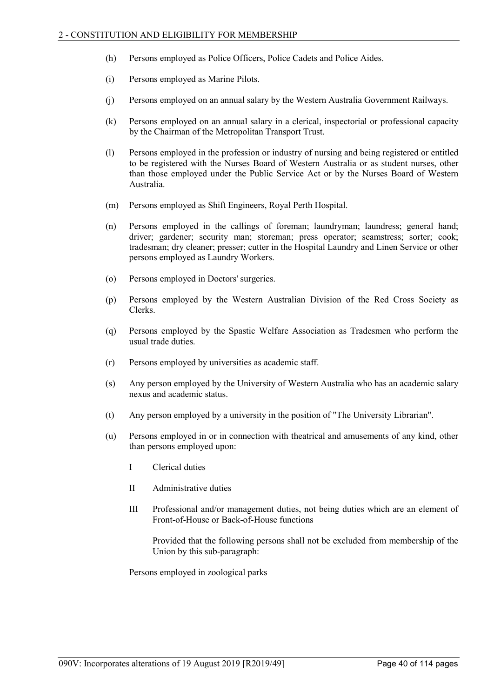- (h) Persons employed as Police Officers, Police Cadets and Police Aides.
- (i) Persons employed as Marine Pilots.
- (j) Persons employed on an annual salary by the Western Australia Government Railways.
- (k) Persons employed on an annual salary in a clerical, inspectorial or professional capacity by the Chairman of the Metropolitan Transport Trust.
- (l) Persons employed in the profession or industry of nursing and being registered or entitled to be registered with the Nurses Board of Western Australia or as student nurses, other than those employed under the Public Service Act or by the Nurses Board of Western Australia.
- (m) Persons employed as Shift Engineers, Royal Perth Hospital.
- (n) Persons employed in the callings of foreman; laundryman; laundress; general hand; driver; gardener; security man; storeman; press operator; seamstress; sorter; cook; tradesman; dry cleaner; presser; cutter in the Hospital Laundry and Linen Service or other persons employed as Laundry Workers.
- (o) Persons employed in Doctors' surgeries.
- (p) Persons employed by the Western Australian Division of the Red Cross Society as Clerks.
- (q) Persons employed by the Spastic Welfare Association as Tradesmen who perform the usual trade duties.
- (r) Persons employed by universities as academic staff.
- (s) Any person employed by the University of Western Australia who has an academic salary nexus and academic status.
- (t) Any person employed by a university in the position of "The University Librarian".
- (u) Persons employed in or in connection with theatrical and amusements of any kind, other than persons employed upon:
	- I Clerical duties
	- II Administrative duties
	- III Professional and/or management duties, not being duties which are an element of Front-of-House or Back-of-House functions

Provided that the following persons shall not be excluded from membership of the Union by this sub-paragraph:

Persons employed in zoological parks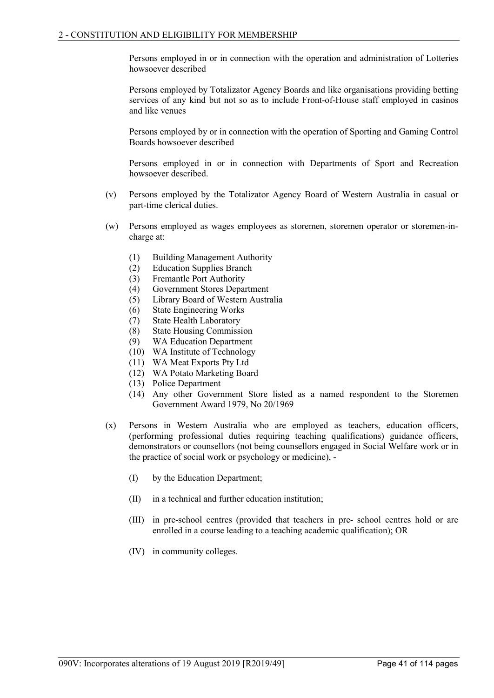Persons employed in or in connection with the operation and administration of Lotteries howsoever described

Persons employed by Totalizator Agency Boards and like organisations providing betting services of any kind but not so as to include Front-of-House staff employed in casinos and like venues

Persons employed by or in connection with the operation of Sporting and Gaming Control Boards howsoever described

Persons employed in or in connection with Departments of Sport and Recreation howsoever described.

- (v) Persons employed by the Totalizator Agency Board of Western Australia in casual or part-time clerical duties.
- (w) Persons employed as wages employees as storemen, storemen operator or storemen-incharge at:
	- (1) Building Management Authority
	- (2) Education Supplies Branch
	- (3) Fremantle Port Authority
	- (4) Government Stores Department
	- (5) Library Board of Western Australia
	- (6) State Engineering Works
	- (7) State Health Laboratory
	- (8) State Housing Commission
	- (9) WA Education Department
	- (10) WA Institute of Technology
	- (11) WA Meat Exports Pty Ltd
	- (12) WA Potato Marketing Board
	- (13) Police Department
	- (14) Any other Government Store listed as a named respondent to the Storemen Government Award 1979, No 20/1969
- (x) Persons in Western Australia who are employed as teachers, education officers, (performing professional duties requiring teaching qualifications) guidance officers, demonstrators or counsellors (not being counsellors engaged in Social Welfare work or in the practice of social work or psychology or medicine), -
	- (I) by the Education Department;
	- (II) in a technical and further education institution;
	- (III) in pre-school centres (provided that teachers in pre- school centres hold or are enrolled in a course leading to a teaching academic qualification); OR
	- (IV) in community colleges.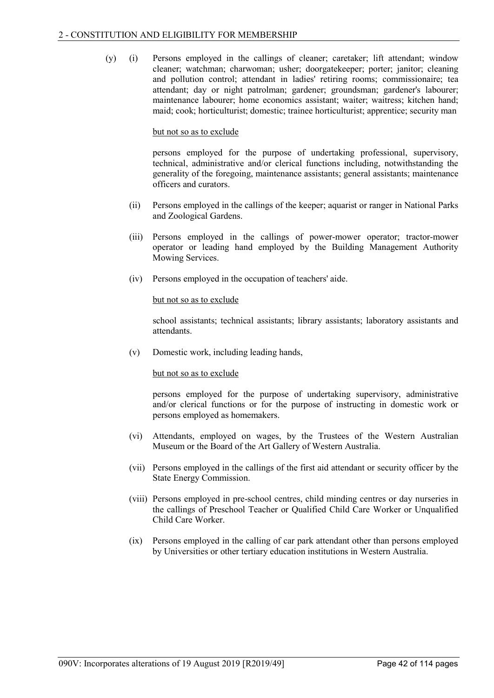(y) (i) Persons employed in the callings of cleaner; caretaker; lift attendant; window cleaner; watchman; charwoman; usher; doorgatekeeper; porter; janitor; cleaning and pollution control; attendant in ladies' retiring rooms; commissionaire; tea attendant; day or night patrolman; gardener; groundsman; gardener's labourer; maintenance labourer; home economics assistant; waiter; waitress; kitchen hand; maid; cook; horticulturist; domestic; trainee horticulturist; apprentice; security man

### but not so as to exclude

persons employed for the purpose of undertaking professional, supervisory, technical, administrative and/or clerical functions including, notwithstanding the generality of the foregoing, maintenance assistants; general assistants; maintenance officers and curators.

- (ii) Persons employed in the callings of the keeper; aquarist or ranger in National Parks and Zoological Gardens.
- (iii) Persons employed in the callings of power-mower operator; tractor-mower operator or leading hand employed by the Building Management Authority Mowing Services.
- (iv) Persons employed in the occupation of teachers' aide.

### but not so as to exclude

school assistants; technical assistants; library assistants; laboratory assistants and attendants.

(v) Domestic work, including leading hands,

### but not so as to exclude

persons employed for the purpose of undertaking supervisory, administrative and/or clerical functions or for the purpose of instructing in domestic work or persons employed as homemakers.

- (vi) Attendants, employed on wages, by the Trustees of the Western Australian Museum or the Board of the Art Gallery of Western Australia.
- (vii) Persons employed in the callings of the first aid attendant or security officer by the State Energy Commission.
- (viii) Persons employed in pre-school centres, child minding centres or day nurseries in the callings of Preschool Teacher or Qualified Child Care Worker or Unqualified Child Care Worker.
- (ix) Persons employed in the calling of car park attendant other than persons employed by Universities or other tertiary education institutions in Western Australia.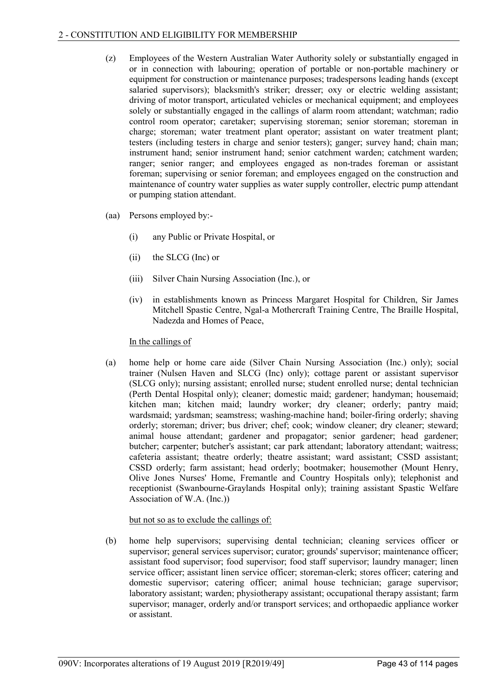- (z) Employees of the Western Australian Water Authority solely or substantially engaged in or in connection with labouring; operation of portable or non-portable machinery or equipment for construction or maintenance purposes; tradespersons leading hands (except salaried supervisors); blacksmith's striker; dresser; oxy or electric welding assistant; driving of motor transport, articulated vehicles or mechanical equipment; and employees solely or substantially engaged in the callings of alarm room attendant; watchman; radio control room operator; caretaker; supervising storeman; senior storeman; storeman in charge; storeman; water treatment plant operator; assistant on water treatment plant; testers (including testers in charge and senior testers); ganger; survey hand; chain man; instrument hand; senior instrument hand; senior catchment warden; catchment warden; ranger; senior ranger; and employees engaged as non-trades foreman or assistant foreman; supervising or senior foreman; and employees engaged on the construction and maintenance of country water supplies as water supply controller, electric pump attendant or pumping station attendant.
- (aa) Persons employed by:-
	- (i) any Public or Private Hospital, or
	- (ii) the SLCG (Inc) or
	- (iii) Silver Chain Nursing Association (Inc.), or
	- (iv) in establishments known as Princess Margaret Hospital for Children, Sir James Mitchell Spastic Centre, Ngal-a Mothercraft Training Centre, The Braille Hospital, Nadezda and Homes of Peace,

### In the callings of

(a) home help or home care aide (Silver Chain Nursing Association (Inc.) only); social trainer (Nulsen Haven and SLCG (Inc) only); cottage parent or assistant supervisor (SLCG only); nursing assistant; enrolled nurse; student enrolled nurse; dental technician (Perth Dental Hospital only); cleaner; domestic maid; gardener; handyman; housemaid; kitchen man; kitchen maid; laundry worker; dry cleaner; orderly; pantry maid; wardsmaid; yardsman; seamstress; washing-machine hand; boiler-firing orderly; shaving orderly; storeman; driver; bus driver; chef; cook; window cleaner; dry cleaner; steward; animal house attendant; gardener and propagator; senior gardener; head gardener; butcher; carpenter; butcher's assistant; car park attendant; laboratory attendant; waitress; cafeteria assistant; theatre orderly; theatre assistant; ward assistant; CSSD assistant; CSSD orderly; farm assistant; head orderly; bootmaker; housemother (Mount Henry, Olive Jones Nurses' Home, Fremantle and Country Hospitals only); telephonist and receptionist (Swanbourne-Graylands Hospital only); training assistant Spastic Welfare Association of W.A. (Inc.))

### but not so as to exclude the callings of:

(b) home help supervisors; supervising dental technician; cleaning services officer or supervisor; general services supervisor; curator; grounds' supervisor; maintenance officer; assistant food supervisor; food supervisor; food staff supervisor; laundry manager; linen service officer; assistant linen service officer; storeman-clerk; stores officer; catering and domestic supervisor; catering officer; animal house technician; garage supervisor; laboratory assistant; warden; physiotherapy assistant; occupational therapy assistant; farm supervisor; manager, orderly and/or transport services; and orthopaedic appliance worker or assistant.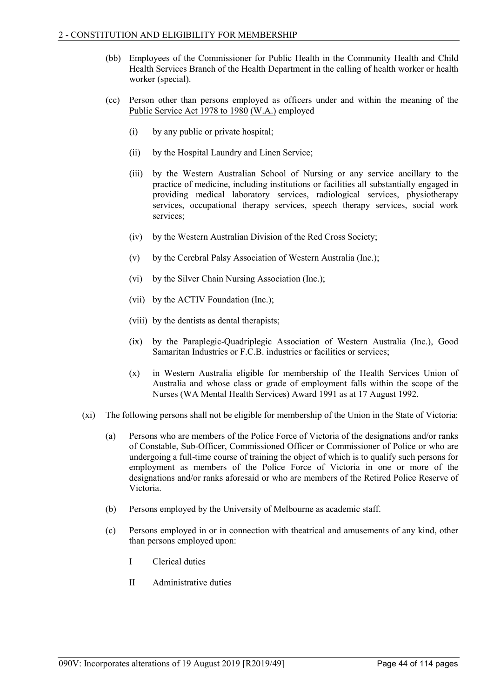- (bb) Employees of the Commissioner for Public Health in the Community Health and Child Health Services Branch of the Health Department in the calling of health worker or health worker (special).
- (cc) Person other than persons employed as officers under and within the meaning of the Public Service Act 1978 to 1980 (W.A.) employed
	- (i) by any public or private hospital;
	- (ii) by the Hospital Laundry and Linen Service;
	- (iii) by the Western Australian School of Nursing or any service ancillary to the practice of medicine, including institutions or facilities all substantially engaged in providing medical laboratory services, radiological services, physiotherapy services, occupational therapy services, speech therapy services, social work services;
	- (iv) by the Western Australian Division of the Red Cross Society;
	- (v) by the Cerebral Palsy Association of Western Australia (Inc.);
	- (vi) by the Silver Chain Nursing Association (Inc.);
	- (vii) by the ACTIV Foundation (Inc.);
	- (viii) by the dentists as dental therapists;
	- (ix) by the Paraplegic-Quadriplegic Association of Western Australia (Inc.), Good Samaritan Industries or F.C.B. industries or facilities or services;
	- (x) in Western Australia eligible for membership of the Health Services Union of Australia and whose class or grade of employment falls within the scope of the Nurses (WA Mental Health Services) Award 1991 as at 17 August 1992.
- (xi) The following persons shall not be eligible for membership of the Union in the State of Victoria:
	- (a) Persons who are members of the Police Force of Victoria of the designations and/or ranks of Constable, Sub-Officer, Commissioned Officer or Commissioner of Police or who are undergoing a full-time course of training the object of which is to qualify such persons for employment as members of the Police Force of Victoria in one or more of the designations and/or ranks aforesaid or who are members of the Retired Police Reserve of Victoria.
	- (b) Persons employed by the University of Melbourne as academic staff.
	- (c) Persons employed in or in connection with theatrical and amusements of any kind, other than persons employed upon:
		- I Clerical duties
		- II Administrative duties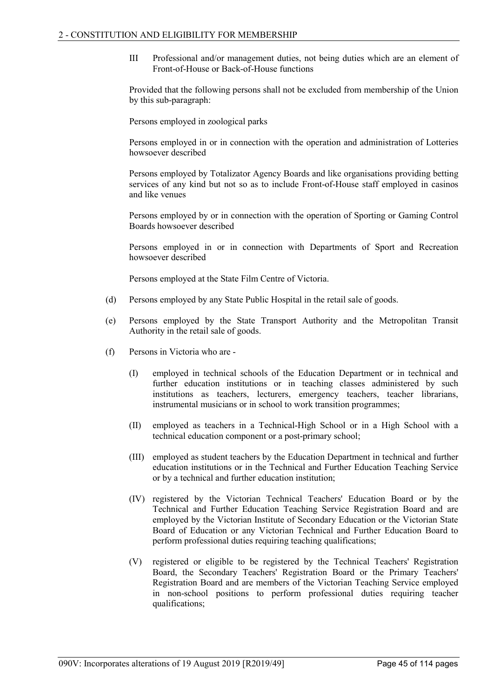III Professional and/or management duties, not being duties which are an element of Front-of-House or Back-of-House functions

Provided that the following persons shall not be excluded from membership of the Union by this sub-paragraph:

Persons employed in zoological parks

Persons employed in or in connection with the operation and administration of Lotteries howsoever described

Persons employed by Totalizator Agency Boards and like organisations providing betting services of any kind but not so as to include Front-of-House staff employed in casinos and like venues

Persons employed by or in connection with the operation of Sporting or Gaming Control Boards howsoever described

Persons employed in or in connection with Departments of Sport and Recreation howsoever described

Persons employed at the State Film Centre of Victoria.

- (d) Persons employed by any State Public Hospital in the retail sale of goods.
- (e) Persons employed by the State Transport Authority and the Metropolitan Transit Authority in the retail sale of goods.
- (f) Persons in Victoria who are
	- (I) employed in technical schools of the Education Department or in technical and further education institutions or in teaching classes administered by such institutions as teachers, lecturers, emergency teachers, teacher librarians, instrumental musicians or in school to work transition programmes;
	- (II) employed as teachers in a Technical-High School or in a High School with a technical education component or a post-primary school;
	- (III) employed as student teachers by the Education Department in technical and further education institutions or in the Technical and Further Education Teaching Service or by a technical and further education institution;
	- (IV) registered by the Victorian Technical Teachers' Education Board or by the Technical and Further Education Teaching Service Registration Board and are employed by the Victorian Institute of Secondary Education or the Victorian State Board of Education or any Victorian Technical and Further Education Board to perform professional duties requiring teaching qualifications;
	- (V) registered or eligible to be registered by the Technical Teachers' Registration Board, the Secondary Teachers' Registration Board or the Primary Teachers' Registration Board and are members of the Victorian Teaching Service employed in non-school positions to perform professional duties requiring teacher qualifications;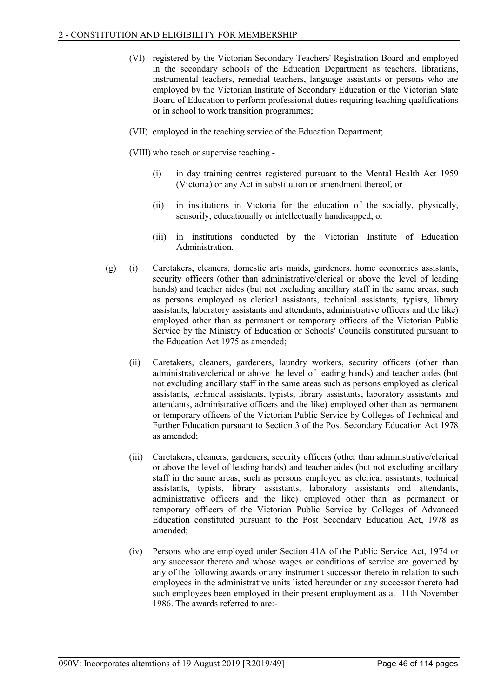- (VI) registered by the Victorian Secondary Teachers' Registration Board and employed in the secondary schools of the Education Department as teachers, librarians, instrumental teachers, remedial teachers, language assistants or persons who are employed by the Victorian Institute of Secondary Education or the Victorian State Board of Education to perform professional duties requiring teaching qualifications or in school to work transition programmes;
- (VII) employed in the teaching service of the Education Department;
- (VIII) who teach or supervise teaching
	- (i) in day training centres registered pursuant to the Mental Health Act 1959 (Victoria) or any Act in substitution or amendment thereof, or
	- (ii) in institutions in Victoria for the education of the socially, physically, sensorily, educationally or intellectually handicapped, or
	- (iii) in institutions conducted by the Victorian Institute of Education Administration.
- (g) (i) Caretakers, cleaners, domestic arts maids, gardeners, home economics assistants, security officers (other than administrative/clerical or above the level of leading hands) and teacher aides (but not excluding ancillary staff in the same areas, such as persons employed as clerical assistants, technical assistants, typists, library assistants, laboratory assistants and attendants, administrative officers and the like) employed other than as permanent or temporary officers of the Victorian Public Service by the Ministry of Education or Schools' Councils constituted pursuant to the Education Act 1975 as amended;
	- (ii) Caretakers, cleaners, gardeners, laundry workers, security officers (other than administrative/clerical or above the level of leading hands) and teacher aides (but not excluding ancillary staff in the same areas such as persons employed as clerical assistants, technical assistants, typists, library assistants, laboratory assistants and attendants, administrative officers and the like) employed other than as permanent or temporary officers of the Victorian Public Service by Colleges of Technical and Further Education pursuant to Section 3 of the Post Secondary Education Act 1978 as amended;
	- (iii) Caretakers, cleaners, gardeners, security officers (other than administrative/clerical or above the level of leading hands) and teacher aides (but not excluding ancillary staff in the same areas, such as persons employed as clerical assistants, technical assistants, typists, library assistants, laboratory assistants and attendants, administrative officers and the like) employed other than as permanent or temporary officers of the Victorian Public Service by Colleges of Advanced Education constituted pursuant to the Post Secondary Education Act, 1978 as amended;
	- (iv) Persons who are employed under Section 41A of the Public Service Act, 1974 or any successor thereto and whose wages or conditions of service are governed by any of the following awards or any instrument successor thereto in relation to such employees in the administrative units listed hereunder or any successor thereto had such employees been employed in their present employment as at 11th November 1986. The awards referred to are:-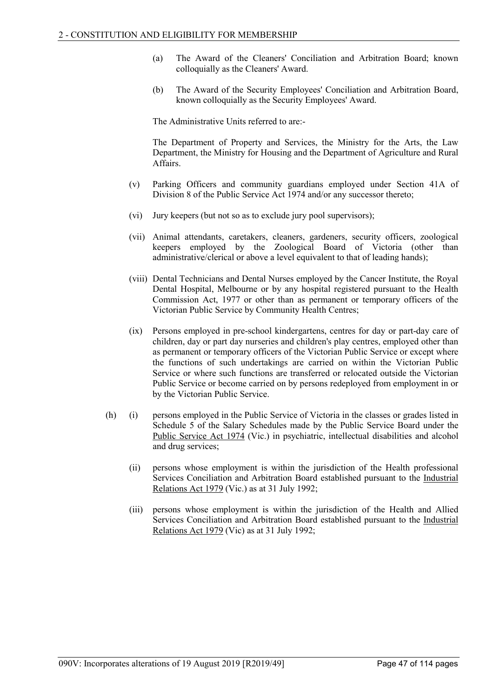- (a) The Award of the Cleaners' Conciliation and Arbitration Board; known colloquially as the Cleaners' Award.
- (b) The Award of the Security Employees' Conciliation and Arbitration Board, known colloquially as the Security Employees' Award.

The Administrative Units referred to are:-

The Department of Property and Services, the Ministry for the Arts, the Law Department, the Ministry for Housing and the Department of Agriculture and Rural Affairs.

- (v) Parking Officers and community guardians employed under Section 41A of Division 8 of the Public Service Act 1974 and/or any successor thereto;
- (vi) Jury keepers (but not so as to exclude jury pool supervisors);
- (vii) Animal attendants, caretakers, cleaners, gardeners, security officers, zoological keepers employed by the Zoological Board of Victoria (other than administrative/clerical or above a level equivalent to that of leading hands);
- (viii) Dental Technicians and Dental Nurses employed by the Cancer Institute, the Royal Dental Hospital, Melbourne or by any hospital registered pursuant to the Health Commission Act, 1977 or other than as permanent or temporary officers of the Victorian Public Service by Community Health Centres;
- (ix) Persons employed in pre-school kindergartens, centres for day or part-day care of children, day or part day nurseries and children's play centres, employed other than as permanent or temporary officers of the Victorian Public Service or except where the functions of such undertakings are carried on within the Victorian Public Service or where such functions are transferred or relocated outside the Victorian Public Service or become carried on by persons redeployed from employment in or by the Victorian Public Service.
- (h) (i) persons employed in the Public Service of Victoria in the classes or grades listed in Schedule 5 of the Salary Schedules made by the Public Service Board under the Public Service Act 1974 (Vic.) in psychiatric, intellectual disabilities and alcohol and drug services;
	- (ii) persons whose employment is within the jurisdiction of the Health professional Services Conciliation and Arbitration Board established pursuant to the Industrial Relations Act 1979 (Vic.) as at 31 July 1992;
	- (iii) persons whose employment is within the jurisdiction of the Health and Allied Services Conciliation and Arbitration Board established pursuant to the Industrial Relations Act 1979 (Vic) as at 31 July 1992;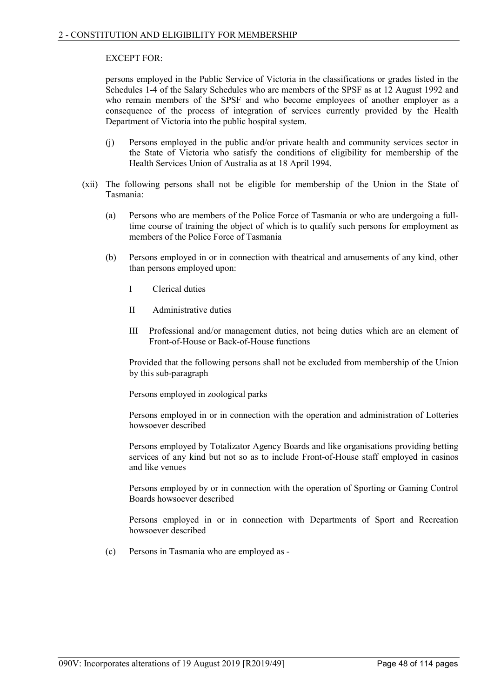# EXCEPT FOR:

persons employed in the Public Service of Victoria in the classifications or grades listed in the Schedules 1-4 of the Salary Schedules who are members of the SPSF as at 12 August 1992 and who remain members of the SPSF and who become employees of another employer as a consequence of the process of integration of services currently provided by the Health Department of Victoria into the public hospital system.

- (j) Persons employed in the public and/or private health and community services sector in the State of Victoria who satisfy the conditions of eligibility for membership of the Health Services Union of Australia as at 18 April 1994.
- (xii) The following persons shall not be eligible for membership of the Union in the State of Tasmania:
	- (a) Persons who are members of the Police Force of Tasmania or who are undergoing a fulltime course of training the object of which is to qualify such persons for employment as members of the Police Force of Tasmania
	- (b) Persons employed in or in connection with theatrical and amusements of any kind, other than persons employed upon:
		- I Clerical duties
		- II Administrative duties
		- III Professional and/or management duties, not being duties which are an element of Front-of-House or Back-of-House functions

Provided that the following persons shall not be excluded from membership of the Union by this sub-paragraph

Persons employed in zoological parks

Persons employed in or in connection with the operation and administration of Lotteries howsoever described

Persons employed by Totalizator Agency Boards and like organisations providing betting services of any kind but not so as to include Front-of-House staff employed in casinos and like venues

Persons employed by or in connection with the operation of Sporting or Gaming Control Boards howsoever described

Persons employed in or in connection with Departments of Sport and Recreation howsoever described

(c) Persons in Tasmania who are employed as -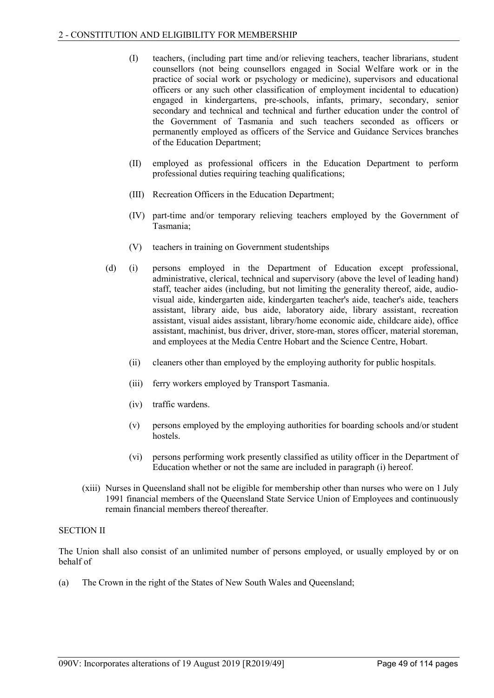- (I) teachers, (including part time and/or relieving teachers, teacher librarians, student counsellors (not being counsellors engaged in Social Welfare work or in the practice of social work or psychology or medicine), supervisors and educational officers or any such other classification of employment incidental to education) engaged in kindergartens, pre-schools, infants, primary, secondary, senior secondary and technical and technical and further education under the control of the Government of Tasmania and such teachers seconded as officers or permanently employed as officers of the Service and Guidance Services branches of the Education Department;
- (II) employed as professional officers in the Education Department to perform professional duties requiring teaching qualifications;
- (III) Recreation Officers in the Education Department;
- (IV) part-time and/or temporary relieving teachers employed by the Government of Tasmania;
- (V) teachers in training on Government studentships
- (d) (i) persons employed in the Department of Education except professional, administrative, clerical, technical and supervisory (above the level of leading hand) staff, teacher aides (including, but not limiting the generality thereof, aide, audiovisual aide, kindergarten aide, kindergarten teacher's aide, teacher's aide, teachers assistant, library aide, bus aide, laboratory aide, library assistant, recreation assistant, visual aides assistant, library/home economic aide, childcare aide), office assistant, machinist, bus driver, driver, store-man, stores officer, material storeman, and employees at the Media Centre Hobart and the Science Centre, Hobart.
	- (ii) cleaners other than employed by the employing authority for public hospitals.
	- (iii) ferry workers employed by Transport Tasmania.
	- (iv) traffic wardens.
	- (v) persons employed by the employing authorities for boarding schools and/or student hostels.
	- (vi) persons performing work presently classified as utility officer in the Department of Education whether or not the same are included in paragraph (i) hereof.
- (xiii) Nurses in Queensland shall not be eligible for membership other than nurses who were on 1 July 1991 financial members of the Queensland State Service Union of Employees and continuously remain financial members thereof thereafter.

### SECTION II

The Union shall also consist of an unlimited number of persons employed, or usually employed by or on behalf of

(a) The Crown in the right of the States of New South Wales and Queensland;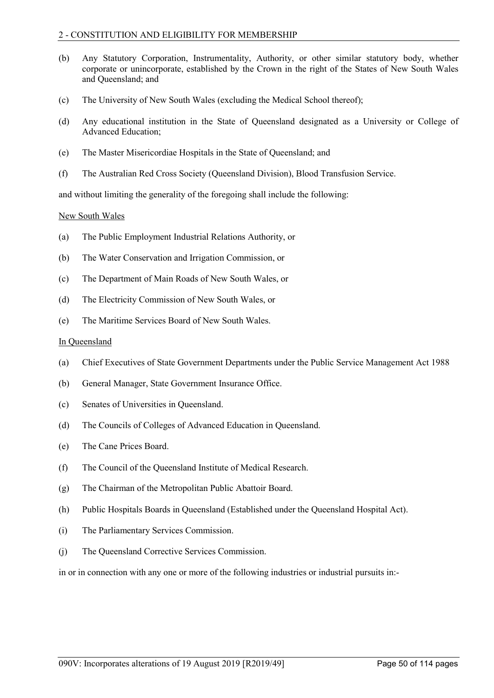### 2 - CONSTITUTION AND ELIGIBILITY FOR MEMBERSHIP

- (b) Any Statutory Corporation, Instrumentality, Authority, or other similar statutory body, whether corporate or unincorporate, established by the Crown in the right of the States of New South Wales and Queensland; and
- (c) The University of New South Wales (excluding the Medical School thereof);
- (d) Any educational institution in the State of Queensland designated as a University or College of Advanced Education;
- (e) The Master Misericordiae Hospitals in the State of Queensland; and
- (f) The Australian Red Cross Society (Queensland Division), Blood Transfusion Service.

and without limiting the generality of the foregoing shall include the following:

# New South Wales

- (a) The Public Employment Industrial Relations Authority, or
- (b) The Water Conservation and Irrigation Commission, or
- (c) The Department of Main Roads of New South Wales, or
- (d) The Electricity Commission of New South Wales, or
- (e) The Maritime Services Board of New South Wales.

### In Queensland

- (a) Chief Executives of State Government Departments under the Public Service Management Act 1988
- (b) General Manager, State Government Insurance Office.
- (c) Senates of Universities in Queensland.
- (d) The Councils of Colleges of Advanced Education in Queensland.
- (e) The Cane Prices Board.
- (f) The Council of the Queensland Institute of Medical Research.
- (g) The Chairman of the Metropolitan Public Abattoir Board.
- (h) Public Hospitals Boards in Queensland (Established under the Queensland Hospital Act).
- (i) The Parliamentary Services Commission.
- (j) The Queensland Corrective Services Commission.

in or in connection with any one or more of the following industries or industrial pursuits in:-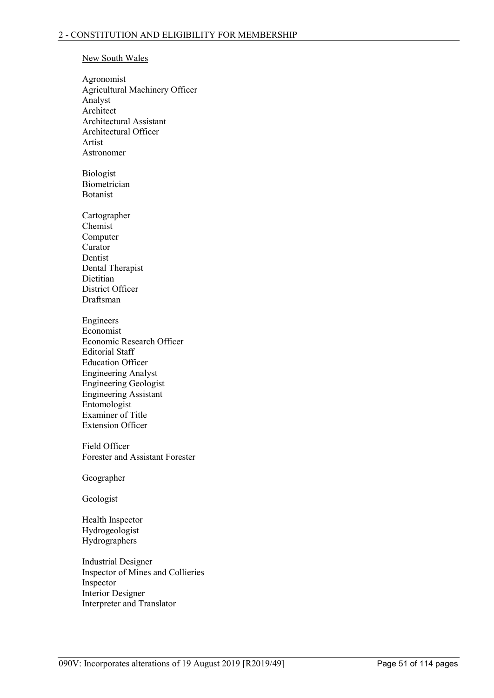# New South Wales

Agronomist Agricultural Machinery Officer Analyst Architect Architectural Assistant Architectural Officer Artist Astronomer

Biologist Biometrician Botanist

Cartographer Chemist Computer Curator Dentist Dental Therapist Dietitian District Officer Draftsman

Engineers Economist Economic Research Officer Editorial Staff Education Officer Engineering Analyst Engineering Geologist Engineering Assistant Entomologist Examiner of Title Extension Officer

Field Officer Forester and Assistant Forester

Geographer

Geologist

Health Inspector Hydrogeologist Hydrographers

Industrial Designer Inspector of Mines and Collieries Inspector Interior Designer Interpreter and Translator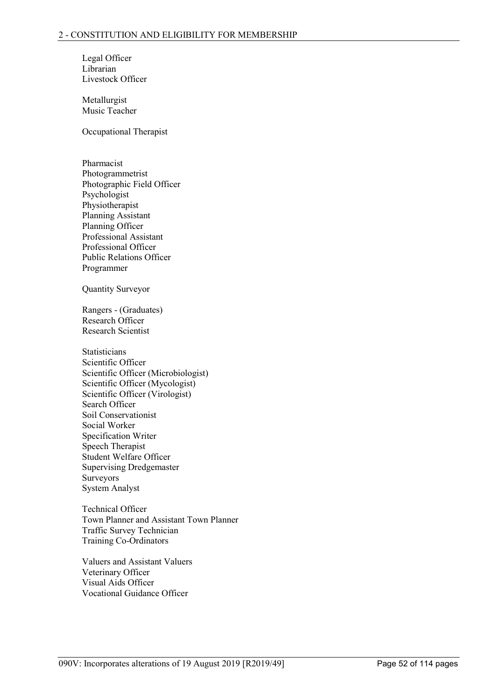Legal Officer Librarian Livestock Officer

Metallurgist Music Teacher

Occupational Therapist

Pharmacist Photogrammetrist Photographic Field Officer Psychologist Physiotherapist Planning Assistant Planning Officer Professional Assistant Professional Officer Public Relations Officer Programmer

Quantity Surveyor

Rangers - (Graduates) Research Officer Research Scientist

**Statisticians** Scientific Officer Scientific Officer (Microbiologist) Scientific Officer (Mycologist) Scientific Officer (Virologist) Search Officer Soil Conservationist Social Worker Specification Writer Speech Therapist Student Welfare Officer Supervising Dredgemaster Surveyors System Analyst

Technical Officer Town Planner and Assistant Town Planner Traffic Survey Technician Training Co-Ordinators

Valuers and Assistant Valuers Veterinary Officer Visual Aids Officer Vocational Guidance Officer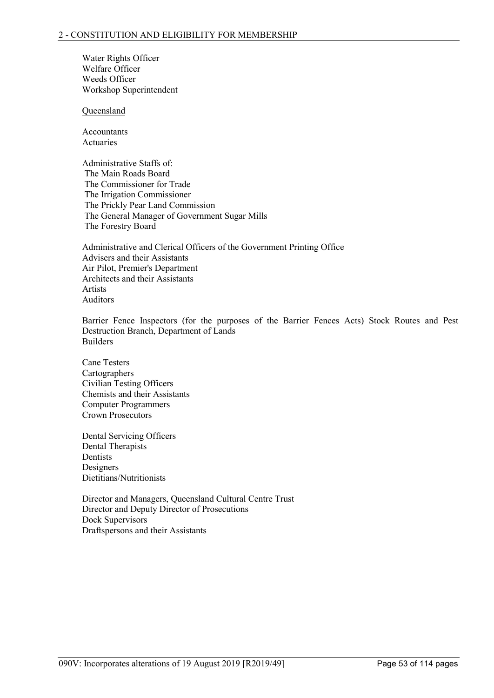Water Rights Officer Welfare Officer Weeds Officer Workshop Superintendent

Queensland

Accountants Actuaries

Administrative Staffs of: The Main Roads Board The Commissioner for Trade The Irrigation Commissioner The Prickly Pear Land Commission The General Manager of Government Sugar Mills The Forestry Board

Administrative and Clerical Officers of the Government Printing Office Advisers and their Assistants Air Pilot, Premier's Department Architects and their Assistants Artists Auditors

Barrier Fence Inspectors (for the purposes of the Barrier Fences Acts) Stock Routes and Pest Destruction Branch, Department of Lands Builders

Cane Testers Cartographers Civilian Testing Officers Chemists and their Assistants Computer Programmers Crown Prosecutors

Dental Servicing Officers Dental Therapists Dentists Designers Dietitians/Nutritionists

Director and Managers, Queensland Cultural Centre Trust Director and Deputy Director of Prosecutions Dock Supervisors Draftspersons and their Assistants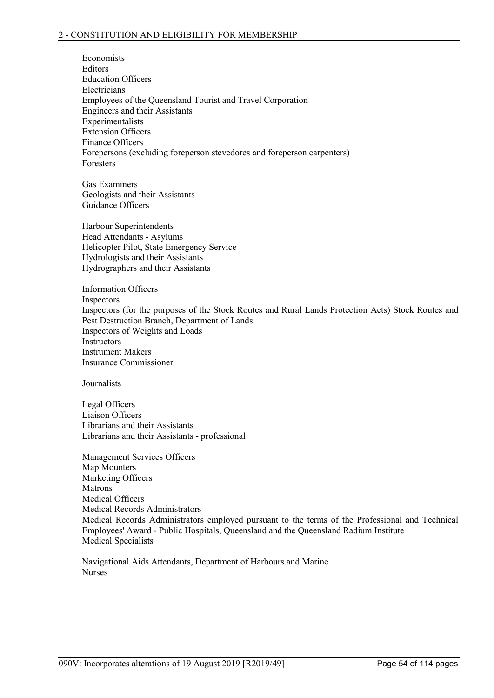Economists **Editors** Education Officers **Electricians** Employees of the Queensland Tourist and Travel Corporation Engineers and their Assistants Experimentalists Extension Officers Finance Officers Forepersons (excluding foreperson stevedores and foreperson carpenters) Foresters

Gas Examiners Geologists and their Assistants Guidance Officers

Harbour Superintendents Head Attendants - Asylums Helicopter Pilot, State Emergency Service Hydrologists and their Assistants Hydrographers and their Assistants

Information Officers Inspectors Inspectors (for the purposes of the Stock Routes and Rural Lands Protection Acts) Stock Routes and Pest Destruction Branch, Department of Lands Inspectors of Weights and Loads **Instructors** Instrument Makers Insurance Commissioner

Journalists

Legal Officers Liaison Officers Librarians and their Assistants Librarians and their Assistants - professional

Management Services Officers Map Mounters Marketing Officers Matrons Medical Officers Medical Records Administrators Medical Records Administrators employed pursuant to the terms of the Professional and Technical Employees' Award - Public Hospitals, Queensland and the Queensland Radium Institute Medical Specialists

Navigational Aids Attendants, Department of Harbours and Marine Nurses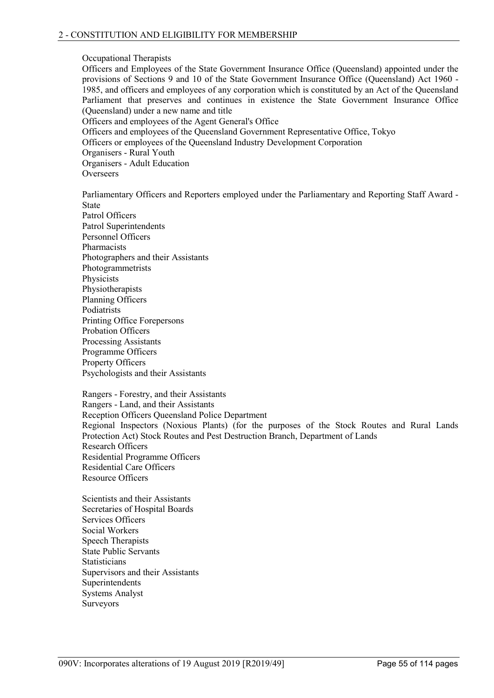### Occupational Therapists

Officers and Employees of the State Government Insurance Office (Queensland) appointed under the provisions of Sections 9 and 10 of the State Government Insurance Office (Queensland) Act 1960 - 1985, and officers and employees of any corporation which is constituted by an Act of the Queensland Parliament that preserves and continues in existence the State Government Insurance Office (Queensland) under a new name and title Officers and employees of the Agent General's Office Officers and employees of the Queensland Government Representative Office, Tokyo

Officers or employees of the Queensland Industry Development Corporation

Organisers - Rural Youth

Organisers - Adult Education **Overseers** 

Parliamentary Officers and Reporters employed under the Parliamentary and Reporting Staff Award - State Patrol Officers

Patrol Superintendents Personnel Officers Pharmacists Photographers and their Assistants Photogrammetrists **Physicists** Physiotherapists Planning Officers Podiatrists Printing Office Forepersons Probation Officers Processing Assistants Programme Officers Property Officers Psychologists and their Assistants

Rangers - Forestry, and their Assistants Rangers - Land, and their Assistants Reception Officers Queensland Police Department Regional Inspectors (Noxious Plants) (for the purposes of the Stock Routes and Rural Lands Protection Act) Stock Routes and Pest Destruction Branch, Department of Lands Research Officers Residential Programme Officers Residential Care Officers Resource Officers

Scientists and their Assistants Secretaries of Hospital Boards Services Officers Social Workers Speech Therapists State Public Servants **Statisticians** Supervisors and their Assistants Superintendents Systems Analyst Surveyors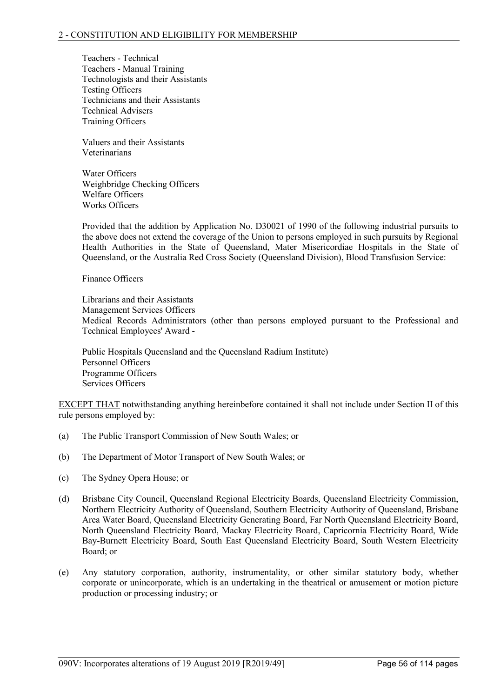Teachers - Technical Teachers - Manual Training Technologists and their Assistants Testing Officers Technicians and their Assistants Technical Advisers Training Officers

Valuers and their Assistants Veterinarians

Water Officers Weighbridge Checking Officers Welfare Officers Works Officers

Provided that the addition by Application No. D30021 of 1990 of the following industrial pursuits to the above does not extend the coverage of the Union to persons employed in such pursuits by Regional Health Authorities in the State of Queensland, Mater Misericordiae Hospitals in the State of Queensland, or the Australia Red Cross Society (Queensland Division), Blood Transfusion Service:

Finance Officers

Librarians and their Assistants Management Services Officers Medical Records Administrators (other than persons employed pursuant to the Professional and Technical Employees' Award -

Public Hospitals Queensland and the Queensland Radium Institute) Personnel Officers Programme Officers Services Officers

EXCEPT THAT notwithstanding anything hereinbefore contained it shall not include under Section II of this rule persons employed by:

- (a) The Public Transport Commission of New South Wales; or
- (b) The Department of Motor Transport of New South Wales; or
- (c) The Sydney Opera House; or
- (d) Brisbane City Council, Queensland Regional Electricity Boards, Queensland Electricity Commission, Northern Electricity Authority of Queensland, Southern Electricity Authority of Queensland, Brisbane Area Water Board, Queensland Electricity Generating Board, Far North Queensland Electricity Board, North Queensland Electricity Board, Mackay Electricity Board, Capricornia Electricity Board, Wide Bay-Burnett Electricity Board, South East Queensland Electricity Board, South Western Electricity Board; or
- (e) Any statutory corporation, authority, instrumentality, or other similar statutory body, whether corporate or unincorporate, which is an undertaking in the theatrical or amusement or motion picture production or processing industry; or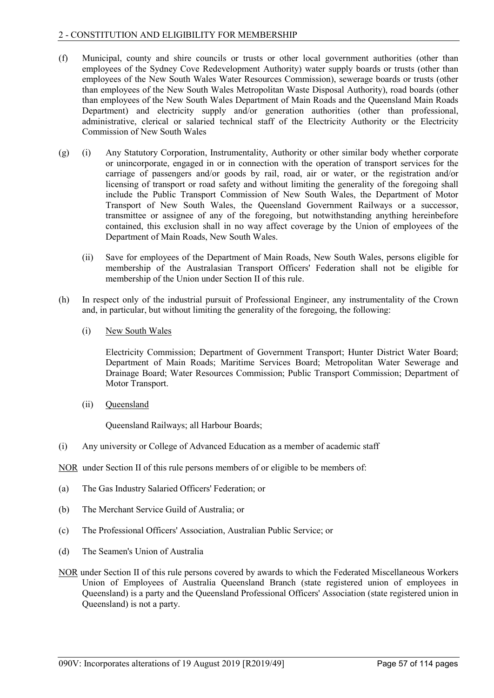# 2 - CONSTITUTION AND ELIGIBILITY FOR MEMBERSHIP

- (f) Municipal, county and shire councils or trusts or other local government authorities (other than employees of the Sydney Cove Redevelopment Authority) water supply boards or trusts (other than employees of the New South Wales Water Resources Commission), sewerage boards or trusts (other than employees of the New South Wales Metropolitan Waste Disposal Authority), road boards (other than employees of the New South Wales Department of Main Roads and the Queensland Main Roads Department) and electricity supply and/or generation authorities (other than professional, administrative, clerical or salaried technical staff of the Electricity Authority or the Electricity Commission of New South Wales
- (g) (i) Any Statutory Corporation, Instrumentality, Authority or other similar body whether corporate or unincorporate, engaged in or in connection with the operation of transport services for the carriage of passengers and/or goods by rail, road, air or water, or the registration and/or licensing of transport or road safety and without limiting the generality of the foregoing shall include the Public Transport Commission of New South Wales, the Department of Motor Transport of New South Wales, the Queensland Government Railways or a successor, transmittee or assignee of any of the foregoing, but notwithstanding anything hereinbefore contained, this exclusion shall in no way affect coverage by the Union of employees of the Department of Main Roads, New South Wales.
	- (ii) Save for employees of the Department of Main Roads, New South Wales, persons eligible for membership of the Australasian Transport Officers' Federation shall not be eligible for membership of the Union under Section II of this rule.
- (h) In respect only of the industrial pursuit of Professional Engineer, any instrumentality of the Crown and, in particular, but without limiting the generality of the foregoing, the following:
	- (i) New South Wales

Electricity Commission; Department of Government Transport; Hunter District Water Board; Department of Main Roads; Maritime Services Board; Metropolitan Water Sewerage and Drainage Board; Water Resources Commission; Public Transport Commission; Department of Motor Transport.

(ii) Queensland

Queensland Railways; all Harbour Boards;

(i) Any university or College of Advanced Education as a member of academic staff

NOR under Section II of this rule persons members of or eligible to be members of:

- (a) The Gas Industry Salaried Officers' Federation; or
- (b) The Merchant Service Guild of Australia; or
- (c) The Professional Officers' Association, Australian Public Service; or
- (d) The Seamen's Union of Australia
- NOR under Section II of this rule persons covered by awards to which the Federated Miscellaneous Workers Union of Employees of Australia Queensland Branch (state registered union of employees in Queensland) is a party and the Queensland Professional Officers' Association (state registered union in Queensland) is not a party.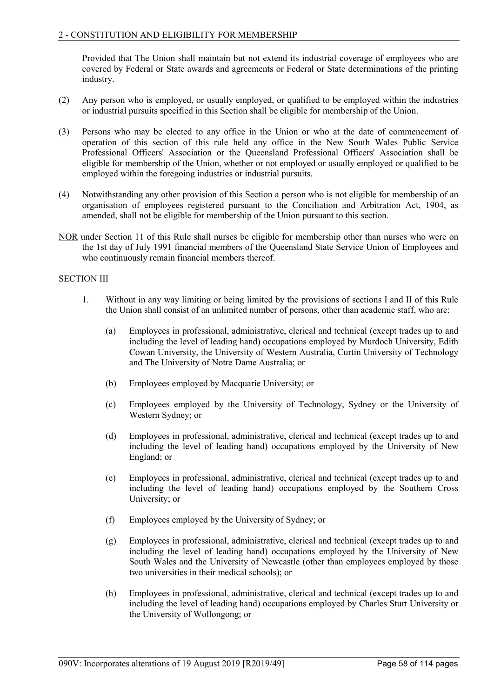Provided that The Union shall maintain but not extend its industrial coverage of employees who are covered by Federal or State awards and agreements or Federal or State determinations of the printing industry.

- (2) Any person who is employed, or usually employed, or qualified to be employed within the industries or industrial pursuits specified in this Section shall be eligible for membership of the Union.
- (3) Persons who may be elected to any office in the Union or who at the date of commencement of operation of this section of this rule held any office in the New South Wales Public Service Professional Officers' Association or the Queensland Professional Officers' Association shall be eligible for membership of the Union, whether or not employed or usually employed or qualified to be employed within the foregoing industries or industrial pursuits.
- (4) Notwithstanding any other provision of this Section a person who is not eligible for membership of an organisation of employees registered pursuant to the Conciliation and Arbitration Act, 1904, as amended, shall not be eligible for membership of the Union pursuant to this section.
- NOR under Section 11 of this Rule shall nurses be eligible for membership other than nurses who were on the 1st day of July 1991 financial members of the Queensland State Service Union of Employees and who continuously remain financial members thereof.

# SECTION III

- 1. Without in any way limiting or being limited by the provisions of sections I and II of this Rule the Union shall consist of an unlimited number of persons, other than academic staff, who are:
	- (a) Employees in professional, administrative, clerical and technical (except trades up to and including the level of leading hand) occupations employed by Murdoch University, Edith Cowan University, the University of Western Australia, Curtin University of Technology and The University of Notre Dame Australia; or
	- (b) Employees employed by Macquarie University; or
	- (c) Employees employed by the University of Technology, Sydney or the University of Western Sydney; or
	- (d) Employees in professional, administrative, clerical and technical (except trades up to and including the level of leading hand) occupations employed by the University of New England; or
	- (e) Employees in professional, administrative, clerical and technical (except trades up to and including the level of leading hand) occupations employed by the Southern Cross University; or
	- (f) Employees employed by the University of Sydney; or
	- (g) Employees in professional, administrative, clerical and technical (except trades up to and including the level of leading hand) occupations employed by the University of New South Wales and the University of Newcastle (other than employees employed by those two universities in their medical schools); or
	- (h) Employees in professional, administrative, clerical and technical (except trades up to and including the level of leading hand) occupations employed by Charles Sturt University or the University of Wollongong; or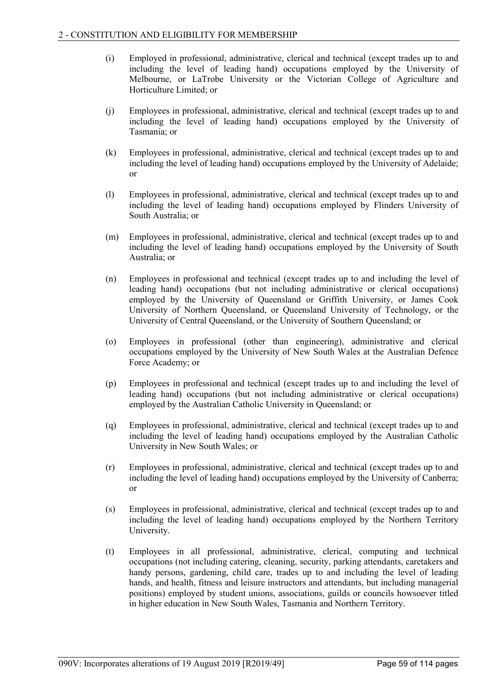- (i) Employed in professional, administrative, clerical and technical (except trades up to and including the level of leading hand) occupations employed by the University of Melbourne, or LaTrobe University or the Victorian College of Agriculture and Horticulture Limited; or
- (j) Employees in professional, administrative, clerical and technical (except trades up to and including the level of leading hand) occupations employed by the University of Tasmania; or
- (k) Employees in professional, administrative, clerical and technical (except trades up to and including the level of leading hand) occupations employed by the University of Adelaide; or
- (l) Employees in professional, administrative, clerical and technical (except trades up to and including the level of leading hand) occupations employed by Flinders University of South Australia; or
- (m) Employees in professional, administrative, clerical and technical (except trades up to and including the level of leading hand) occupations employed by the University of South Australia; or
- (n) Employees in professional and technical (except trades up to and including the level of leading hand) occupations (but not including administrative or clerical occupations) employed by the University of Queensland or Griffith University, or James Cook University of Northern Queensland, or Queensland University of Technology, or the University of Central Queensland, or the University of Southern Queensland; or
- (o) Employees in professional (other than engineering), administrative and clerical occupations employed by the University of New South Wales at the Australian Defence Force Academy; or
- (p) Employees in professional and technical (except trades up to and including the level of leading hand) occupations (but not including administrative or clerical occupations) employed by the Australian Catholic University in Queensland; or
- (q) Employees in professional, administrative, clerical and technical (except trades up to and including the level of leading hand) occupations employed by the Australian Catholic University in New South Wales; or
- (r) Employees in professional, administrative, clerical and technical (except trades up to and including the level of leading hand) occupations employed by the University of Canberra; or
- (s) Employees in professional, administrative, clerical and technical (except trades up to and including the level of leading hand) occupations employed by the Northern Territory University.
- (t) Employees in all professional, administrative, clerical, computing and technical occupations (not including catering, cleaning, security, parking attendants, caretakers and handy persons, gardening, child care, trades up to and including the level of leading hands, and health, fitness and leisure instructors and attendants, but including managerial positions) employed by student unions, associations, guilds or councils howsoever titled in higher education in New South Wales, Tasmania and Northern Territory.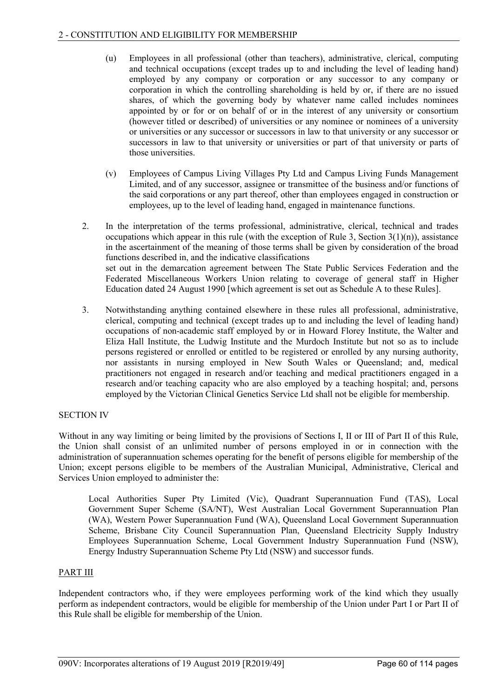- (u) Employees in all professional (other than teachers), administrative, clerical, computing and technical occupations (except trades up to and including the level of leading hand) employed by any company or corporation or any successor to any company or corporation in which the controlling shareholding is held by or, if there are no issued shares, of which the governing body by whatever name called includes nominees appointed by or for or on behalf of or in the interest of any university or consortium (however titled or described) of universities or any nominee or nominees of a university or universities or any successor or successors in law to that university or any successor or successors in law to that university or universities or part of that university or parts of those universities.
- (v) Employees of Campus Living Villages Pty Ltd and Campus Living Funds Management Limited, and of any successor, assignee or transmittee of the business and/or functions of the said corporations or any part thereof, other than employees engaged in construction or employees, up to the level of leading hand, engaged in maintenance functions.
- 2. In the interpretation of the terms professional, administrative, clerical, technical and trades occupations which appear in this rule (with the exception of Rule 3, Section  $3(1)(n)$ ), assistance in the ascertainment of the meaning of those terms shall be given by consideration of the broad functions described in, and the indicative classifications set out in the demarcation agreement between The State Public Services Federation and the Federated Miscellaneous Workers Union relating to coverage of general staff in Higher Education dated 24 August 1990 [which agreement is set out as Schedule A to these Rules].
- 3. Notwithstanding anything contained elsewhere in these rules all professional, administrative, clerical, computing and technical (except trades up to and including the level of leading hand) occupations of non-academic staff employed by or in Howard Florey Institute, the Walter and Eliza Hall Institute, the Ludwig Institute and the Murdoch Institute but not so as to include persons registered or enrolled or entitled to be registered or enrolled by any nursing authority, nor assistants in nursing employed in New South Wales or Queensland; and, medical practitioners not engaged in research and/or teaching and medical practitioners engaged in a research and/or teaching capacity who are also employed by a teaching hospital; and, persons employed by the Victorian Clinical Genetics Service Ltd shall not be eligible for membership.

# SECTION IV

Without in any way limiting or being limited by the provisions of Sections I, II or III of Part II of this Rule, the Union shall consist of an unlimited number of persons employed in or in connection with the administration of superannuation schemes operating for the benefit of persons eligible for membership of the Union; except persons eligible to be members of the Australian Municipal, Administrative, Clerical and Services Union employed to administer the:

Local Authorities Super Pty Limited (Vic), Quadrant Superannuation Fund (TAS), Local Government Super Scheme (SA/NT), West Australian Local Government Superannuation Plan (WA), Western Power Superannuation Fund (WA), Queensland Local Government Superannuation Scheme, Brisbane City Council Superannuation Plan, Queensland Electricity Supply Industry Employees Superannuation Scheme, Local Government Industry Superannuation Fund (NSW), Energy Industry Superannuation Scheme Pty Ltd (NSW) and successor funds.

### PART III

Independent contractors who, if they were employees performing work of the kind which they usually perform as independent contractors, would be eligible for membership of the Union under Part I or Part II of this Rule shall be eligible for membership of the Union.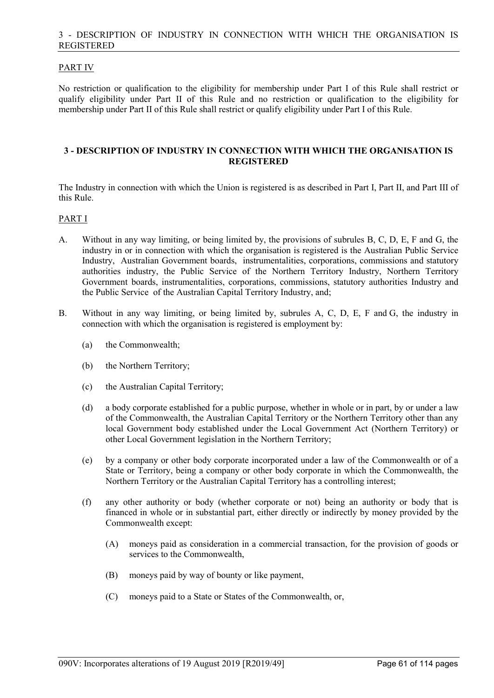### 3 - DESCRIPTION OF INDUSTRY IN CONNECTION WITH WHICH THE ORGANISATION IS REGISTERED

# PART IV

No restriction or qualification to the eligibility for membership under Part I of this Rule shall restrict or qualify eligibility under Part II of this Rule and no restriction or qualification to the eligibility for membership under Part II of this Rule shall restrict or qualify eligibility under Part I of this Rule.

### **3 - DESCRIPTION OF INDUSTRY IN CONNECTION WITH WHICH THE ORGANISATION IS REGISTERED**

The Industry in connection with which the Union is registered is as described in Part I, Part II, and Part III of this Rule.

### PART I

- A. Without in any way limiting, or being limited by, the provisions of subrules B, C, D, E, F and G, the industry in or in connection with which the organisation is registered is the Australian Public Service Industry, Australian Government boards, instrumentalities, corporations, commissions and statutory authorities industry, the Public Service of the Northern Territory Industry, Northern Territory Government boards, instrumentalities, corporations, commissions, statutory authorities Industry and the Public Service of the Australian Capital Territory Industry, and;
- B. Without in any way limiting, or being limited by, subrules A, C, D, E, F and G, the industry in connection with which the organisation is registered is employment by:
	- (a) the Commonwealth;
	- (b) the Northern Territory;
	- (c) the Australian Capital Territory;
	- (d) a body corporate established for a public purpose, whether in whole or in part, by or under a law of the Commonwealth, the Australian Capital Territory or the Northern Territory other than any local Government body established under the Local Government Act (Northern Territory) or other Local Government legislation in the Northern Territory;
	- (e) by a company or other body corporate incorporated under a law of the Commonwealth or of a State or Territory, being a company or other body corporate in which the Commonwealth, the Northern Territory or the Australian Capital Territory has a controlling interest;
	- (f) any other authority or body (whether corporate or not) being an authority or body that is financed in whole or in substantial part, either directly or indirectly by money provided by the Commonwealth except:
		- (A) moneys paid as consideration in a commercial transaction, for the provision of goods or services to the Commonwealth,
		- (B) moneys paid by way of bounty or like payment,
		- (C) moneys paid to a State or States of the Commonwealth, or,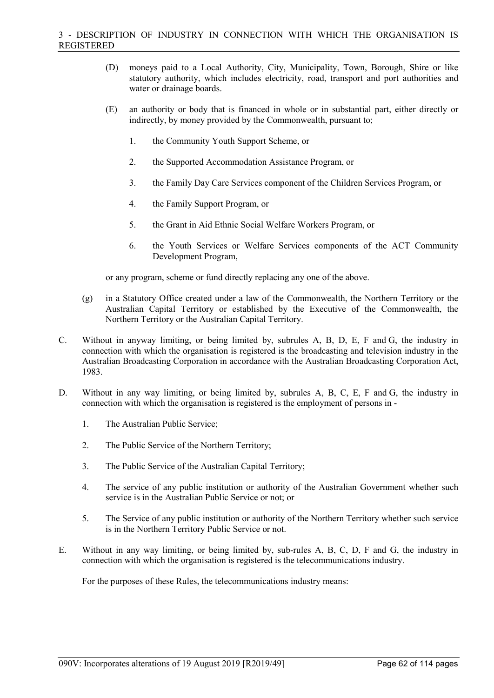- (D) moneys paid to a Local Authority, City, Municipality, Town, Borough, Shire or like statutory authority, which includes electricity, road, transport and port authorities and water or drainage boards.
- (E) an authority or body that is financed in whole or in substantial part, either directly or indirectly, by money provided by the Commonwealth, pursuant to;
	- 1. the Community Youth Support Scheme, or
	- 2. the Supported Accommodation Assistance Program, or
	- 3. the Family Day Care Services component of the Children Services Program, or
	- 4. the Family Support Program, or
	- 5. the Grant in Aid Ethnic Social Welfare Workers Program, or
	- 6. the Youth Services or Welfare Services components of the ACT Community Development Program,

or any program, scheme or fund directly replacing any one of the above.

- (g) in a Statutory Office created under a law of the Commonwealth, the Northern Territory or the Australian Capital Territory or established by the Executive of the Commonwealth, the Northern Territory or the Australian Capital Territory.
- C. Without in anyway limiting, or being limited by, subrules A, B, D, E, F and G, the industry in connection with which the organisation is registered is the broadcasting and television industry in the Australian Broadcasting Corporation in accordance with the Australian Broadcasting Corporation Act, 1983.
- D. Without in any way limiting, or being limited by, subrules A, B, C, E, F and G, the industry in connection with which the organisation is registered is the employment of persons in -
	- 1. The Australian Public Service;
	- 2. The Public Service of the Northern Territory;
	- 3. The Public Service of the Australian Capital Territory;
	- 4. The service of any public institution or authority of the Australian Government whether such service is in the Australian Public Service or not; or
	- 5. The Service of any public institution or authority of the Northern Territory whether such service is in the Northern Territory Public Service or not.
- E. Without in any way limiting, or being limited by, sub-rules A, B, C, D, F and G, the industry in connection with which the organisation is registered is the telecommunications industry.

For the purposes of these Rules, the telecommunications industry means: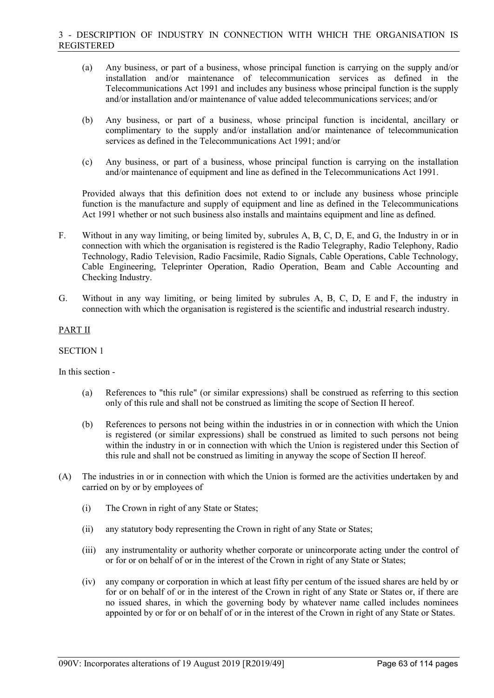- (a) Any business, or part of a business, whose principal function is carrying on the supply and/or installation and/or maintenance of telecommunication services as defined in the Telecommunications Act 1991 and includes any business whose principal function is the supply and/or installation and/or maintenance of value added telecommunications services; and/or
- (b) Any business, or part of a business, whose principal function is incidental, ancillary or complimentary to the supply and/or installation and/or maintenance of telecommunication services as defined in the Telecommunications Act 1991; and/or
- (c) Any business, or part of a business, whose principal function is carrying on the installation and/or maintenance of equipment and line as defined in the Telecommunications Act 1991.

Provided always that this definition does not extend to or include any business whose principle function is the manufacture and supply of equipment and line as defined in the Telecommunications Act 1991 whether or not such business also installs and maintains equipment and line as defined.

- F. Without in any way limiting, or being limited by, subrules A, B, C, D, E, and G, the Industry in or in connection with which the organisation is registered is the Radio Telegraphy, Radio Telephony, Radio Technology, Radio Television, Radio Facsimile, Radio Signals, Cable Operations, Cable Technology, Cable Engineering, Teleprinter Operation, Radio Operation, Beam and Cable Accounting and Checking Industry.
- G. Without in any way limiting, or being limited by subrules A, B, C, D, E and F, the industry in connection with which the organisation is registered is the scientific and industrial research industry.

# PART II

#### SECTION 1

In this section -

- (a) References to "this rule" (or similar expressions) shall be construed as referring to this section only of this rule and shall not be construed as limiting the scope of Section II hereof.
- (b) References to persons not being within the industries in or in connection with which the Union is registered (or similar expressions) shall be construed as limited to such persons not being within the industry in or in connection with which the Union is registered under this Section of this rule and shall not be construed as limiting in anyway the scope of Section II hereof.
- (A) The industries in or in connection with which the Union is formed are the activities undertaken by and carried on by or by employees of
	- (i) The Crown in right of any State or States;
	- (ii) any statutory body representing the Crown in right of any State or States;
	- (iii) any instrumentality or authority whether corporate or unincorporate acting under the control of or for or on behalf of or in the interest of the Crown in right of any State or States;
	- (iv) any company or corporation in which at least fifty per centum of the issued shares are held by or for or on behalf of or in the interest of the Crown in right of any State or States or, if there are no issued shares, in which the governing body by whatever name called includes nominees appointed by or for or on behalf of or in the interest of the Crown in right of any State or States.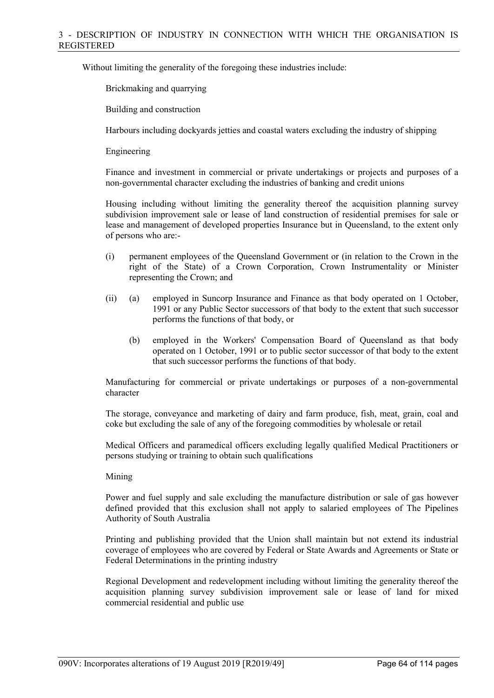Without limiting the generality of the foregoing these industries include:

Brickmaking and quarrying

Building and construction

Harbours including dockyards jetties and coastal waters excluding the industry of shipping

Engineering

Finance and investment in commercial or private undertakings or projects and purposes of a non-governmental character excluding the industries of banking and credit unions

Housing including without limiting the generality thereof the acquisition planning survey subdivision improvement sale or lease of land construction of residential premises for sale or lease and management of developed properties Insurance but in Queensland, to the extent only of persons who are:-

- (i) permanent employees of the Queensland Government or (in relation to the Crown in the right of the State) of a Crown Corporation, Crown Instrumentality or Minister representing the Crown; and
- (ii) (a) employed in Suncorp Insurance and Finance as that body operated on 1 October, 1991 or any Public Sector successors of that body to the extent that such successor performs the functions of that body, or
	- (b) employed in the Workers' Compensation Board of Queensland as that body operated on 1 October, 1991 or to public sector successor of that body to the extent that such successor performs the functions of that body.

Manufacturing for commercial or private undertakings or purposes of a non-governmental character

The storage, conveyance and marketing of dairy and farm produce, fish, meat, grain, coal and coke but excluding the sale of any of the foregoing commodities by wholesale or retail

Medical Officers and paramedical officers excluding legally qualified Medical Practitioners or persons studying or training to obtain such qualifications

### Mining

Power and fuel supply and sale excluding the manufacture distribution or sale of gas however defined provided that this exclusion shall not apply to salaried employees of The Pipelines Authority of South Australia

Printing and publishing provided that the Union shall maintain but not extend its industrial coverage of employees who are covered by Federal or State Awards and Agreements or State or Federal Determinations in the printing industry

Regional Development and redevelopment including without limiting the generality thereof the acquisition planning survey subdivision improvement sale or lease of land for mixed commercial residential and public use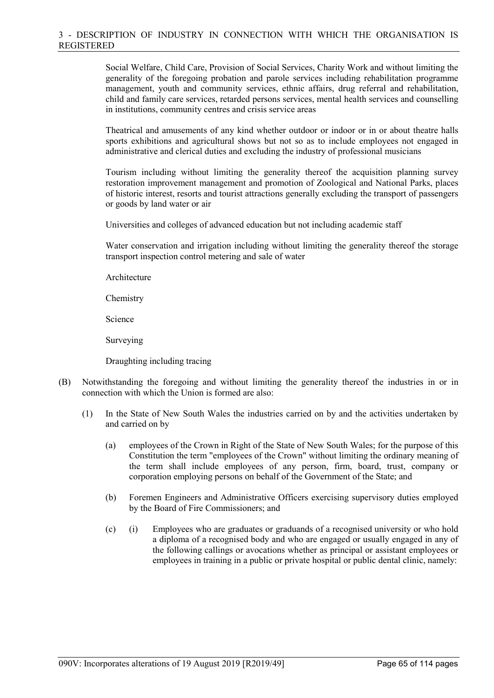Social Welfare, Child Care, Provision of Social Services, Charity Work and without limiting the generality of the foregoing probation and parole services including rehabilitation programme management, youth and community services, ethnic affairs, drug referral and rehabilitation, child and family care services, retarded persons services, mental health services and counselling in institutions, community centres and crisis service areas

Theatrical and amusements of any kind whether outdoor or indoor or in or about theatre halls sports exhibitions and agricultural shows but not so as to include employees not engaged in administrative and clerical duties and excluding the industry of professional musicians

Tourism including without limiting the generality thereof the acquisition planning survey restoration improvement management and promotion of Zoological and National Parks, places of historic interest, resorts and tourist attractions generally excluding the transport of passengers or goods by land water or air

Universities and colleges of advanced education but not including academic staff

Water conservation and irrigation including without limiting the generality thereof the storage transport inspection control metering and sale of water

Architecture

**Chemistry** 

Science

Surveying

Draughting including tracing

- (B) Notwithstanding the foregoing and without limiting the generality thereof the industries in or in connection with which the Union is formed are also:
	- (1) In the State of New South Wales the industries carried on by and the activities undertaken by and carried on by
		- (a) employees of the Crown in Right of the State of New South Wales; for the purpose of this Constitution the term "employees of the Crown" without limiting the ordinary meaning of the term shall include employees of any person, firm, board, trust, company or corporation employing persons on behalf of the Government of the State; and
		- (b) Foremen Engineers and Administrative Officers exercising supervisory duties employed by the Board of Fire Commissioners; and
		- (c) (i) Employees who are graduates or graduands of a recognised university or who hold a diploma of a recognised body and who are engaged or usually engaged in any of the following callings or avocations whether as principal or assistant employees or employees in training in a public or private hospital or public dental clinic, namely: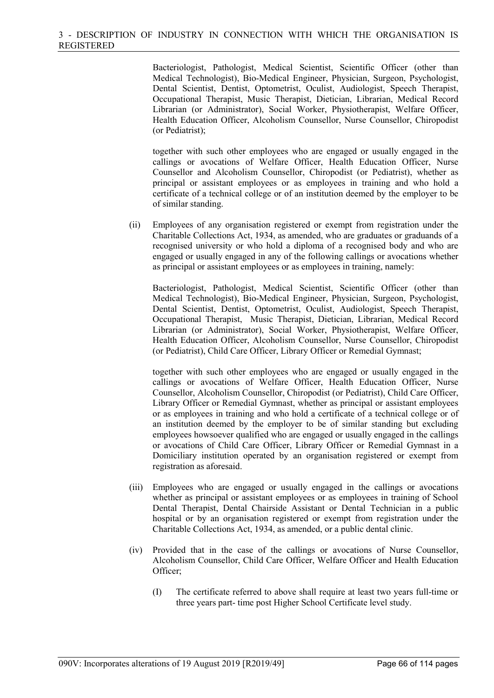Bacteriologist, Pathologist, Medical Scientist, Scientific Officer (other than Medical Technologist), Bio-Medical Engineer, Physician, Surgeon, Psychologist, Dental Scientist, Dentist, Optometrist, Oculist, Audiologist, Speech Therapist, Occupational Therapist, Music Therapist, Dietician, Librarian, Medical Record Librarian (or Administrator), Social Worker, Physiotherapist, Welfare Officer, Health Education Officer, Alcoholism Counsellor, Nurse Counsellor, Chiropodist (or Pediatrist);

together with such other employees who are engaged or usually engaged in the callings or avocations of Welfare Officer, Health Education Officer, Nurse Counsellor and Alcoholism Counsellor, Chiropodist (or Pediatrist), whether as principal or assistant employees or as employees in training and who hold a certificate of a technical college or of an institution deemed by the employer to be of similar standing.

(ii) Employees of any organisation registered or exempt from registration under the Charitable Collections Act, 1934, as amended, who are graduates or graduands of a recognised university or who hold a diploma of a recognised body and who are engaged or usually engaged in any of the following callings or avocations whether as principal or assistant employees or as employees in training, namely:

Bacteriologist, Pathologist, Medical Scientist, Scientific Officer (other than Medical Technologist), Bio-Medical Engineer, Physician, Surgeon, Psychologist, Dental Scientist, Dentist, Optometrist, Oculist, Audiologist, Speech Therapist, Occupational Therapist, Music Therapist, Dietician, Librarian, Medical Record Librarian (or Administrator), Social Worker, Physiotherapist, Welfare Officer, Health Education Officer, Alcoholism Counsellor, Nurse Counsellor, Chiropodist (or Pediatrist), Child Care Officer, Library Officer or Remedial Gymnast;

together with such other employees who are engaged or usually engaged in the callings or avocations of Welfare Officer, Health Education Officer, Nurse Counsellor, Alcoholism Counsellor, Chiropodist (or Pediatrist), Child Care Officer, Library Officer or Remedial Gymnast, whether as principal or assistant employees or as employees in training and who hold a certificate of a technical college or of an institution deemed by the employer to be of similar standing but excluding employees howsoever qualified who are engaged or usually engaged in the callings or avocations of Child Care Officer, Library Officer or Remedial Gymnast in a Domiciliary institution operated by an organisation registered or exempt from registration as aforesaid.

- (iii) Employees who are engaged or usually engaged in the callings or avocations whether as principal or assistant employees or as employees in training of School Dental Therapist, Dental Chairside Assistant or Dental Technician in a public hospital or by an organisation registered or exempt from registration under the Charitable Collections Act, 1934, as amended, or a public dental clinic.
- (iv) Provided that in the case of the callings or avocations of Nurse Counsellor, Alcoholism Counsellor, Child Care Officer, Welfare Officer and Health Education Officer;
	- (I) The certificate referred to above shall require at least two years full-time or three years part- time post Higher School Certificate level study.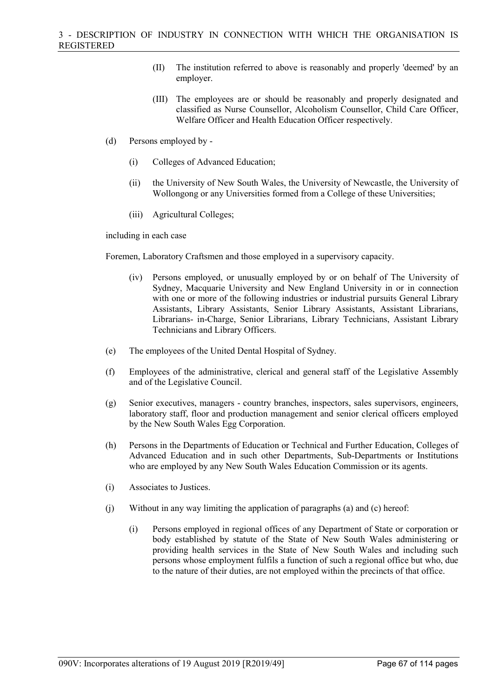- (II) The institution referred to above is reasonably and properly 'deemed' by an employer.
- (III) The employees are or should be reasonably and properly designated and classified as Nurse Counsellor, Alcoholism Counsellor, Child Care Officer, Welfare Officer and Health Education Officer respectively.
- (d) Persons employed by
	- (i) Colleges of Advanced Education;
	- (ii) the University of New South Wales, the University of Newcastle, the University of Wollongong or any Universities formed from a College of these Universities;
	- (iii) Agricultural Colleges;

including in each case

Foremen, Laboratory Craftsmen and those employed in a supervisory capacity.

- (iv) Persons employed, or unusually employed by or on behalf of The University of Sydney, Macquarie University and New England University in or in connection with one or more of the following industries or industrial pursuits General Library Assistants, Library Assistants, Senior Library Assistants, Assistant Librarians, Librarians- in-Charge, Senior Librarians, Library Technicians, Assistant Library Technicians and Library Officers.
- (e) The employees of the United Dental Hospital of Sydney.
- (f) Employees of the administrative, clerical and general staff of the Legislative Assembly and of the Legislative Council.
- (g) Senior executives, managers country branches, inspectors, sales supervisors, engineers, laboratory staff, floor and production management and senior clerical officers employed by the New South Wales Egg Corporation.
- (h) Persons in the Departments of Education or Technical and Further Education, Colleges of Advanced Education and in such other Departments, Sub-Departments or Institutions who are employed by any New South Wales Education Commission or its agents.
- (i) Associates to Justices.
- (j) Without in any way limiting the application of paragraphs (a) and (c) hereof:
	- (i) Persons employed in regional offices of any Department of State or corporation or body established by statute of the State of New South Wales administering or providing health services in the State of New South Wales and including such persons whose employment fulfils a function of such a regional office but who, due to the nature of their duties, are not employed within the precincts of that office.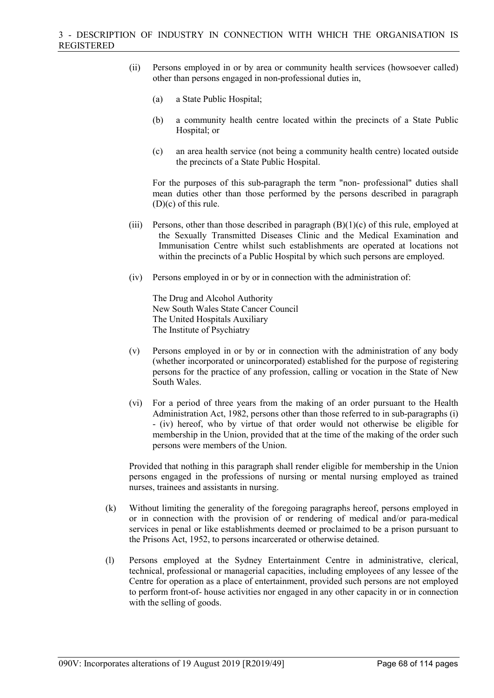- (ii) Persons employed in or by area or community health services (howsoever called) other than persons engaged in non-professional duties in,
	- (a) a State Public Hospital;
	- (b) a community health centre located within the precincts of a State Public Hospital; or
	- (c) an area health service (not being a community health centre) located outside the precincts of a State Public Hospital.

For the purposes of this sub-paragraph the term "non- professional" duties shall mean duties other than those performed by the persons described in paragraph (D)(c) of this rule.

- (iii) Persons, other than those described in paragraph  $(B)(1)(c)$  of this rule, employed at the Sexually Transmitted Diseases Clinic and the Medical Examination and Immunisation Centre whilst such establishments are operated at locations not within the precincts of a Public Hospital by which such persons are employed.
- (iv) Persons employed in or by or in connection with the administration of:

The Drug and Alcohol Authority New South Wales State Cancer Council The United Hospitals Auxiliary The Institute of Psychiatry

- (v) Persons employed in or by or in connection with the administration of any body (whether incorporated or unincorporated) established for the purpose of registering persons for the practice of any profession, calling or vocation in the State of New South Wales.
- (vi) For a period of three years from the making of an order pursuant to the Health Administration Act, 1982, persons other than those referred to in sub-paragraphs (i) - (iv) hereof, who by virtue of that order would not otherwise be eligible for membership in the Union, provided that at the time of the making of the order such persons were members of the Union.

Provided that nothing in this paragraph shall render eligible for membership in the Union persons engaged in the professions of nursing or mental nursing employed as trained nurses, trainees and assistants in nursing.

- (k) Without limiting the generality of the foregoing paragraphs hereof, persons employed in or in connection with the provision of or rendering of medical and/or para-medical services in penal or like establishments deemed or proclaimed to be a prison pursuant to the Prisons Act, 1952, to persons incarcerated or otherwise detained.
- (l) Persons employed at the Sydney Entertainment Centre in administrative, clerical, technical, professional or managerial capacities, including employees of any lessee of the Centre for operation as a place of entertainment, provided such persons are not employed to perform front-of- house activities nor engaged in any other capacity in or in connection with the selling of goods.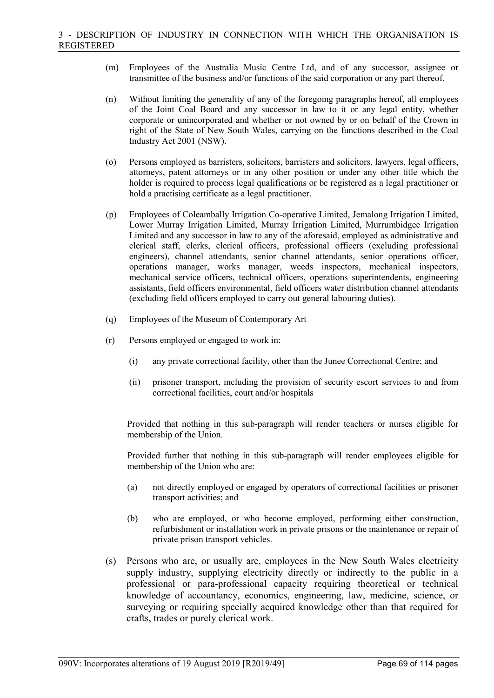- (m) Employees of the Australia Music Centre Ltd, and of any successor, assignee or transmittee of the business and/or functions of the said corporation or any part thereof.
- (n) Without limiting the generality of any of the foregoing paragraphs hereof, all employees of the Joint Coal Board and any successor in law to it or any legal entity, whether corporate or unincorporated and whether or not owned by or on behalf of the Crown in right of the State of New South Wales, carrying on the functions described in the Coal Industry Act 2001 (NSW).
- (o) Persons employed as barristers, solicitors, barristers and solicitors, lawyers, legal officers, attorneys, patent attorneys or in any other position or under any other title which the holder is required to process legal qualifications or be registered as a legal practitioner or hold a practising certificate as a legal practitioner.
- (p) Employees of Coleambally Irrigation Co-operative Limited, Jemalong Irrigation Limited, Lower Murray Irrigation Limited, Murray Irrigation Limited, Murrumbidgee Irrigation Limited and any successor in law to any of the aforesaid, employed as administrative and clerical staff, clerks, clerical officers, professional officers (excluding professional engineers), channel attendants, senior channel attendants, senior operations officer, operations manager, works manager, weeds inspectors, mechanical inspectors, mechanical service officers, technical officers, operations superintendents, engineering assistants, field officers environmental, field officers water distribution channel attendants (excluding field officers employed to carry out general labouring duties).
- (q) Employees of the Museum of Contemporary Art
- (r) Persons employed or engaged to work in:
	- (i) any private correctional facility, other than the Junee Correctional Centre; and
	- (ii) prisoner transport, including the provision of security escort services to and from correctional facilities, court and/or hospitals

Provided that nothing in this sub-paragraph will render teachers or nurses eligible for membership of the Union.

Provided further that nothing in this sub-paragraph will render employees eligible for membership of the Union who are:

- (a) not directly employed or engaged by operators of correctional facilities or prisoner transport activities; and
- (b) who are employed, or who become employed, performing either construction, refurbishment or installation work in private prisons or the maintenance or repair of private prison transport vehicles.
- (s) Persons who are, or usually are, employees in the New South Wales electricity supply industry, supplying electricity directly or indirectly to the public in a professional or para-professional capacity requiring theoretical or technical knowledge of accountancy, economics, engineering, law, medicine, science, or surveying or requiring specially acquired knowledge other than that required for crafts, trades or purely clerical work.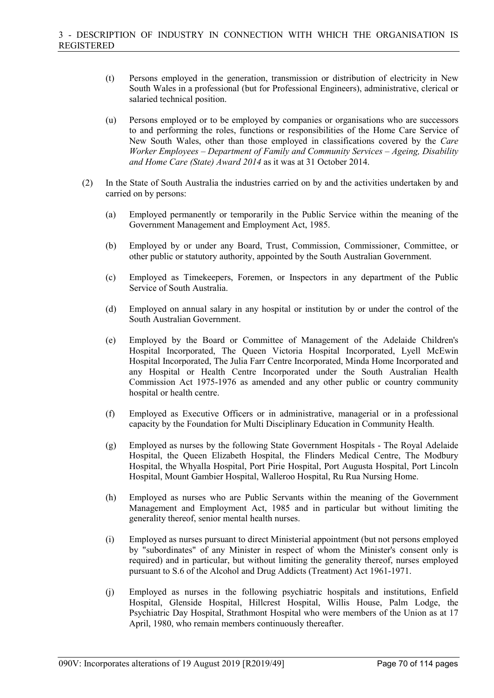- (t) Persons employed in the generation, transmission or distribution of electricity in New South Wales in a professional (but for Professional Engineers), administrative, clerical or salaried technical position.
- (u) Persons employed or to be employed by companies or organisations who are successors to and performing the roles, functions or responsibilities of the Home Care Service of New South Wales, other than those employed in classifications covered by the *Care Worker Employees – Department of Family and Community Services – Ageing, Disability and Home Care (State) Award 2014* as it was at 31 October 2014.
- (2) In the State of South Australia the industries carried on by and the activities undertaken by and carried on by persons:
	- (a) Employed permanently or temporarily in the Public Service within the meaning of the Government Management and Employment Act, 1985.
	- (b) Employed by or under any Board, Trust, Commission, Commissioner, Committee, or other public or statutory authority, appointed by the South Australian Government.
	- (c) Employed as Timekeepers, Foremen, or Inspectors in any department of the Public Service of South Australia.
	- (d) Employed on annual salary in any hospital or institution by or under the control of the South Australian Government.
	- (e) Employed by the Board or Committee of Management of the Adelaide Children's Hospital Incorporated, The Queen Victoria Hospital Incorporated, Lyell McEwin Hospital Incorporated, The Julia Farr Centre Incorporated, Minda Home Incorporated and any Hospital or Health Centre Incorporated under the South Australian Health Commission Act 1975-1976 as amended and any other public or country community hospital or health centre.
	- (f) Employed as Executive Officers or in administrative, managerial or in a professional capacity by the Foundation for Multi Disciplinary Education in Community Health.
	- (g) Employed as nurses by the following State Government Hospitals The Royal Adelaide Hospital, the Queen Elizabeth Hospital, the Flinders Medical Centre, The Modbury Hospital, the Whyalla Hospital, Port Pirie Hospital, Port Augusta Hospital, Port Lincoln Hospital, Mount Gambier Hospital, Walleroo Hospital, Ru Rua Nursing Home.
	- (h) Employed as nurses who are Public Servants within the meaning of the Government Management and Employment Act, 1985 and in particular but without limiting the generality thereof, senior mental health nurses.
	- (i) Employed as nurses pursuant to direct Ministerial appointment (but not persons employed by "subordinates" of any Minister in respect of whom the Minister's consent only is required) and in particular, but without limiting the generality thereof, nurses employed pursuant to S.6 of the Alcohol and Drug Addicts (Treatment) Act 1961-1971.
	- (j) Employed as nurses in the following psychiatric hospitals and institutions, Enfield Hospital, Glenside Hospital, Hillcrest Hospital, Willis House, Palm Lodge, the Psychiatric Day Hospital, Strathmont Hospital who were members of the Union as at 17 April, 1980, who remain members continuously thereafter.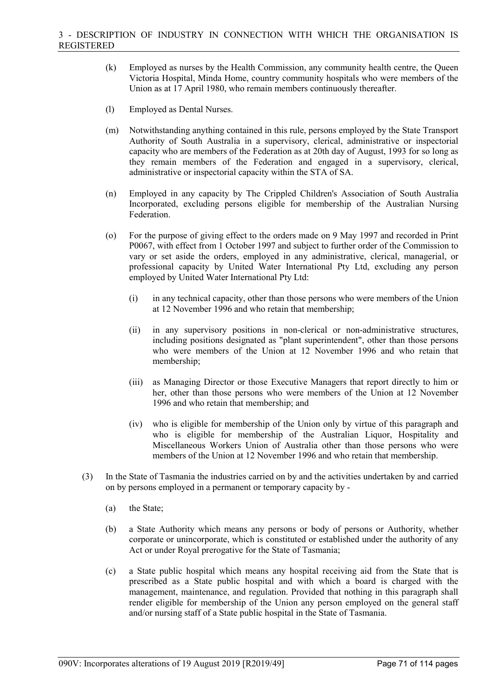- (k) Employed as nurses by the Health Commission, any community health centre, the Queen Victoria Hospital, Minda Home, country community hospitals who were members of the Union as at 17 April 1980, who remain members continuously thereafter.
- (l) Employed as Dental Nurses.
- (m) Notwithstanding anything contained in this rule, persons employed by the State Transport Authority of South Australia in a supervisory, clerical, administrative or inspectorial capacity who are members of the Federation as at 20th day of August, 1993 for so long as they remain members of the Federation and engaged in a supervisory, clerical, administrative or inspectorial capacity within the STA of SA.
- (n) Employed in any capacity by The Crippled Children's Association of South Australia Incorporated, excluding persons eligible for membership of the Australian Nursing Federation.
- (o) For the purpose of giving effect to the orders made on 9 May 1997 and recorded in Print P0067, with effect from 1 October 1997 and subject to further order of the Commission to vary or set aside the orders, employed in any administrative, clerical, managerial, or professional capacity by United Water International Pty Ltd, excluding any person employed by United Water International Pty Ltd:
	- (i) in any technical capacity, other than those persons who were members of the Union at 12 November 1996 and who retain that membership;
	- (ii) in any supervisory positions in non-clerical or non-administrative structures, including positions designated as "plant superintendent", other than those persons who were members of the Union at 12 November 1996 and who retain that membership;
	- (iii) as Managing Director or those Executive Managers that report directly to him or her, other than those persons who were members of the Union at 12 November 1996 and who retain that membership; and
	- (iv) who is eligible for membership of the Union only by virtue of this paragraph and who is eligible for membership of the Australian Liquor, Hospitality and Miscellaneous Workers Union of Australia other than those persons who were members of the Union at 12 November 1996 and who retain that membership.
- (3) In the State of Tasmania the industries carried on by and the activities undertaken by and carried on by persons employed in a permanent or temporary capacity by -
	- (a) the State;
	- (b) a State Authority which means any persons or body of persons or Authority, whether corporate or unincorporate, which is constituted or established under the authority of any Act or under Royal prerogative for the State of Tasmania;
	- (c) a State public hospital which means any hospital receiving aid from the State that is prescribed as a State public hospital and with which a board is charged with the management, maintenance, and regulation. Provided that nothing in this paragraph shall render eligible for membership of the Union any person employed on the general staff and/or nursing staff of a State public hospital in the State of Tasmania.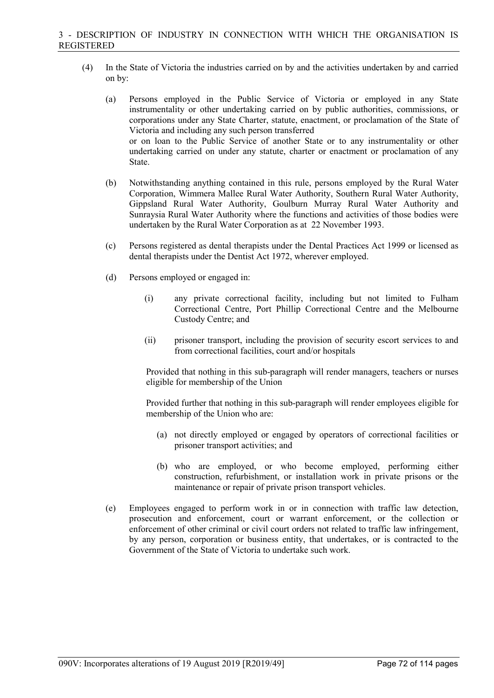- (4) In the State of Victoria the industries carried on by and the activities undertaken by and carried on by:
	- (a) Persons employed in the Public Service of Victoria or employed in any State instrumentality or other undertaking carried on by public authorities, commissions, or corporations under any State Charter, statute, enactment, or proclamation of the State of Victoria and including any such person transferred or on loan to the Public Service of another State or to any instrumentality or other undertaking carried on under any statute, charter or enactment or proclamation of any State.
	- (b) Notwithstanding anything contained in this rule, persons employed by the Rural Water Corporation, Wimmera Mallee Rural Water Authority, Southern Rural Water Authority, Gippsland Rural Water Authority, Goulburn Murray Rural Water Authority and Sunraysia Rural Water Authority where the functions and activities of those bodies were undertaken by the Rural Water Corporation as at 22 November 1993.
	- (c) Persons registered as dental therapists under the Dental Practices Act 1999 or licensed as dental therapists under the Dentist Act 1972, wherever employed.
	- (d) Persons employed or engaged in:
		- (i) any private correctional facility, including but not limited to Fulham Correctional Centre, Port Phillip Correctional Centre and the Melbourne Custody Centre; and
		- (ii) prisoner transport, including the provision of security escort services to and from correctional facilities, court and/or hospitals

Provided that nothing in this sub-paragraph will render managers, teachers or nurses eligible for membership of the Union

Provided further that nothing in this sub-paragraph will render employees eligible for membership of the Union who are:

- (a) not directly employed or engaged by operators of correctional facilities or prisoner transport activities; and
- (b) who are employed, or who become employed, performing either construction, refurbishment, or installation work in private prisons or the maintenance or repair of private prison transport vehicles.
- (e) Employees engaged to perform work in or in connection with traffic law detection, prosecution and enforcement, court or warrant enforcement, or the collection or enforcement of other criminal or civil court orders not related to traffic law infringement, by any person, corporation or business entity, that undertakes, or is contracted to the Government of the State of Victoria to undertake such work.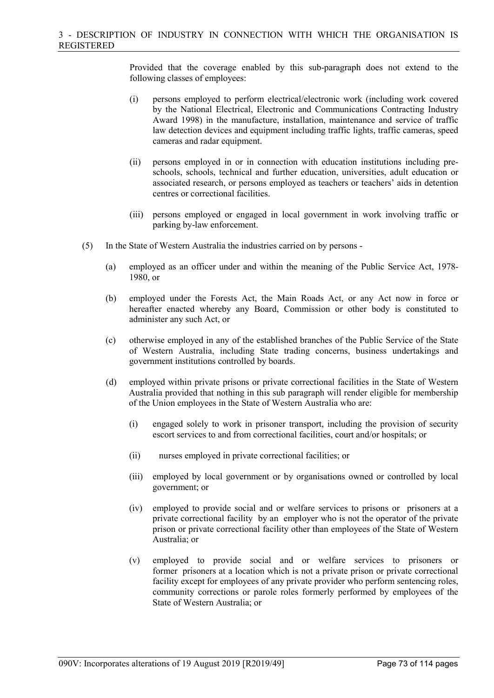Provided that the coverage enabled by this sub-paragraph does not extend to the following classes of employees:

- (i) persons employed to perform electrical/electronic work (including work covered by the National Electrical, Electronic and Communications Contracting Industry Award 1998) in the manufacture, installation, maintenance and service of traffic law detection devices and equipment including traffic lights, traffic cameras, speed cameras and radar equipment.
- (ii) persons employed in or in connection with education institutions including preschools, schools, technical and further education, universities, adult education or associated research, or persons employed as teachers or teachers' aids in detention centres or correctional facilities.
- (iii) persons employed or engaged in local government in work involving traffic or parking by-law enforcement.
- (5) In the State of Western Australia the industries carried on by persons
	- (a) employed as an officer under and within the meaning of the Public Service Act, 1978- 1980, or
	- (b) employed under the Forests Act, the Main Roads Act, or any Act now in force or hereafter enacted whereby any Board, Commission or other body is constituted to administer any such Act, or
	- (c) otherwise employed in any of the established branches of the Public Service of the State of Western Australia, including State trading concerns, business undertakings and government institutions controlled by boards.
	- (d) employed within private prisons or private correctional facilities in the State of Western Australia provided that nothing in this sub paragraph will render eligible for membership of the Union employees in the State of Western Australia who are:
		- (i) engaged solely to work in prisoner transport, including the provision of security escort services to and from correctional facilities, court and/or hospitals; or
		- (ii) nurses employed in private correctional facilities; or
		- (iii) employed by local government or by organisations owned or controlled by local government; or
		- (iv) employed to provide social and or welfare services to prisons or prisoners at a private correctional facility by an employer who is not the operator of the private prison or private correctional facility other than employees of the State of Western Australia; or
		- (v) employed to provide social and or welfare services to prisoners or former prisoners at a location which is not a private prison or private correctional facility except for employees of any private provider who perform sentencing roles, community corrections or parole roles formerly performed by employees of the State of Western Australia; or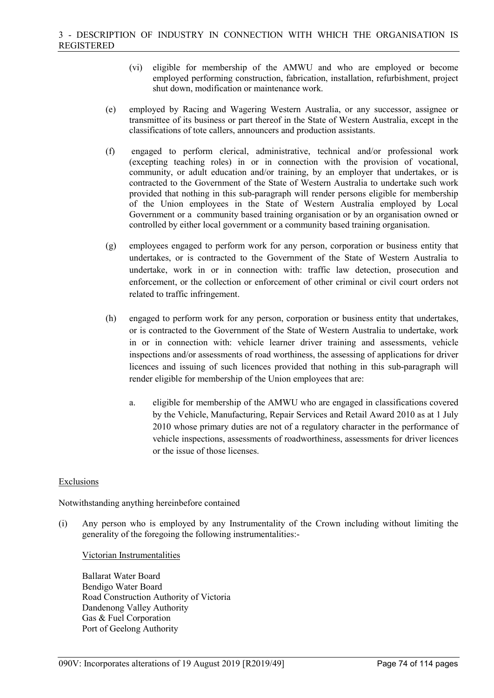- (vi) eligible for membership of the AMWU and who are employed or become employed performing construction, fabrication, installation, refurbishment, project shut down, modification or maintenance work.
- (e) employed by Racing and Wagering Western Australia, or any successor, assignee or transmittee of its business or part thereof in the State of Western Australia, except in the classifications of tote callers, announcers and production assistants.
- (f) engaged to perform clerical, administrative, technical and/or professional work (excepting teaching roles) in or in connection with the provision of vocational, community, or adult education and/or training, by an employer that undertakes, or is contracted to the Government of the State of Western Australia to undertake such work provided that nothing in this sub-paragraph will render persons eligible for membership of the Union employees in the State of Western Australia employed by Local Government or a community based training organisation or by an organisation owned or controlled by either local government or a community based training organisation.
- (g) employees engaged to perform work for any person, corporation or business entity that undertakes, or is contracted to the Government of the State of Western Australia to undertake, work in or in connection with: traffic law detection, prosecution and enforcement, or the collection or enforcement of other criminal or civil court orders not related to traffic infringement.
- (h) engaged to perform work for any person, corporation or business entity that undertakes, or is contracted to the Government of the State of Western Australia to undertake, work in or in connection with: vehicle learner driver training and assessments, vehicle inspections and/or assessments of road worthiness, the assessing of applications for driver licences and issuing of such licences provided that nothing in this sub-paragraph will render eligible for membership of the Union employees that are:
	- a. eligible for membership of the AMWU who are engaged in classifications covered by the Vehicle, Manufacturing, Repair Services and Retail Award 2010 as at 1 July 2010 whose primary duties are not of a regulatory character in the performance of vehicle inspections, assessments of roadworthiness, assessments for driver licences or the issue of those licenses.

# Exclusions

Notwithstanding anything hereinbefore contained

(i) Any person who is employed by any Instrumentality of the Crown including without limiting the generality of the foregoing the following instrumentalities:-

## Victorian Instrumentalities

Ballarat Water Board Bendigo Water Board Road Construction Authority of Victoria Dandenong Valley Authority Gas & Fuel Corporation Port of Geelong Authority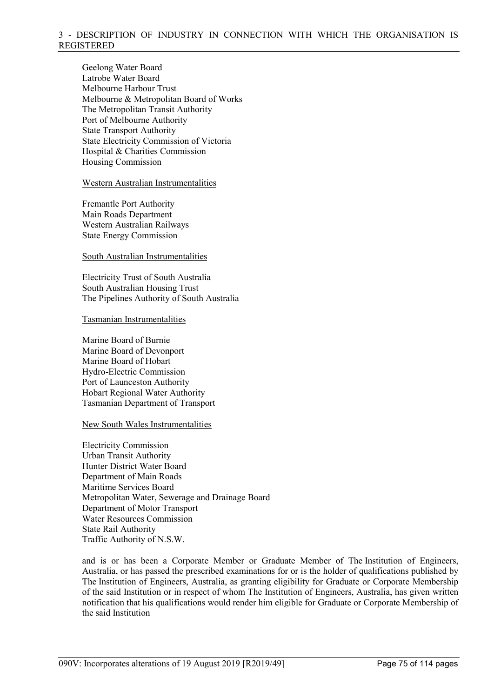Geelong Water Board Latrobe Water Board Melbourne Harbour Trust Melbourne & Metropolitan Board of Works The Metropolitan Transit Authority Port of Melbourne Authority State Transport Authority State Electricity Commission of Victoria Hospital & Charities Commission Housing Commission

## Western Australian Instrumentalities

Fremantle Port Authority Main Roads Department Western Australian Railways State Energy Commission

## South Australian Instrumentalities

Electricity Trust of South Australia South Australian Housing Trust The Pipelines Authority of South Australia

## Tasmanian Instrumentalities

Marine Board of Burnie Marine Board of Devonport Marine Board of Hobart Hydro-Electric Commission Port of Launceston Authority Hobart Regional Water Authority Tasmanian Department of Transport

## New South Wales Instrumentalities

Electricity Commission Urban Transit Authority Hunter District Water Board Department of Main Roads Maritime Services Board Metropolitan Water, Sewerage and Drainage Board Department of Motor Transport Water Resources Commission State Rail Authority Traffic Authority of N.S.W.

and is or has been a Corporate Member or Graduate Member of The Institution of Engineers, Australia, or has passed the prescribed examinations for or is the holder of qualifications published by The Institution of Engineers, Australia, as granting eligibility for Graduate or Corporate Membership of the said Institution or in respect of whom The Institution of Engineers, Australia, has given written notification that his qualifications would render him eligible for Graduate or Corporate Membership of the said Institution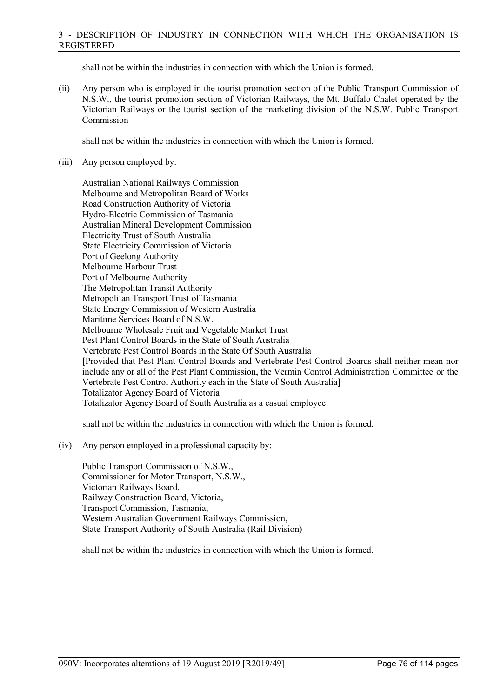shall not be within the industries in connection with which the Union is formed.

(ii) Any person who is employed in the tourist promotion section of the Public Transport Commission of N.S.W., the tourist promotion section of Victorian Railways, the Mt. Buffalo Chalet operated by the Victorian Railways or the tourist section of the marketing division of the N.S.W. Public Transport Commission

shall not be within the industries in connection with which the Union is formed.

(iii) Any person employed by:

Australian National Railways Commission Melbourne and Metropolitan Board of Works Road Construction Authority of Victoria Hydro-Electric Commission of Tasmania Australian Mineral Development Commission Electricity Trust of South Australia State Electricity Commission of Victoria Port of Geelong Authority Melbourne Harbour Trust Port of Melbourne Authority The Metropolitan Transit Authority Metropolitan Transport Trust of Tasmania State Energy Commission of Western Australia Maritime Services Board of N.S.W. Melbourne Wholesale Fruit and Vegetable Market Trust Pest Plant Control Boards in the State of South Australia Vertebrate Pest Control Boards in the State Of South Australia [Provided that Pest Plant Control Boards and Vertebrate Pest Control Boards shall neither mean nor include any or all of the Pest Plant Commission, the Vermin Control Administration Committee or the Vertebrate Pest Control Authority each in the State of South Australia] Totalizator Agency Board of Victoria Totalizator Agency Board of South Australia as a casual employee

shall not be within the industries in connection with which the Union is formed.

(iv) Any person employed in a professional capacity by:

Public Transport Commission of N.S.W., Commissioner for Motor Transport, N.S.W., Victorian Railways Board, Railway Construction Board, Victoria, Transport Commission, Tasmania, Western Australian Government Railways Commission, State Transport Authority of South Australia (Rail Division)

shall not be within the industries in connection with which the Union is formed.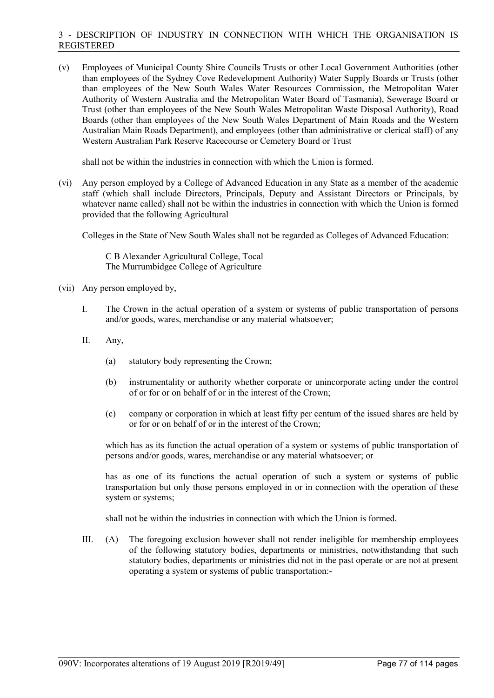(v) Employees of Municipal County Shire Councils Trusts or other Local Government Authorities (other than employees of the Sydney Cove Redevelopment Authority) Water Supply Boards or Trusts (other than employees of the New South Wales Water Resources Commission, the Metropolitan Water Authority of Western Australia and the Metropolitan Water Board of Tasmania), Sewerage Board or Trust (other than employees of the New South Wales Metropolitan Waste Disposal Authority), Road Boards (other than employees of the New South Wales Department of Main Roads and the Western Australian Main Roads Department), and employees (other than administrative or clerical staff) of any Western Australian Park Reserve Racecourse or Cemetery Board or Trust

shall not be within the industries in connection with which the Union is formed.

(vi) Any person employed by a College of Advanced Education in any State as a member of the academic staff (which shall include Directors, Principals, Deputy and Assistant Directors or Principals, by whatever name called) shall not be within the industries in connection with which the Union is formed provided that the following Agricultural

Colleges in the State of New South Wales shall not be regarded as Colleges of Advanced Education:

C B Alexander Agricultural College, Tocal The Murrumbidgee College of Agriculture

- (vii) Any person employed by,
	- I. The Crown in the actual operation of a system or systems of public transportation of persons and/or goods, wares, merchandise or any material whatsoever;
	- II. Any,
		- (a) statutory body representing the Crown;
		- (b) instrumentality or authority whether corporate or unincorporate acting under the control of or for or on behalf of or in the interest of the Crown;
		- (c) company or corporation in which at least fifty per centum of the issued shares are held by or for or on behalf of or in the interest of the Crown;

which has as its function the actual operation of a system or systems of public transportation of persons and/or goods, wares, merchandise or any material whatsoever; or

has as one of its functions the actual operation of such a system or systems of public transportation but only those persons employed in or in connection with the operation of these system or systems;

shall not be within the industries in connection with which the Union is formed.

III. (A) The foregoing exclusion however shall not render ineligible for membership employees of the following statutory bodies, departments or ministries, notwithstanding that such statutory bodies, departments or ministries did not in the past operate or are not at present operating a system or systems of public transportation:-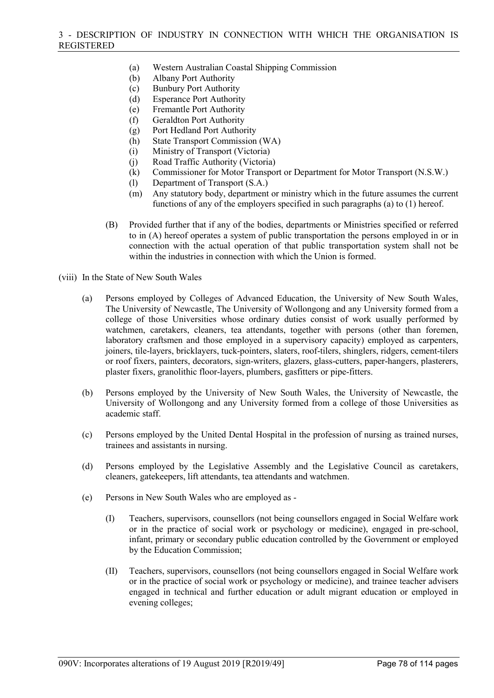- (a) Western Australian Coastal Shipping Commission
- (b) Albany Port Authority
- (c) Bunbury Port Authority
- (d) Esperance Port Authority
- (e) Fremantle Port Authority
- (f) Geraldton Port Authority
- (g) Port Hedland Port Authority
- (h) State Transport Commission (WA)
- (i) Ministry of Transport (Victoria)
- (j) Road Traffic Authority (Victoria)
- (k) Commissioner for Motor Transport or Department for Motor Transport (N.S.W.)
- (l) Department of Transport (S.A.)
- (m) Any statutory body, department or ministry which in the future assumes the current functions of any of the employers specified in such paragraphs (a) to (1) hereof.
- (B) Provided further that if any of the bodies, departments or Ministries specified or referred to in (A) hereof operates a system of public transportation the persons employed in or in connection with the actual operation of that public transportation system shall not be within the industries in connection with which the Union is formed.

(viii) In the State of New South Wales

- (a) Persons employed by Colleges of Advanced Education, the University of New South Wales, The University of Newcastle, The University of Wollongong and any University formed from a college of those Universities whose ordinary duties consist of work usually performed by watchmen, caretakers, cleaners, tea attendants, together with persons (other than foremen, laboratory craftsmen and those employed in a supervisory capacity) employed as carpenters, joiners, tile-layers, bricklayers, tuck-pointers, slaters, roof-tilers, shinglers, ridgers, cement-tilers or roof fixers, painters, decorators, sign-writers, glazers, glass-cutters, paper-hangers, plasterers, plaster fixers, granolithic floor-layers, plumbers, gasfitters or pipe-fitters.
- (b) Persons employed by the University of New South Wales, the University of Newcastle, the University of Wollongong and any University formed from a college of those Universities as academic staff.
- (c) Persons employed by the United Dental Hospital in the profession of nursing as trained nurses, trainees and assistants in nursing.
- (d) Persons employed by the Legislative Assembly and the Legislative Council as caretakers, cleaners, gatekeepers, lift attendants, tea attendants and watchmen.
- (e) Persons in New South Wales who are employed as
	- (I) Teachers, supervisors, counsellors (not being counsellors engaged in Social Welfare work or in the practice of social work or psychology or medicine), engaged in pre-school, infant, primary or secondary public education controlled by the Government or employed by the Education Commission;
	- (II) Teachers, supervisors, counsellors (not being counsellors engaged in Social Welfare work or in the practice of social work or psychology or medicine), and trainee teacher advisers engaged in technical and further education or adult migrant education or employed in evening colleges;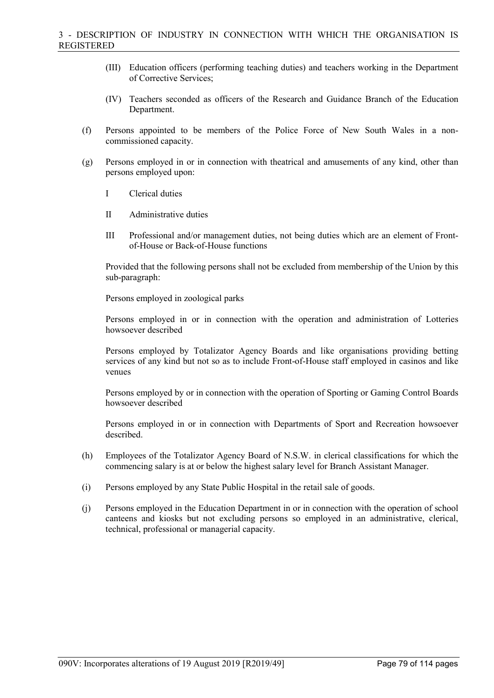- (III) Education officers (performing teaching duties) and teachers working in the Department of Corrective Services;
- (IV) Teachers seconded as officers of the Research and Guidance Branch of the Education Department.
- (f) Persons appointed to be members of the Police Force of New South Wales in a noncommissioned capacity.
- (g) Persons employed in or in connection with theatrical and amusements of any kind, other than persons employed upon:
	- I Clerical duties
	- II Administrative duties
	- III Professional and/or management duties, not being duties which are an element of Frontof-House or Back-of-House functions

Provided that the following persons shall not be excluded from membership of the Union by this sub-paragraph:

Persons employed in zoological parks

Persons employed in or in connection with the operation and administration of Lotteries howsoever described

Persons employed by Totalizator Agency Boards and like organisations providing betting services of any kind but not so as to include Front-of-House staff employed in casinos and like venues

Persons employed by or in connection with the operation of Sporting or Gaming Control Boards howsoever described

Persons employed in or in connection with Departments of Sport and Recreation howsoever described.

- (h) Employees of the Totalizator Agency Board of N.S.W. in clerical classifications for which the commencing salary is at or below the highest salary level for Branch Assistant Manager.
- (i) Persons employed by any State Public Hospital in the retail sale of goods.
- (j) Persons employed in the Education Department in or in connection with the operation of school canteens and kiosks but not excluding persons so employed in an administrative, clerical, technical, professional or managerial capacity.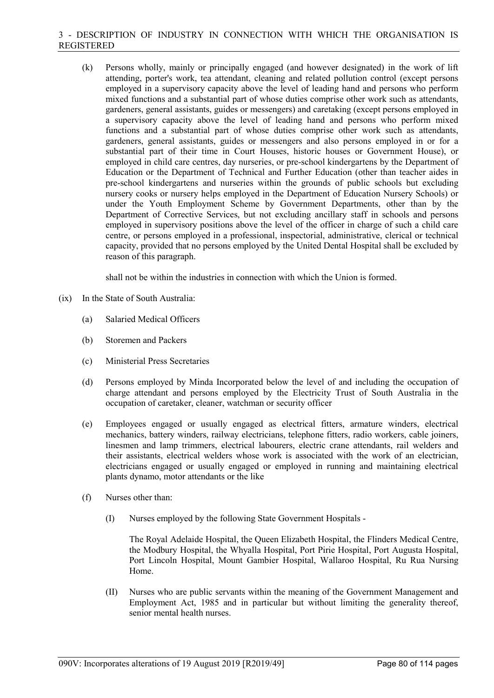(k) Persons wholly, mainly or principally engaged (and however designated) in the work of lift attending, porter's work, tea attendant, cleaning and related pollution control (except persons employed in a supervisory capacity above the level of leading hand and persons who perform mixed functions and a substantial part of whose duties comprise other work such as attendants, gardeners, general assistants, guides or messengers) and caretaking (except persons employed in a supervisory capacity above the level of leading hand and persons who perform mixed functions and a substantial part of whose duties comprise other work such as attendants, gardeners, general assistants, guides or messengers and also persons employed in or for a substantial part of their time in Court Houses, historic houses or Government House), or employed in child care centres, day nurseries, or pre-school kindergartens by the Department of Education or the Department of Technical and Further Education (other than teacher aides in pre-school kindergartens and nurseries within the grounds of public schools but excluding nursery cooks or nursery helps employed in the Department of Education Nursery Schools) or under the Youth Employment Scheme by Government Departments, other than by the Department of Corrective Services, but not excluding ancillary staff in schools and persons employed in supervisory positions above the level of the officer in charge of such a child care centre, or persons employed in a professional, inspectorial, administrative, clerical or technical capacity, provided that no persons employed by the United Dental Hospital shall be excluded by reason of this paragraph.

shall not be within the industries in connection with which the Union is formed.

- (ix) In the State of South Australia:
	- (a) Salaried Medical Officers
	- (b) Storemen and Packers
	- (c) Ministerial Press Secretaries
	- (d) Persons employed by Minda Incorporated below the level of and including the occupation of charge attendant and persons employed by the Electricity Trust of South Australia in the occupation of caretaker, cleaner, watchman or security officer
	- (e) Employees engaged or usually engaged as electrical fitters, armature winders, electrical mechanics, battery winders, railway electricians, telephone fitters, radio workers, cable joiners, linesmen and lamp trimmers, electrical labourers, electric crane attendants, rail welders and their assistants, electrical welders whose work is associated with the work of an electrician, electricians engaged or usually engaged or employed in running and maintaining electrical plants dynamo, motor attendants or the like
	- (f) Nurses other than:
		- (I) Nurses employed by the following State Government Hospitals -

The Royal Adelaide Hospital, the Queen Elizabeth Hospital, the Flinders Medical Centre, the Modbury Hospital, the Whyalla Hospital, Port Pirie Hospital, Port Augusta Hospital, Port Lincoln Hospital, Mount Gambier Hospital, Wallaroo Hospital, Ru Rua Nursing Home.

(II) Nurses who are public servants within the meaning of the Government Management and Employment Act, 1985 and in particular but without limiting the generality thereof, senior mental health nurses.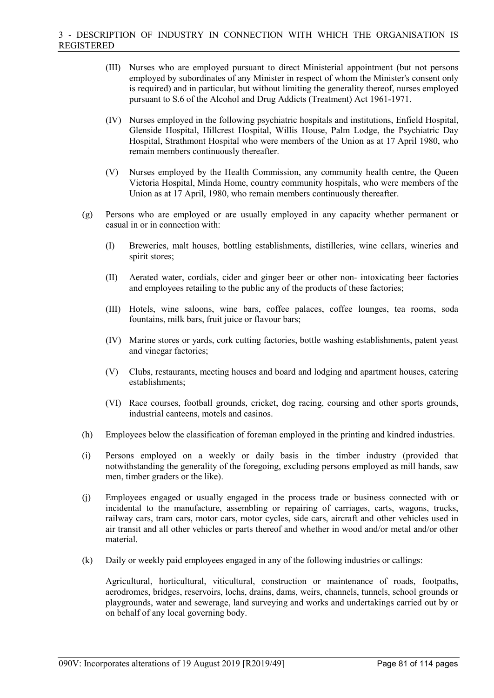- (III) Nurses who are employed pursuant to direct Ministerial appointment (but not persons employed by subordinates of any Minister in respect of whom the Minister's consent only is required) and in particular, but without limiting the generality thereof, nurses employed pursuant to S.6 of the Alcohol and Drug Addicts (Treatment) Act 1961-1971.
- (IV) Nurses employed in the following psychiatric hospitals and institutions, Enfield Hospital, Glenside Hospital, Hillcrest Hospital, Willis House, Palm Lodge, the Psychiatric Day Hospital, Strathmont Hospital who were members of the Union as at 17 April 1980, who remain members continuously thereafter.
- (V) Nurses employed by the Health Commission, any community health centre, the Queen Victoria Hospital, Minda Home, country community hospitals, who were members of the Union as at 17 April, 1980, who remain members continuously thereafter.
- (g) Persons who are employed or are usually employed in any capacity whether permanent or casual in or in connection with:
	- (I) Breweries, malt houses, bottling establishments, distilleries, wine cellars, wineries and spirit stores;
	- (II) Aerated water, cordials, cider and ginger beer or other non- intoxicating beer factories and employees retailing to the public any of the products of these factories;
	- (III) Hotels, wine saloons, wine bars, coffee palaces, coffee lounges, tea rooms, soda fountains, milk bars, fruit juice or flavour bars;
	- (IV) Marine stores or yards, cork cutting factories, bottle washing establishments, patent yeast and vinegar factories;
	- (V) Clubs, restaurants, meeting houses and board and lodging and apartment houses, catering establishments;
	- (VI) Race courses, football grounds, cricket, dog racing, coursing and other sports grounds, industrial canteens, motels and casinos.
- (h) Employees below the classification of foreman employed in the printing and kindred industries.
- (i) Persons employed on a weekly or daily basis in the timber industry (provided that notwithstanding the generality of the foregoing, excluding persons employed as mill hands, saw men, timber graders or the like).
- (j) Employees engaged or usually engaged in the process trade or business connected with or incidental to the manufacture, assembling or repairing of carriages, carts, wagons, trucks, railway cars, tram cars, motor cars, motor cycles, side cars, aircraft and other vehicles used in air transit and all other vehicles or parts thereof and whether in wood and/or metal and/or other material.
- (k) Daily or weekly paid employees engaged in any of the following industries or callings:

Agricultural, horticultural, viticultural, construction or maintenance of roads, footpaths, aerodromes, bridges, reservoirs, lochs, drains, dams, weirs, channels, tunnels, school grounds or playgrounds, water and sewerage, land surveying and works and undertakings carried out by or on behalf of any local governing body.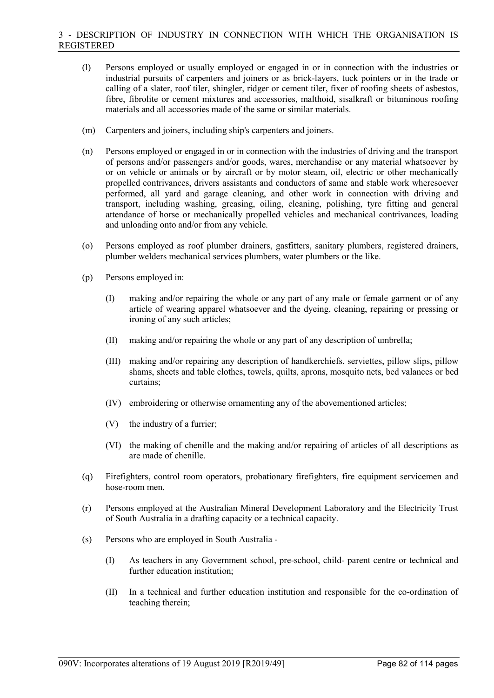- (l) Persons employed or usually employed or engaged in or in connection with the industries or industrial pursuits of carpenters and joiners or as brick-layers, tuck pointers or in the trade or calling of a slater, roof tiler, shingler, ridger or cement tiler, fixer of roofing sheets of asbestos, fibre, fibrolite or cement mixtures and accessories, malthoid, sisalkraft or bituminous roofing materials and all accessories made of the same or similar materials.
- (m) Carpenters and joiners, including ship's carpenters and joiners.
- (n) Persons employed or engaged in or in connection with the industries of driving and the transport of persons and/or passengers and/or goods, wares, merchandise or any material whatsoever by or on vehicle or animals or by aircraft or by motor steam, oil, electric or other mechanically propelled contrivances, drivers assistants and conductors of same and stable work wheresoever performed, all yard and garage cleaning, and other work in connection with driving and transport, including washing, greasing, oiling, cleaning, polishing, tyre fitting and general attendance of horse or mechanically propelled vehicles and mechanical contrivances, loading and unloading onto and/or from any vehicle.
- (o) Persons employed as roof plumber drainers, gasfitters, sanitary plumbers, registered drainers, plumber welders mechanical services plumbers, water plumbers or the like.
- (p) Persons employed in:
	- (I) making and/or repairing the whole or any part of any male or female garment or of any article of wearing apparel whatsoever and the dyeing, cleaning, repairing or pressing or ironing of any such articles;
	- (II) making and/or repairing the whole or any part of any description of umbrella;
	- (III) making and/or repairing any description of handkerchiefs, serviettes, pillow slips, pillow shams, sheets and table clothes, towels, quilts, aprons, mosquito nets, bed valances or bed curtains;
	- (IV) embroidering or otherwise ornamenting any of the abovementioned articles;
	- (V) the industry of a furrier;
	- (VI) the making of chenille and the making and/or repairing of articles of all descriptions as are made of chenille.
- (q) Firefighters, control room operators, probationary firefighters, fire equipment servicemen and hose-room men.
- (r) Persons employed at the Australian Mineral Development Laboratory and the Electricity Trust of South Australia in a drafting capacity or a technical capacity.
- (s) Persons who are employed in South Australia
	- (I) As teachers in any Government school, pre-school, child- parent centre or technical and further education institution;
	- (II) In a technical and further education institution and responsible for the co-ordination of teaching therein;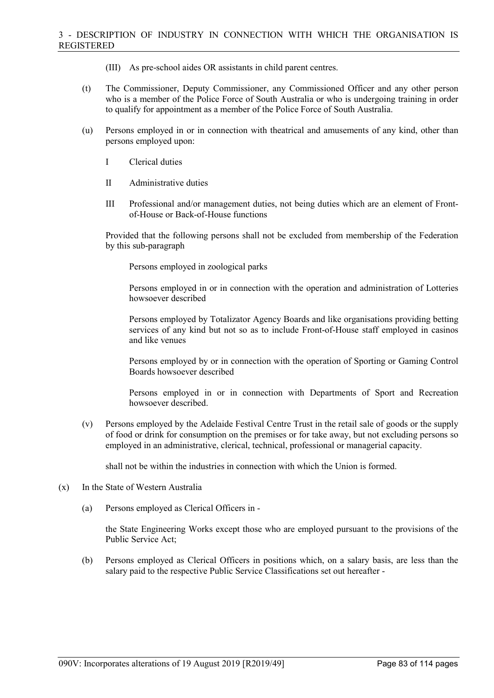- (III) As pre-school aides OR assistants in child parent centres.
- (t) The Commissioner, Deputy Commissioner, any Commissioned Officer and any other person who is a member of the Police Force of South Australia or who is undergoing training in order to qualify for appointment as a member of the Police Force of South Australia.
- (u) Persons employed in or in connection with theatrical and amusements of any kind, other than persons employed upon:
	- I Clerical duties
	- II Administrative duties
	- III Professional and/or management duties, not being duties which are an element of Frontof-House or Back-of-House functions

Provided that the following persons shall not be excluded from membership of the Federation by this sub-paragraph

Persons employed in zoological parks

Persons employed in or in connection with the operation and administration of Lotteries howsoever described

Persons employed by Totalizator Agency Boards and like organisations providing betting services of any kind but not so as to include Front-of-House staff employed in casinos and like venues

Persons employed by or in connection with the operation of Sporting or Gaming Control Boards howsoever described

Persons employed in or in connection with Departments of Sport and Recreation howsoever described.

(v) Persons employed by the Adelaide Festival Centre Trust in the retail sale of goods or the supply of food or drink for consumption on the premises or for take away, but not excluding persons so employed in an administrative, clerical, technical, professional or managerial capacity.

shall not be within the industries in connection with which the Union is formed.

- (x) In the State of Western Australia
	- (a) Persons employed as Clerical Officers in -

the State Engineering Works except those who are employed pursuant to the provisions of the Public Service Act;

(b) Persons employed as Clerical Officers in positions which, on a salary basis, are less than the salary paid to the respective Public Service Classifications set out hereafter -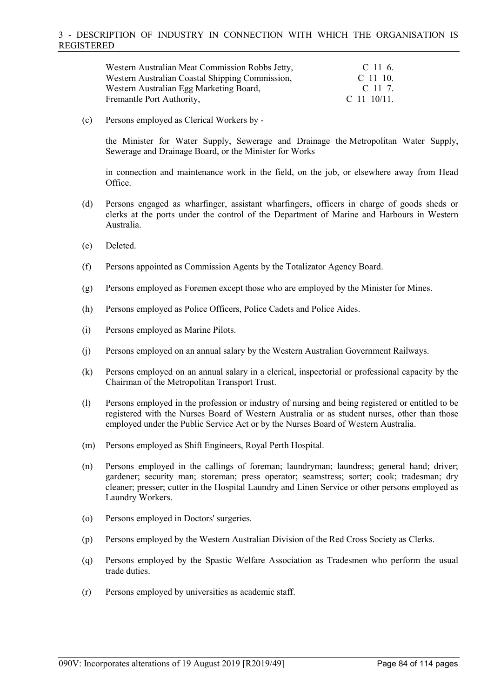| Western Australian Meat Commission Robbs Jetty, | C 11 6.        |
|-------------------------------------------------|----------------|
| Western Australian Coastal Shipping Commission, | $C$ 11 10.     |
| Western Australian Egg Marketing Board,         | C 11 7.        |
| Fremantle Port Authority,                       | C 11 $10/11$ . |

(c) Persons employed as Clerical Workers by -

the Minister for Water Supply, Sewerage and Drainage the Metropolitan Water Supply, Sewerage and Drainage Board, or the Minister for Works

in connection and maintenance work in the field, on the job, or elsewhere away from Head Office.

- (d) Persons engaged as wharfinger, assistant wharfingers, officers in charge of goods sheds or clerks at the ports under the control of the Department of Marine and Harbours in Western Australia.
- (e) Deleted.
- (f) Persons appointed as Commission Agents by the Totalizator Agency Board.
- (g) Persons employed as Foremen except those who are employed by the Minister for Mines.
- (h) Persons employed as Police Officers, Police Cadets and Police Aides.
- (i) Persons employed as Marine Pilots.
- (j) Persons employed on an annual salary by the Western Australian Government Railways.
- (k) Persons employed on an annual salary in a clerical, inspectorial or professional capacity by the Chairman of the Metropolitan Transport Trust.
- (l) Persons employed in the profession or industry of nursing and being registered or entitled to be registered with the Nurses Board of Western Australia or as student nurses, other than those employed under the Public Service Act or by the Nurses Board of Western Australia.
- (m) Persons employed as Shift Engineers, Royal Perth Hospital.
- (n) Persons employed in the callings of foreman; laundryman; laundress; general hand; driver; gardener; security man; storeman; press operator; seamstress; sorter; cook; tradesman; dry cleaner; presser; cutter in the Hospital Laundry and Linen Service or other persons employed as Laundry Workers.
- (o) Persons employed in Doctors' surgeries.
- (p) Persons employed by the Western Australian Division of the Red Cross Society as Clerks.
- (q) Persons employed by the Spastic Welfare Association as Tradesmen who perform the usual trade duties.
- (r) Persons employed by universities as academic staff.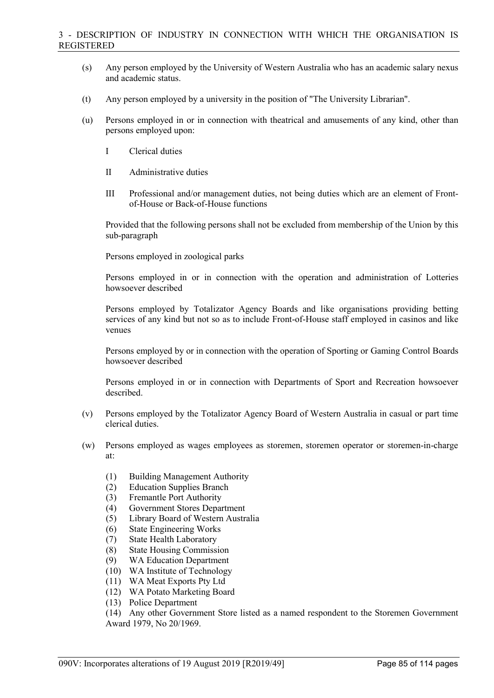- (s) Any person employed by the University of Western Australia who has an academic salary nexus and academic status.
- (t) Any person employed by a university in the position of "The University Librarian".
- (u) Persons employed in or in connection with theatrical and amusements of any kind, other than persons employed upon:
	- I Clerical duties
	- II Administrative duties
	- III Professional and/or management duties, not being duties which are an element of Frontof-House or Back-of-House functions

Provided that the following persons shall not be excluded from membership of the Union by this sub-paragraph

Persons employed in zoological parks

Persons employed in or in connection with the operation and administration of Lotteries howsoever described

Persons employed by Totalizator Agency Boards and like organisations providing betting services of any kind but not so as to include Front-of-House staff employed in casinos and like venues

Persons employed by or in connection with the operation of Sporting or Gaming Control Boards howsoever described

Persons employed in or in connection with Departments of Sport and Recreation howsoever described.

- (v) Persons employed by the Totalizator Agency Board of Western Australia in casual or part time clerical duties.
- (w) Persons employed as wages employees as storemen, storemen operator or storemen-in-charge at:
	- (1) Building Management Authority
	- (2) Education Supplies Branch
	- (3) Fremantle Port Authority
	- (4) Government Stores Department
	- (5) Library Board of Western Australia
	- (6) State Engineering Works
	- (7) State Health Laboratory
	- (8) State Housing Commission
	- (9) WA Education Department
	- (10) WA Institute of Technology
	- (11) WA Meat Exports Pty Ltd
	- (12) WA Potato Marketing Board
	- (13) Police Department

(14) Any other Government Store listed as a named respondent to the Storemen Government Award 1979, No 20/1969.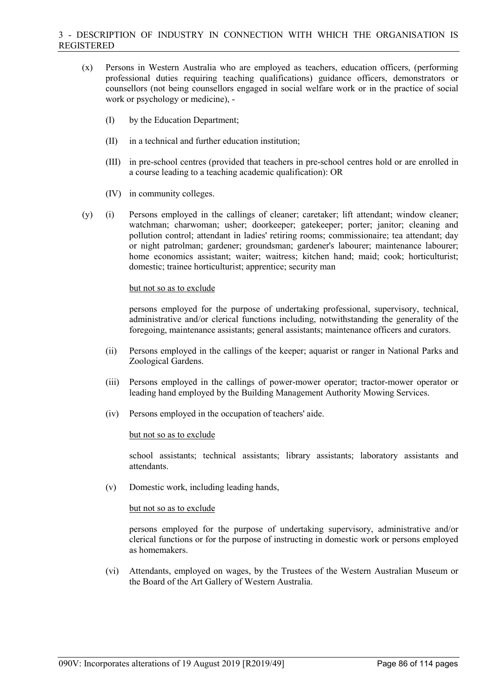- (x) Persons in Western Australia who are employed as teachers, education officers, (performing professional duties requiring teaching qualifications) guidance officers, demonstrators or counsellors (not being counsellors engaged in social welfare work or in the practice of social work or psychology or medicine), -
	- (I) by the Education Department;
	- (II) in a technical and further education institution;
	- (III) in pre-school centres (provided that teachers in pre-school centres hold or are enrolled in a course leading to a teaching academic qualification): OR
	- (IV) in community colleges.
- (y) (i) Persons employed in the callings of cleaner; caretaker; lift attendant; window cleaner; watchman; charwoman; usher; doorkeeper; gatekeeper; porter; janitor; cleaning and pollution control; attendant in ladies' retiring rooms; commissionaire; tea attendant; day or night patrolman; gardener; groundsman; gardener's labourer; maintenance labourer; home economics assistant; waiter; waitress; kitchen hand; maid; cook; horticulturist; domestic; trainee horticulturist; apprentice; security man

### but not so as to exclude

persons employed for the purpose of undertaking professional, supervisory, technical, administrative and/or clerical functions including, notwithstanding the generality of the foregoing, maintenance assistants; general assistants; maintenance officers and curators.

- (ii) Persons employed in the callings of the keeper; aquarist or ranger in National Parks and Zoological Gardens.
- (iii) Persons employed in the callings of power-mower operator; tractor-mower operator or leading hand employed by the Building Management Authority Mowing Services.
- (iv) Persons employed in the occupation of teachers' aide.

## but not so as to exclude

school assistants; technical assistants; library assistants; laboratory assistants and attendants.

(v) Domestic work, including leading hands,

### but not so as to exclude

persons employed for the purpose of undertaking supervisory, administrative and/or clerical functions or for the purpose of instructing in domestic work or persons employed as homemakers.

(vi) Attendants, employed on wages, by the Trustees of the Western Australian Museum or the Board of the Art Gallery of Western Australia.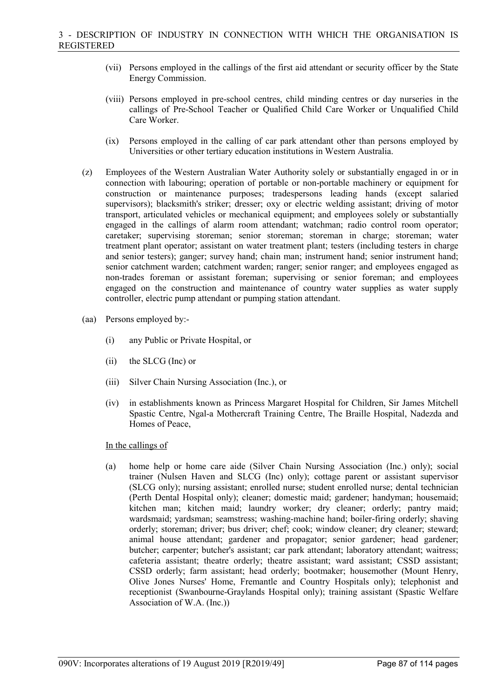- (vii) Persons employed in the callings of the first aid attendant or security officer by the State Energy Commission.
- (viii) Persons employed in pre-school centres, child minding centres or day nurseries in the callings of Pre-School Teacher or Qualified Child Care Worker or Unqualified Child Care Worker.
- (ix) Persons employed in the calling of car park attendant other than persons employed by Universities or other tertiary education institutions in Western Australia.
- (z) Employees of the Western Australian Water Authority solely or substantially engaged in or in connection with labouring; operation of portable or non-portable machinery or equipment for construction or maintenance purposes; tradespersons leading hands (except salaried supervisors); blacksmith's striker; dresser; oxy or electric welding assistant; driving of motor transport, articulated vehicles or mechanical equipment; and employees solely or substantially engaged in the callings of alarm room attendant; watchman; radio control room operator; caretaker; supervising storeman; senior storeman; storeman in charge; storeman; water treatment plant operator; assistant on water treatment plant; testers (including testers in charge and senior testers); ganger; survey hand; chain man; instrument hand; senior instrument hand; senior catchment warden; catchment warden; ranger; senior ranger; and employees engaged as non-trades foreman or assistant foreman; supervising or senior foreman; and employees engaged on the construction and maintenance of country water supplies as water supply controller, electric pump attendant or pumping station attendant.
- (aa) Persons employed by:-
	- (i) any Public or Private Hospital, or
	- (ii) the SLCG (Inc) or
	- (iii) Silver Chain Nursing Association (Inc.), or
	- (iv) in establishments known as Princess Margaret Hospital for Children, Sir James Mitchell Spastic Centre, Ngal-a Mothercraft Training Centre, The Braille Hospital, Nadezda and Homes of Peace,

## In the callings of

(a) home help or home care aide (Silver Chain Nursing Association (Inc.) only); social trainer (Nulsen Haven and SLCG (Inc) only); cottage parent or assistant supervisor (SLCG only); nursing assistant; enrolled nurse; student enrolled nurse; dental technician (Perth Dental Hospital only); cleaner; domestic maid; gardener; handyman; housemaid; kitchen man; kitchen maid; laundry worker; dry cleaner; orderly; pantry maid; wardsmaid; yardsman; seamstress; washing-machine hand; boiler-firing orderly; shaving orderly; storeman; driver; bus driver; chef; cook; window cleaner; dry cleaner; steward; animal house attendant; gardener and propagator; senior gardener; head gardener; butcher; carpenter; butcher's assistant; car park attendant; laboratory attendant; waitress; cafeteria assistant; theatre orderly; theatre assistant; ward assistant; CSSD assistant; CSSD orderly; farm assistant; head orderly; bootmaker; housemother (Mount Henry, Olive Jones Nurses' Home, Fremantle and Country Hospitals only); telephonist and receptionist (Swanbourne-Graylands Hospital only); training assistant (Spastic Welfare Association of W.A. (Inc.))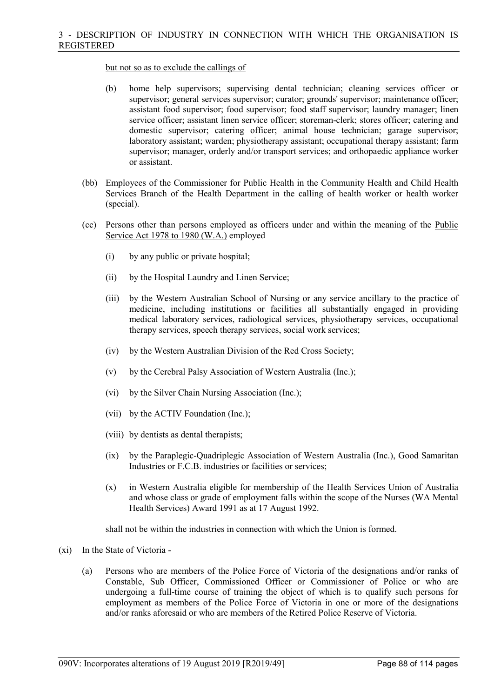### but not so as to exclude the callings of

- (b) home help supervisors; supervising dental technician; cleaning services officer or supervisor; general services supervisor; curator; grounds' supervisor; maintenance officer; assistant food supervisor; food supervisor; food staff supervisor; laundry manager; linen service officer; assistant linen service officer; storeman-clerk; stores officer; catering and domestic supervisor; catering officer; animal house technician; garage supervisor; laboratory assistant; warden; physiotherapy assistant; occupational therapy assistant; farm supervisor; manager, orderly and/or transport services; and orthopaedic appliance worker or assistant.
- (bb) Employees of the Commissioner for Public Health in the Community Health and Child Health Services Branch of the Health Department in the calling of health worker or health worker (special).
- (cc) Persons other than persons employed as officers under and within the meaning of the Public Service Act 1978 to 1980 (W.A.) employed
	- (i) by any public or private hospital;
	- (ii) by the Hospital Laundry and Linen Service;
	- (iii) by the Western Australian School of Nursing or any service ancillary to the practice of medicine, including institutions or facilities all substantially engaged in providing medical laboratory services, radiological services, physiotherapy services, occupational therapy services, speech therapy services, social work services;
	- (iv) by the Western Australian Division of the Red Cross Society;
	- (v) by the Cerebral Palsy Association of Western Australia (Inc.);
	- (vi) by the Silver Chain Nursing Association (Inc.);
	- (vii) by the ACTIV Foundation (Inc.);
	- (viii) by dentists as dental therapists;
	- (ix) by the Paraplegic-Quadriplegic Association of Western Australia (Inc.), Good Samaritan Industries or F.C.B. industries or facilities or services;
	- (x) in Western Australia eligible for membership of the Health Services Union of Australia and whose class or grade of employment falls within the scope of the Nurses (WA Mental Health Services) Award 1991 as at 17 August 1992.

shall not be within the industries in connection with which the Union is formed.

- (xi) In the State of Victoria
	- (a) Persons who are members of the Police Force of Victoria of the designations and/or ranks of Constable, Sub Officer, Commissioned Officer or Commissioner of Police or who are undergoing a full-time course of training the object of which is to qualify such persons for employment as members of the Police Force of Victoria in one or more of the designations and/or ranks aforesaid or who are members of the Retired Police Reserve of Victoria.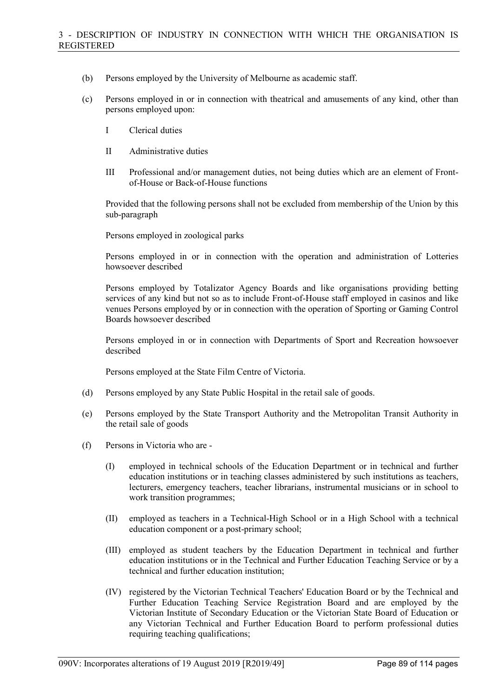- (b) Persons employed by the University of Melbourne as academic staff.
- (c) Persons employed in or in connection with theatrical and amusements of any kind, other than persons employed upon:
	- I Clerical duties
	- II Administrative duties
	- III Professional and/or management duties, not being duties which are an element of Frontof-House or Back-of-House functions

Provided that the following persons shall not be excluded from membership of the Union by this sub-paragraph

Persons employed in zoological parks

Persons employed in or in connection with the operation and administration of Lotteries howsoever described

Persons employed by Totalizator Agency Boards and like organisations providing betting services of any kind but not so as to include Front-of-House staff employed in casinos and like venues Persons employed by or in connection with the operation of Sporting or Gaming Control Boards howsoever described

Persons employed in or in connection with Departments of Sport and Recreation howsoever described

Persons employed at the State Film Centre of Victoria.

- (d) Persons employed by any State Public Hospital in the retail sale of goods.
- (e) Persons employed by the State Transport Authority and the Metropolitan Transit Authority in the retail sale of goods
- (f) Persons in Victoria who are
	- (I) employed in technical schools of the Education Department or in technical and further education institutions or in teaching classes administered by such institutions as teachers, lecturers, emergency teachers, teacher librarians, instrumental musicians or in school to work transition programmes;
	- (II) employed as teachers in a Technical-High School or in a High School with a technical education component or a post-primary school;
	- (III) employed as student teachers by the Education Department in technical and further education institutions or in the Technical and Further Education Teaching Service or by a technical and further education institution;
	- (IV) registered by the Victorian Technical Teachers' Education Board or by the Technical and Further Education Teaching Service Registration Board and are employed by the Victorian Institute of Secondary Education or the Victorian State Board of Education or any Victorian Technical and Further Education Board to perform professional duties requiring teaching qualifications;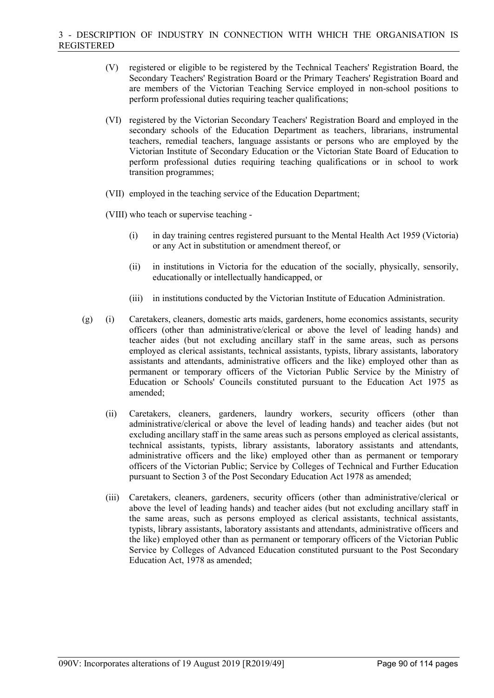- (V) registered or eligible to be registered by the Technical Teachers' Registration Board, the Secondary Teachers' Registration Board or the Primary Teachers' Registration Board and are members of the Victorian Teaching Service employed in non-school positions to perform professional duties requiring teacher qualifications;
- (VI) registered by the Victorian Secondary Teachers' Registration Board and employed in the secondary schools of the Education Department as teachers, librarians, instrumental teachers, remedial teachers, language assistants or persons who are employed by the Victorian Institute of Secondary Education or the Victorian State Board of Education to perform professional duties requiring teaching qualifications or in school to work transition programmes;
- (VII) employed in the teaching service of the Education Department;
- (VIII) who teach or supervise teaching
	- (i) in day training centres registered pursuant to the Mental Health Act 1959 (Victoria) or any Act in substitution or amendment thereof, or
	- (ii) in institutions in Victoria for the education of the socially, physically, sensorily, educationally or intellectually handicapped, or
	- (iii) in institutions conducted by the Victorian Institute of Education Administration.
- (g) (i) Caretakers, cleaners, domestic arts maids, gardeners, home economics assistants, security officers (other than administrative/clerical or above the level of leading hands) and teacher aides (but not excluding ancillary staff in the same areas, such as persons employed as clerical assistants, technical assistants, typists, library assistants, laboratory assistants and attendants, administrative officers and the like) employed other than as permanent or temporary officers of the Victorian Public Service by the Ministry of Education or Schools' Councils constituted pursuant to the Education Act 1975 as amended;
	- (ii) Caretakers, cleaners, gardeners, laundry workers, security officers (other than administrative/clerical or above the level of leading hands) and teacher aides (but not excluding ancillary staff in the same areas such as persons employed as clerical assistants, technical assistants, typists, library assistants, laboratory assistants and attendants, administrative officers and the like) employed other than as permanent or temporary officers of the Victorian Public; Service by Colleges of Technical and Further Education pursuant to Section 3 of the Post Secondary Education Act 1978 as amended;
	- (iii) Caretakers, cleaners, gardeners, security officers (other than administrative/clerical or above the level of leading hands) and teacher aides (but not excluding ancillary staff in the same areas, such as persons employed as clerical assistants, technical assistants, typists, library assistants, laboratory assistants and attendants, administrative officers and the like) employed other than as permanent or temporary officers of the Victorian Public Service by Colleges of Advanced Education constituted pursuant to the Post Secondary Education Act, 1978 as amended;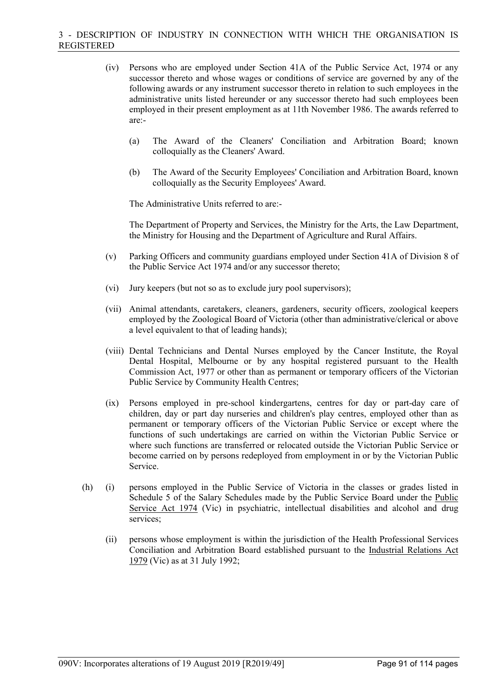- (iv) Persons who are employed under Section 41A of the Public Service Act, 1974 or any successor thereto and whose wages or conditions of service are governed by any of the following awards or any instrument successor thereto in relation to such employees in the administrative units listed hereunder or any successor thereto had such employees been employed in their present employment as at 11th November 1986. The awards referred to are:-
	- (a) The Award of the Cleaners' Conciliation and Arbitration Board; known colloquially as the Cleaners' Award.
	- (b) The Award of the Security Employees' Conciliation and Arbitration Board, known colloquially as the Security Employees' Award.

The Administrative Units referred to are:-

The Department of Property and Services, the Ministry for the Arts, the Law Department, the Ministry for Housing and the Department of Agriculture and Rural Affairs.

- (v) Parking Officers and community guardians employed under Section 41A of Division 8 of the Public Service Act 1974 and/or any successor thereto;
- (vi) Jury keepers (but not so as to exclude jury pool supervisors);
- (vii) Animal attendants, caretakers, cleaners, gardeners, security officers, zoological keepers employed by the Zoological Board of Victoria (other than administrative/clerical or above a level equivalent to that of leading hands);
- (viii) Dental Technicians and Dental Nurses employed by the Cancer Institute, the Royal Dental Hospital, Melbourne or by any hospital registered pursuant to the Health Commission Act, 1977 or other than as permanent or temporary officers of the Victorian Public Service by Community Health Centres;
- (ix) Persons employed in pre-school kindergartens, centres for day or part-day care of children, day or part day nurseries and children's play centres, employed other than as permanent or temporary officers of the Victorian Public Service or except where the functions of such undertakings are carried on within the Victorian Public Service or where such functions are transferred or relocated outside the Victorian Public Service or become carried on by persons redeployed from employment in or by the Victorian Public Service.
- (h) (i) persons employed in the Public Service of Victoria in the classes or grades listed in Schedule 5 of the Salary Schedules made by the Public Service Board under the Public Service Act 1974 (Vic) in psychiatric, intellectual disabilities and alcohol and drug services;
	- (ii) persons whose employment is within the jurisdiction of the Health Professional Services Conciliation and Arbitration Board established pursuant to the Industrial Relations Act 1979 (Vic) as at 31 July 1992;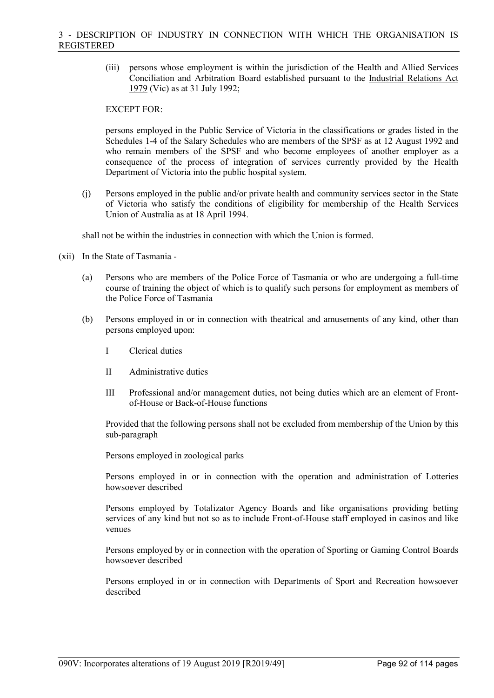(iii) persons whose employment is within the jurisdiction of the Health and Allied Services Conciliation and Arbitration Board established pursuant to the Industrial Relations Act 1979 (Vic) as at 31 July 1992;

## EXCEPT FOR:

persons employed in the Public Service of Victoria in the classifications or grades listed in the Schedules 1-4 of the Salary Schedules who are members of the SPSF as at 12 August 1992 and who remain members of the SPSF and who become employees of another employer as a consequence of the process of integration of services currently provided by the Health Department of Victoria into the public hospital system.

(j) Persons employed in the public and/or private health and community services sector in the State of Victoria who satisfy the conditions of eligibility for membership of the Health Services Union of Australia as at 18 April 1994.

shall not be within the industries in connection with which the Union is formed.

- (xii) In the State of Tasmania
	- (a) Persons who are members of the Police Force of Tasmania or who are undergoing a full-time course of training the object of which is to qualify such persons for employment as members of the Police Force of Tasmania
	- (b) Persons employed in or in connection with theatrical and amusements of any kind, other than persons employed upon:
		- I Clerical duties
		- II Administrative duties
		- III Professional and/or management duties, not being duties which are an element of Frontof-House or Back-of-House functions

Provided that the following persons shall not be excluded from membership of the Union by this sub-paragraph

Persons employed in zoological parks

Persons employed in or in connection with the operation and administration of Lotteries howsoever described

Persons employed by Totalizator Agency Boards and like organisations providing betting services of any kind but not so as to include Front-of-House staff employed in casinos and like venues

Persons employed by or in connection with the operation of Sporting or Gaming Control Boards howsoever described

Persons employed in or in connection with Departments of Sport and Recreation howsoever described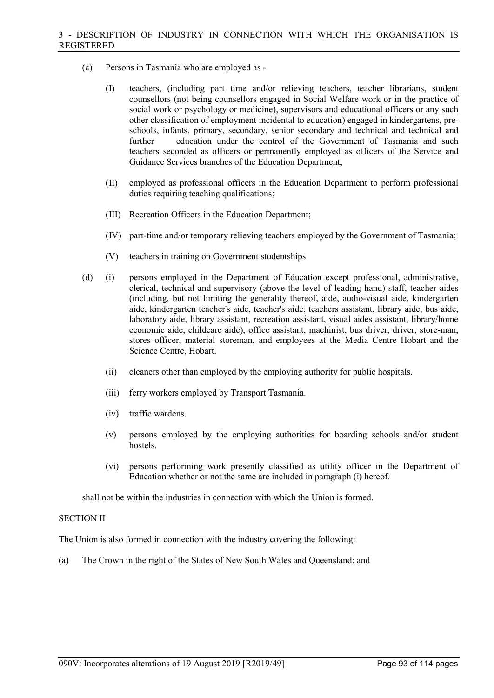- (c) Persons in Tasmania who are employed as
	- (I) teachers, (including part time and/or relieving teachers, teacher librarians, student counsellors (not being counsellors engaged in Social Welfare work or in the practice of social work or psychology or medicine), supervisors and educational officers or any such other classification of employment incidental to education) engaged in kindergartens, preschools, infants, primary, secondary, senior secondary and technical and technical and further education under the control of the Government of Tasmania and such teachers seconded as officers or permanently employed as officers of the Service and Guidance Services branches of the Education Department;
	- (II) employed as professional officers in the Education Department to perform professional duties requiring teaching qualifications;
	- (III) Recreation Officers in the Education Department;
	- (IV) part-time and/or temporary relieving teachers employed by the Government of Tasmania;
	- (V) teachers in training on Government studentships
- (d) (i) persons employed in the Department of Education except professional, administrative, clerical, technical and supervisory (above the level of leading hand) staff, teacher aides (including, but not limiting the generality thereof, aide, audio-visual aide, kindergarten aide, kindergarten teacher's aide, teacher's aide, teachers assistant, library aide, bus aide, laboratory aide, library assistant, recreation assistant, visual aides assistant, library/home economic aide, childcare aide), office assistant, machinist, bus driver, driver, store-man, stores officer, material storeman, and employees at the Media Centre Hobart and the Science Centre, Hobart.
	- (ii) cleaners other than employed by the employing authority for public hospitals.
	- (iii) ferry workers employed by Transport Tasmania.
	- (iv) traffic wardens.
	- (v) persons employed by the employing authorities for boarding schools and/or student hostels.
	- (vi) persons performing work presently classified as utility officer in the Department of Education whether or not the same are included in paragraph (i) hereof.

shall not be within the industries in connection with which the Union is formed.

#### SECTION II

The Union is also formed in connection with the industry covering the following:

(a) The Crown in the right of the States of New South Wales and Queensland; and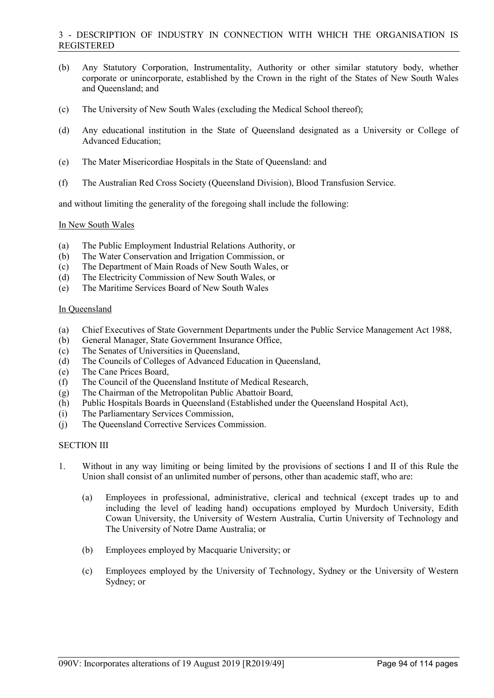## 3 - DESCRIPTION OF INDUSTRY IN CONNECTION WITH WHICH THE ORGANISATION IS REGISTERED

- (b) Any Statutory Corporation, Instrumentality, Authority or other similar statutory body, whether corporate or unincorporate, established by the Crown in the right of the States of New South Wales and Queensland; and
- (c) The University of New South Wales (excluding the Medical School thereof);
- (d) Any educational institution in the State of Queensland designated as a University or College of Advanced Education;
- (e) The Mater Misericordiae Hospitals in the State of Queensland: and
- (f) The Australian Red Cross Society (Queensland Division), Blood Transfusion Service.

and without limiting the generality of the foregoing shall include the following:

#### In New South Wales

- (a) The Public Employment Industrial Relations Authority, or
- (b) The Water Conservation and Irrigation Commission, or
- (c) The Department of Main Roads of New South Wales, or
- (d) The Electricity Commission of New South Wales, or
- (e) The Maritime Services Board of New South Wales

#### In Queensland

- (a) Chief Executives of State Government Departments under the Public Service Management Act 1988,
- (b) General Manager, State Government Insurance Office,
- (c) The Senates of Universities in Queensland,
- (d) The Councils of Colleges of Advanced Education in Queensland,
- (e) The Cane Prices Board,
- (f) The Council of the Queensland Institute of Medical Research,
- (g) The Chairman of the Metropolitan Public Abattoir Board,
- (h) Public Hospitals Boards in Queensland (Established under the Queensland Hospital Act),
- (i) The Parliamentary Services Commission,
- (j) The Queensland Corrective Services Commission.

### SECTION III

- 1. Without in any way limiting or being limited by the provisions of sections I and II of this Rule the Union shall consist of an unlimited number of persons, other than academic staff, who are:
	- (a) Employees in professional, administrative, clerical and technical (except trades up to and including the level of leading hand) occupations employed by Murdoch University, Edith Cowan University, the University of Western Australia, Curtin University of Technology and The University of Notre Dame Australia; or
	- (b) Employees employed by Macquarie University; or
	- (c) Employees employed by the University of Technology, Sydney or the University of Western Sydney; or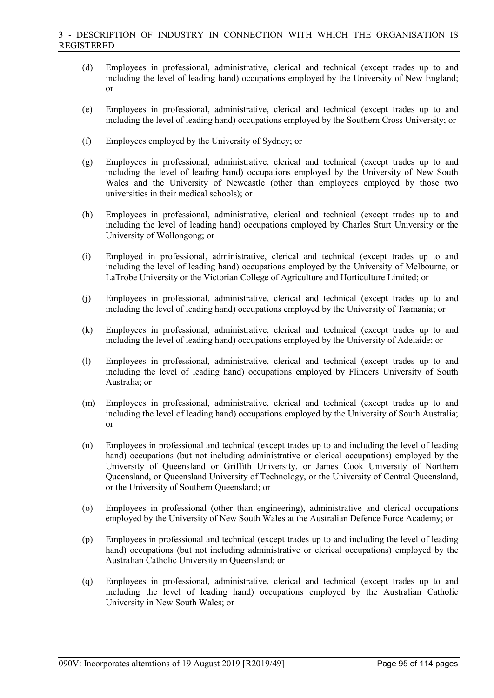- (d) Employees in professional, administrative, clerical and technical (except trades up to and including the level of leading hand) occupations employed by the University of New England; or
- (e) Employees in professional, administrative, clerical and technical (except trades up to and including the level of leading hand) occupations employed by the Southern Cross University; or
- (f) Employees employed by the University of Sydney; or
- (g) Employees in professional, administrative, clerical and technical (except trades up to and including the level of leading hand) occupations employed by the University of New South Wales and the University of Newcastle (other than employees employed by those two universities in their medical schools); or
- (h) Employees in professional, administrative, clerical and technical (except trades up to and including the level of leading hand) occupations employed by Charles Sturt University or the University of Wollongong; or
- (i) Employed in professional, administrative, clerical and technical (except trades up to and including the level of leading hand) occupations employed by the University of Melbourne, or LaTrobe University or the Victorian College of Agriculture and Horticulture Limited; or
- (j) Employees in professional, administrative, clerical and technical (except trades up to and including the level of leading hand) occupations employed by the University of Tasmania; or
- (k) Employees in professional, administrative, clerical and technical (except trades up to and including the level of leading hand) occupations employed by the University of Adelaide; or
- (l) Employees in professional, administrative, clerical and technical (except trades up to and including the level of leading hand) occupations employed by Flinders University of South Australia; or
- (m) Employees in professional, administrative, clerical and technical (except trades up to and including the level of leading hand) occupations employed by the University of South Australia; or
- (n) Employees in professional and technical (except trades up to and including the level of leading hand) occupations (but not including administrative or clerical occupations) employed by the University of Queensland or Griffith University, or James Cook University of Northern Queensland, or Queensland University of Technology, or the University of Central Queensland, or the University of Southern Queensland; or
- (o) Employees in professional (other than engineering), administrative and clerical occupations employed by the University of New South Wales at the Australian Defence Force Academy; or
- (p) Employees in professional and technical (except trades up to and including the level of leading hand) occupations (but not including administrative or clerical occupations) employed by the Australian Catholic University in Queensland; or
- (q) Employees in professional, administrative, clerical and technical (except trades up to and including the level of leading hand) occupations employed by the Australian Catholic University in New South Wales; or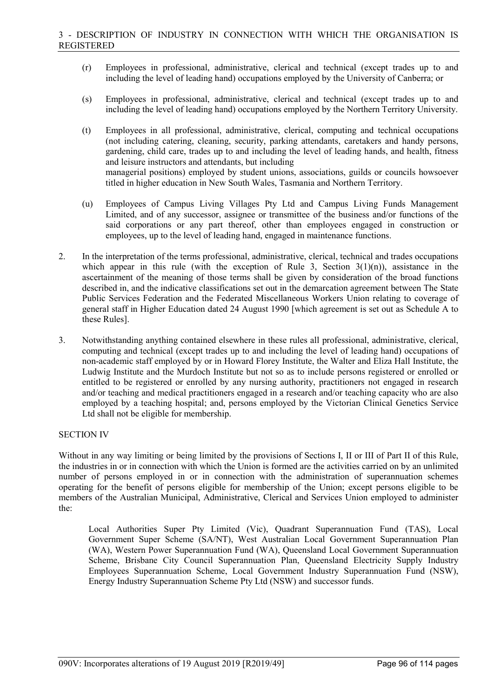- (r) Employees in professional, administrative, clerical and technical (except trades up to and including the level of leading hand) occupations employed by the University of Canberra; or
- (s) Employees in professional, administrative, clerical and technical (except trades up to and including the level of leading hand) occupations employed by the Northern Territory University.
- (t) Employees in all professional, administrative, clerical, computing and technical occupations (not including catering, cleaning, security, parking attendants, caretakers and handy persons, gardening, child care, trades up to and including the level of leading hands, and health, fitness and leisure instructors and attendants, but including managerial positions) employed by student unions, associations, guilds or councils howsoever titled in higher education in New South Wales, Tasmania and Northern Territory.
- (u) Employees of Campus Living Villages Pty Ltd and Campus Living Funds Management Limited, and of any successor, assignee or transmittee of the business and/or functions of the said corporations or any part thereof, other than employees engaged in construction or employees, up to the level of leading hand, engaged in maintenance functions.
- 2. In the interpretation of the terms professional, administrative, clerical, technical and trades occupations which appear in this rule (with the exception of Rule 3, Section  $3(1)(n)$ ), assistance in the ascertainment of the meaning of those terms shall be given by consideration of the broad functions described in, and the indicative classifications set out in the demarcation agreement between The State Public Services Federation and the Federated Miscellaneous Workers Union relating to coverage of general staff in Higher Education dated 24 August 1990 [which agreement is set out as Schedule A to these Rules].
- 3. Notwithstanding anything contained elsewhere in these rules all professional, administrative, clerical, computing and technical (except trades up to and including the level of leading hand) occupations of non-academic staff employed by or in Howard Florey Institute, the Walter and Eliza Hall Institute, the Ludwig Institute and the Murdoch Institute but not so as to include persons registered or enrolled or entitled to be registered or enrolled by any nursing authority, practitioners not engaged in research and/or teaching and medical practitioners engaged in a research and/or teaching capacity who are also employed by a teaching hospital; and, persons employed by the Victorian Clinical Genetics Service Ltd shall not be eligible for membership.

## SECTION IV

Without in any way limiting or being limited by the provisions of Sections I, II or III of Part II of this Rule, the industries in or in connection with which the Union is formed are the activities carried on by an unlimited number of persons employed in or in connection with the administration of superannuation schemes operating for the benefit of persons eligible for membership of the Union; except persons eligible to be members of the Australian Municipal, Administrative, Clerical and Services Union employed to administer the:

Local Authorities Super Pty Limited (Vic), Quadrant Superannuation Fund (TAS), Local Government Super Scheme (SA/NT), West Australian Local Government Superannuation Plan (WA), Western Power Superannuation Fund (WA), Queensland Local Government Superannuation Scheme, Brisbane City Council Superannuation Plan, Queensland Electricity Supply Industry Employees Superannuation Scheme, Local Government Industry Superannuation Fund (NSW), Energy Industry Superannuation Scheme Pty Ltd (NSW) and successor funds.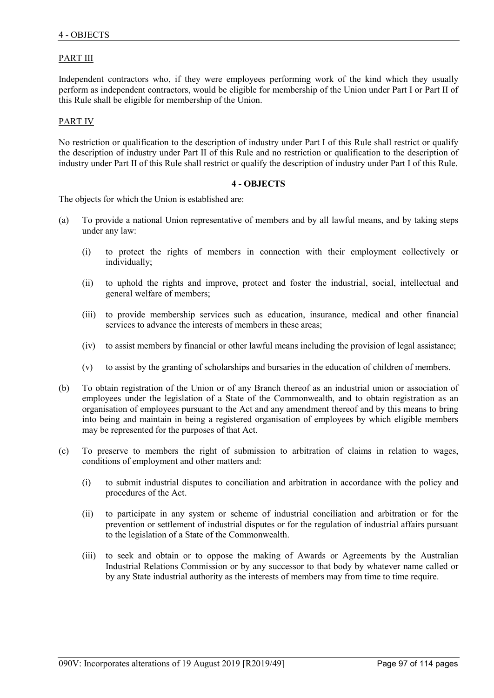# PART III

Independent contractors who, if they were employees performing work of the kind which they usually perform as independent contractors, would be eligible for membership of the Union under Part I or Part II of this Rule shall be eligible for membership of the Union.

### PART IV

No restriction or qualification to the description of industry under Part I of this Rule shall restrict or qualify the description of industry under Part II of this Rule and no restriction or qualification to the description of industry under Part II of this Rule shall restrict or qualify the description of industry under Part I of this Rule.

#### **4 - OBJECTS**

The objects for which the Union is established are:

- (a) To provide a national Union representative of members and by all lawful means, and by taking steps under any law:
	- (i) to protect the rights of members in connection with their employment collectively or individually;
	- (ii) to uphold the rights and improve, protect and foster the industrial, social, intellectual and general welfare of members;
	- (iii) to provide membership services such as education, insurance, medical and other financial services to advance the interests of members in these areas;
	- (iv) to assist members by financial or other lawful means including the provision of legal assistance;
	- (v) to assist by the granting of scholarships and bursaries in the education of children of members.
- (b) To obtain registration of the Union or of any Branch thereof as an industrial union or association of employees under the legislation of a State of the Commonwealth, and to obtain registration as an organisation of employees pursuant to the Act and any amendment thereof and by this means to bring into being and maintain in being a registered organisation of employees by which eligible members may be represented for the purposes of that Act.
- (c) To preserve to members the right of submission to arbitration of claims in relation to wages, conditions of employment and other matters and:
	- (i) to submit industrial disputes to conciliation and arbitration in accordance with the policy and procedures of the Act.
	- (ii) to participate in any system or scheme of industrial conciliation and arbitration or for the prevention or settlement of industrial disputes or for the regulation of industrial affairs pursuant to the legislation of a State of the Commonwealth.
	- (iii) to seek and obtain or to oppose the making of Awards or Agreements by the Australian Industrial Relations Commission or by any successor to that body by whatever name called or by any State industrial authority as the interests of members may from time to time require.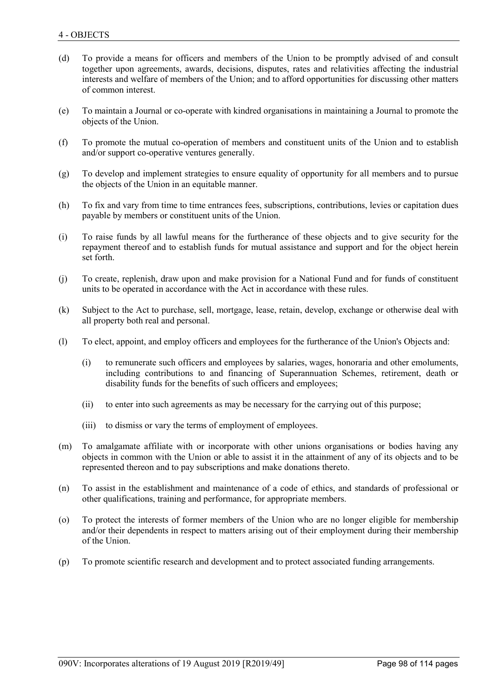- (d) To provide a means for officers and members of the Union to be promptly advised of and consult together upon agreements, awards, decisions, disputes, rates and relativities affecting the industrial interests and welfare of members of the Union; and to afford opportunities for discussing other matters of common interest.
- (e) To maintain a Journal or co-operate with kindred organisations in maintaining a Journal to promote the objects of the Union.
- (f) To promote the mutual co-operation of members and constituent units of the Union and to establish and/or support co-operative ventures generally.
- (g) To develop and implement strategies to ensure equality of opportunity for all members and to pursue the objects of the Union in an equitable manner.
- (h) To fix and vary from time to time entrances fees, subscriptions, contributions, levies or capitation dues payable by members or constituent units of the Union.
- (i) To raise funds by all lawful means for the furtherance of these objects and to give security for the repayment thereof and to establish funds for mutual assistance and support and for the object herein set forth.
- (j) To create, replenish, draw upon and make provision for a National Fund and for funds of constituent units to be operated in accordance with the Act in accordance with these rules.
- (k) Subject to the Act to purchase, sell, mortgage, lease, retain, develop, exchange or otherwise deal with all property both real and personal.
- (l) To elect, appoint, and employ officers and employees for the furtherance of the Union's Objects and:
	- (i) to remunerate such officers and employees by salaries, wages, honoraria and other emoluments, including contributions to and financing of Superannuation Schemes, retirement, death or disability funds for the benefits of such officers and employees;
	- (ii) to enter into such agreements as may be necessary for the carrying out of this purpose;
	- (iii) to dismiss or vary the terms of employment of employees.
- (m) To amalgamate affiliate with or incorporate with other unions organisations or bodies having any objects in common with the Union or able to assist it in the attainment of any of its objects and to be represented thereon and to pay subscriptions and make donations thereto.
- (n) To assist in the establishment and maintenance of a code of ethics, and standards of professional or other qualifications, training and performance, for appropriate members.
- (o) To protect the interests of former members of the Union who are no longer eligible for membership and/or their dependents in respect to matters arising out of their employment during their membership of the Union.
- (p) To promote scientific research and development and to protect associated funding arrangements.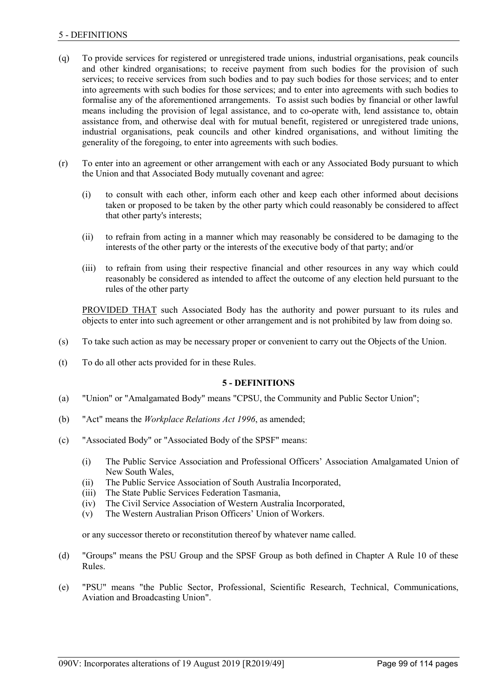# 5 - DEFINITIONS

- (q) To provide services for registered or unregistered trade unions, industrial organisations, peak councils and other kindred organisations; to receive payment from such bodies for the provision of such services; to receive services from such bodies and to pay such bodies for those services; and to enter into agreements with such bodies for those services; and to enter into agreements with such bodies to formalise any of the aforementioned arrangements. To assist such bodies by financial or other lawful means including the provision of legal assistance, and to co-operate with, lend assistance to, obtain assistance from, and otherwise deal with for mutual benefit, registered or unregistered trade unions, industrial organisations, peak councils and other kindred organisations, and without limiting the generality of the foregoing, to enter into agreements with such bodies.
- (r) To enter into an agreement or other arrangement with each or any Associated Body pursuant to which the Union and that Associated Body mutually covenant and agree:
	- (i) to consult with each other, inform each other and keep each other informed about decisions taken or proposed to be taken by the other party which could reasonably be considered to affect that other party's interests;
	- (ii) to refrain from acting in a manner which may reasonably be considered to be damaging to the interests of the other party or the interests of the executive body of that party; and/or
	- (iii) to refrain from using their respective financial and other resources in any way which could reasonably be considered as intended to affect the outcome of any election held pursuant to the rules of the other party

PROVIDED THAT such Associated Body has the authority and power pursuant to its rules and objects to enter into such agreement or other arrangement and is not prohibited by law from doing so.

- (s) To take such action as may be necessary proper or convenient to carry out the Objects of the Union.
- (t) To do all other acts provided for in these Rules.

## **5 - DEFINITIONS**

- (a) "Union" or "Amalgamated Body" means "CPSU, the Community and Public Sector Union";
- (b) "Act" means the *Workplace Relations Act 1996*, as amended;
- (c) "Associated Body" or "Associated Body of the SPSF" means:
	- (i) The Public Service Association and Professional Officers' Association Amalgamated Union of New South Wales,
	- (ii) The Public Service Association of South Australia Incorporated,
	- (iii) The State Public Services Federation Tasmania,
	- (iv) The Civil Service Association of Western Australia Incorporated,
	- (v) The Western Australian Prison Officers' Union of Workers.

or any successor thereto or reconstitution thereof by whatever name called.

- (d) "Groups" means the PSU Group and the SPSF Group as both defined in Chapter A Rule 10 of these Rules.
- (e) "PSU" means "the Public Sector, Professional, Scientific Research, Technical, Communications, Aviation and Broadcasting Union".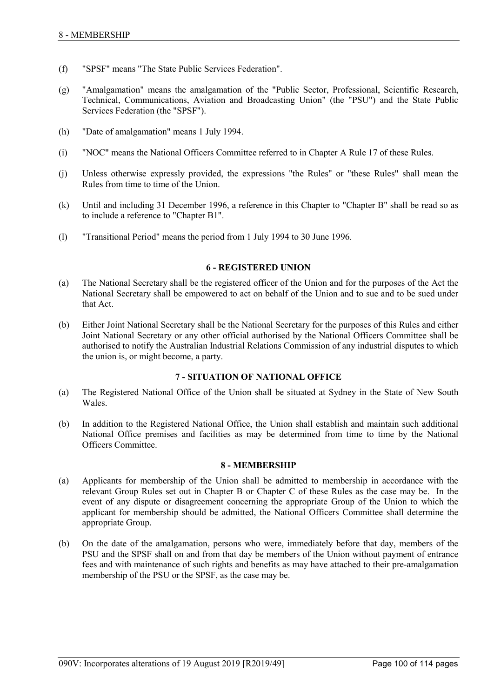- (f) "SPSF" means "The State Public Services Federation".
- (g) "Amalgamation" means the amalgamation of the "Public Sector, Professional, Scientific Research, Technical, Communications, Aviation and Broadcasting Union" (the "PSU") and the State Public Services Federation (the "SPSF").
- (h) "Date of amalgamation" means 1 July 1994.
- (i) "NOC" means the National Officers Committee referred to in Chapter A Rule 17 of these Rules.
- (j) Unless otherwise expressly provided, the expressions "the Rules" or "these Rules" shall mean the Rules from time to time of the Union.
- (k) Until and including 31 December 1996, a reference in this Chapter to "Chapter B" shall be read so as to include a reference to "Chapter B1".
- (l) "Transitional Period" means the period from 1 July 1994 to 30 June 1996.

## **6 - REGISTERED UNION**

- (a) The National Secretary shall be the registered officer of the Union and for the purposes of the Act the National Secretary shall be empowered to act on behalf of the Union and to sue and to be sued under that Act.
- (b) Either Joint National Secretary shall be the National Secretary for the purposes of this Rules and either Joint National Secretary or any other official authorised by the National Officers Committee shall be authorised to notify the Australian Industrial Relations Commission of any industrial disputes to which the union is, or might become, a party.

## **7 - SITUATION OF NATIONAL OFFICE**

- (a) The Registered National Office of the Union shall be situated at Sydney in the State of New South Wales.
- (b) In addition to the Registered National Office, the Union shall establish and maintain such additional National Office premises and facilities as may be determined from time to time by the National Officers Committee.

#### **8 - MEMBERSHIP**

- (a) Applicants for membership of the Union shall be admitted to membership in accordance with the relevant Group Rules set out in Chapter B or Chapter C of these Rules as the case may be. In the event of any dispute or disagreement concerning the appropriate Group of the Union to which the applicant for membership should be admitted, the National Officers Committee shall determine the appropriate Group.
- (b) On the date of the amalgamation, persons who were, immediately before that day, members of the PSU and the SPSF shall on and from that day be members of the Union without payment of entrance fees and with maintenance of such rights and benefits as may have attached to their pre-amalgamation membership of the PSU or the SPSF, as the case may be.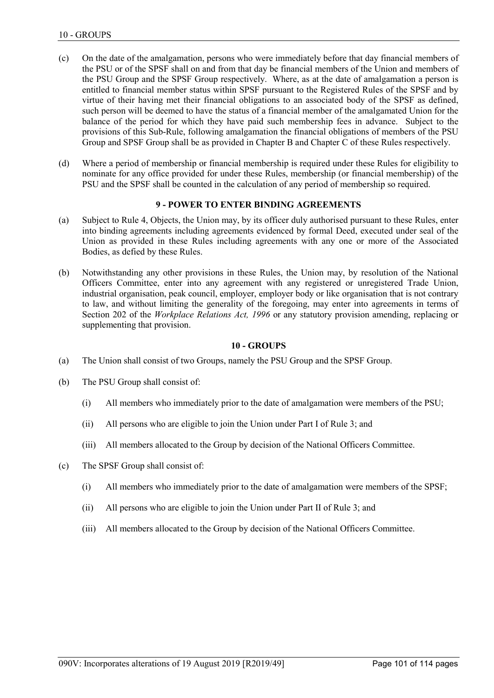- (c) On the date of the amalgamation, persons who were immediately before that day financial members of the PSU or of the SPSF shall on and from that day be financial members of the Union and members of the PSU Group and the SPSF Group respectively. Where, as at the date of amalgamation a person is entitled to financial member status within SPSF pursuant to the Registered Rules of the SPSF and by virtue of their having met their financial obligations to an associated body of the SPSF as defined, such person will be deemed to have the status of a financial member of the amalgamated Union for the balance of the period for which they have paid such membership fees in advance. Subject to the provisions of this Sub-Rule, following amalgamation the financial obligations of members of the PSU Group and SPSF Group shall be as provided in Chapter B and Chapter C of these Rules respectively.
- (d) Where a period of membership or financial membership is required under these Rules for eligibility to nominate for any office provided for under these Rules, membership (or financial membership) of the PSU and the SPSF shall be counted in the calculation of any period of membership so required.

# **9 - POWER TO ENTER BINDING AGREEMENTS**

- (a) Subject to Rule 4, Objects, the Union may, by its officer duly authorised pursuant to these Rules, enter into binding agreements including agreements evidenced by formal Deed, executed under seal of the Union as provided in these Rules including agreements with any one or more of the Associated Bodies, as defied by these Rules.
- (b) Notwithstanding any other provisions in these Rules, the Union may, by resolution of the National Officers Committee, enter into any agreement with any registered or unregistered Trade Union, industrial organisation, peak council, employer, employer body or like organisation that is not contrary to law, and without limiting the generality of the foregoing, may enter into agreements in terms of Section 202 of the *Workplace Relations Act, 1996* or any statutory provision amending, replacing or supplementing that provision.

### **10 - GROUPS**

- (a) The Union shall consist of two Groups, namely the PSU Group and the SPSF Group.
- (b) The PSU Group shall consist of:
	- (i) All members who immediately prior to the date of amalgamation were members of the PSU;
	- (ii) All persons who are eligible to join the Union under Part I of Rule 3; and
	- (iii) All members allocated to the Group by decision of the National Officers Committee.
- (c) The SPSF Group shall consist of:
	- (i) All members who immediately prior to the date of amalgamation were members of the SPSF;
	- (ii) All persons who are eligible to join the Union under Part II of Rule 3; and
	- (iii) All members allocated to the Group by decision of the National Officers Committee.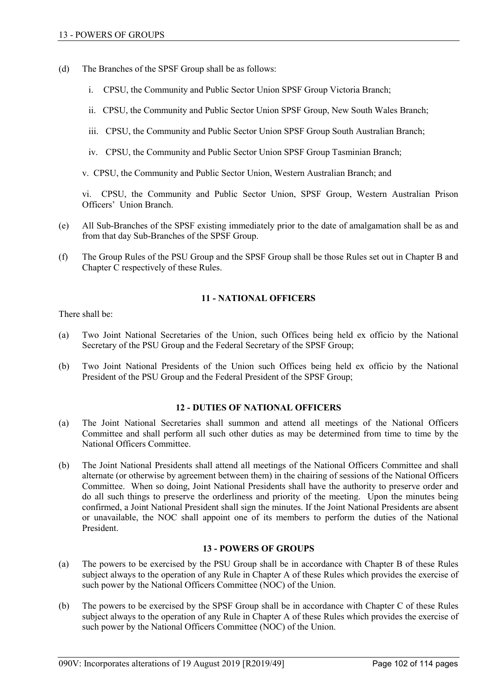- (d) The Branches of the SPSF Group shall be as follows:
	- i. CPSU, the Community and Public Sector Union SPSF Group Victoria Branch;
	- ii. CPSU, the Community and Public Sector Union SPSF Group, New South Wales Branch;
	- iii. CPSU, the Community and Public Sector Union SPSF Group South Australian Branch;
	- iv. CPSU, the Community and Public Sector Union SPSF Group Tasminian Branch;
	- v. CPSU, the Community and Public Sector Union, Western Australian Branch; and

vi. CPSU, the Community and Public Sector Union, SPSF Group, Western Australian Prison Officers' Union Branch.

- (e) All Sub-Branches of the SPSF existing immediately prior to the date of amalgamation shall be as and from that day Sub-Branches of the SPSF Group.
- (f) The Group Rules of the PSU Group and the SPSF Group shall be those Rules set out in Chapter B and Chapter C respectively of these Rules.

## **11 - NATIONAL OFFICERS**

There shall be:

- (a) Two Joint National Secretaries of the Union, such Offices being held ex officio by the National Secretary of the PSU Group and the Federal Secretary of the SPSF Group;
- (b) Two Joint National Presidents of the Union such Offices being held ex officio by the National President of the PSU Group and the Federal President of the SPSF Group;

## **12 - DUTIES OF NATIONAL OFFICERS**

- (a) The Joint National Secretaries shall summon and attend all meetings of the National Officers Committee and shall perform all such other duties as may be determined from time to time by the National Officers Committee.
- (b) The Joint National Presidents shall attend all meetings of the National Officers Committee and shall alternate (or otherwise by agreement between them) in the chairing of sessions of the National Officers Committee. When so doing, Joint National Presidents shall have the authority to preserve order and do all such things to preserve the orderliness and priority of the meeting. Upon the minutes being confirmed, a Joint National President shall sign the minutes. If the Joint National Presidents are absent or unavailable, the NOC shall appoint one of its members to perform the duties of the National President.

## **13 - POWERS OF GROUPS**

- (a) The powers to be exercised by the PSU Group shall be in accordance with Chapter B of these Rules subject always to the operation of any Rule in Chapter A of these Rules which provides the exercise of such power by the National Officers Committee (NOC) of the Union.
- (b) The powers to be exercised by the SPSF Group shall be in accordance with Chapter C of these Rules subject always to the operation of any Rule in Chapter A of these Rules which provides the exercise of such power by the National Officers Committee (NOC) of the Union.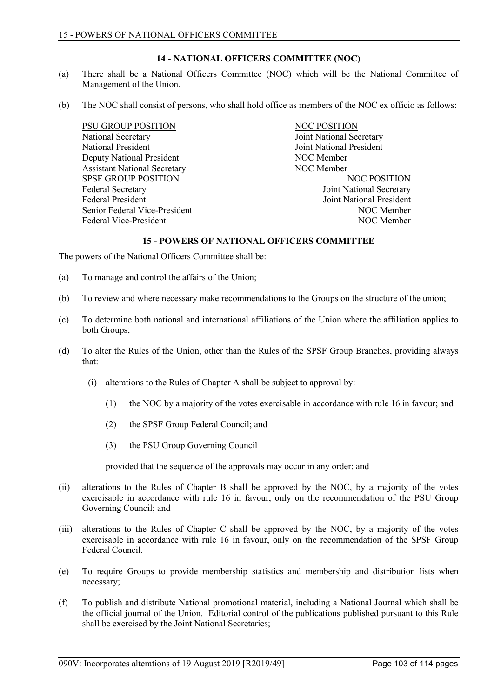# **14 - NATIONAL OFFICERS COMMITTEE (NOC)**

- (a) There shall be a National Officers Committee (NOC) which will be the National Committee of Management of the Union.
- (b) The NOC shall consist of persons, who shall hold office as members of the NOC ex officio as follows:

PSU GROUP POSITION NOC POSITION National Secretary Joint National Secretary National President Joint National President Deputy National President NOC Member Assistant National Secretary NOC Member SPSF GROUP POSITION<br>
Federal Secretary 
Secretary

State 
State 
Ioint National Secretary

State 
Note 
Note 
Note 
Note 
Note 
Note 
Note 
Note 
Note 
Note 
Note 
Note 
Note 
Note 
Note 
Note 
Note 
Note 
Note 
Note 
Note Federal President Joint National President Senior Federal Vice-President NOC Member Federal Vice-President NOC Member

Joint National Secretary

## **15 - POWERS OF NATIONAL OFFICERS COMMITTEE**

The powers of the National Officers Committee shall be:

- (a) To manage and control the affairs of the Union;
- (b) To review and where necessary make recommendations to the Groups on the structure of the union;
- (c) To determine both national and international affiliations of the Union where the affiliation applies to both Groups;
- (d) To alter the Rules of the Union, other than the Rules of the SPSF Group Branches, providing always that:
	- (i) alterations to the Rules of Chapter A shall be subject to approval by:
		- (1) the NOC by a majority of the votes exercisable in accordance with rule 16 in favour; and
		- (2) the SPSF Group Federal Council; and
		- (3) the PSU Group Governing Council

provided that the sequence of the approvals may occur in any order; and

- (ii) alterations to the Rules of Chapter B shall be approved by the NOC, by a majority of the votes exercisable in accordance with rule 16 in favour, only on the recommendation of the PSU Group Governing Council; and
- (iii) alterations to the Rules of Chapter C shall be approved by the NOC, by a majority of the votes exercisable in accordance with rule 16 in favour, only on the recommendation of the SPSF Group Federal Council.
- (e) To require Groups to provide membership statistics and membership and distribution lists when necessary;
- (f) To publish and distribute National promotional material, including a National Journal which shall be the official journal of the Union. Editorial control of the publications published pursuant to this Rule shall be exercised by the Joint National Secretaries;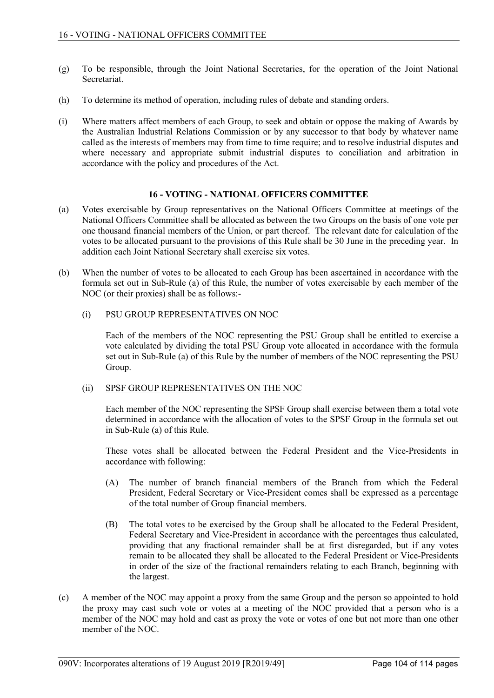- (g) To be responsible, through the Joint National Secretaries, for the operation of the Joint National Secretariat.
- (h) To determine its method of operation, including rules of debate and standing orders.
- (i) Where matters affect members of each Group, to seek and obtain or oppose the making of Awards by the Australian Industrial Relations Commission or by any successor to that body by whatever name called as the interests of members may from time to time require; and to resolve industrial disputes and where necessary and appropriate submit industrial disputes to conciliation and arbitration in accordance with the policy and procedures of the Act.

## **16 - VOTING - NATIONAL OFFICERS COMMITTEE**

- (a) Votes exercisable by Group representatives on the National Officers Committee at meetings of the National Officers Committee shall be allocated as between the two Groups on the basis of one vote per one thousand financial members of the Union, or part thereof. The relevant date for calculation of the votes to be allocated pursuant to the provisions of this Rule shall be 30 June in the preceding year. In addition each Joint National Secretary shall exercise six votes.
- (b) When the number of votes to be allocated to each Group has been ascertained in accordance with the formula set out in Sub-Rule (a) of this Rule, the number of votes exercisable by each member of the NOC (or their proxies) shall be as follows:-

## (i) PSU GROUP REPRESENTATIVES ON NOC

Each of the members of the NOC representing the PSU Group shall be entitled to exercise a vote calculated by dividing the total PSU Group vote allocated in accordance with the formula set out in Sub-Rule (a) of this Rule by the number of members of the NOC representing the PSU Group.

## (ii) SPSF GROUP REPRESENTATIVES ON THE NOC

Each member of the NOC representing the SPSF Group shall exercise between them a total vote determined in accordance with the allocation of votes to the SPSF Group in the formula set out in Sub-Rule (a) of this Rule.

These votes shall be allocated between the Federal President and the Vice-Presidents in accordance with following:

- (A) The number of branch financial members of the Branch from which the Federal President, Federal Secretary or Vice-President comes shall be expressed as a percentage of the total number of Group financial members.
- (B) The total votes to be exercised by the Group shall be allocated to the Federal President, Federal Secretary and Vice-President in accordance with the percentages thus calculated, providing that any fractional remainder shall be at first disregarded, but if any votes remain to be allocated they shall be allocated to the Federal President or Vice-Presidents in order of the size of the fractional remainders relating to each Branch, beginning with the largest.
- (c) A member of the NOC may appoint a proxy from the same Group and the person so appointed to hold the proxy may cast such vote or votes at a meeting of the NOC provided that a person who is a member of the NOC may hold and cast as proxy the vote or votes of one but not more than one other member of the NOC.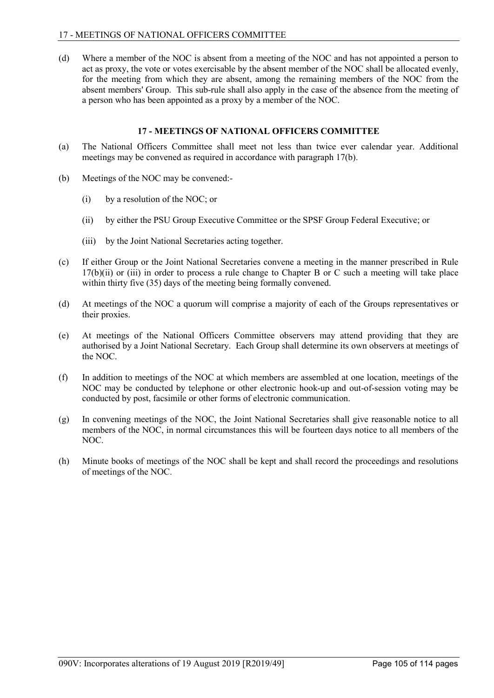(d) Where a member of the NOC is absent from a meeting of the NOC and has not appointed a person to act as proxy, the vote or votes exercisable by the absent member of the NOC shall be allocated evenly, for the meeting from which they are absent, among the remaining members of the NOC from the absent members' Group. This sub-rule shall also apply in the case of the absence from the meeting of a person who has been appointed as a proxy by a member of the NOC.

# **17 - MEETINGS OF NATIONAL OFFICERS COMMITTEE**

- (a) The National Officers Committee shall meet not less than twice ever calendar year. Additional meetings may be convened as required in accordance with paragraph 17(b).
- (b) Meetings of the NOC may be convened:-
	- (i) by a resolution of the NOC; or
	- (ii) by either the PSU Group Executive Committee or the SPSF Group Federal Executive; or
	- (iii) by the Joint National Secretaries acting together.
- (c) If either Group or the Joint National Secretaries convene a meeting in the manner prescribed in Rule  $17(b)(ii)$  or (iii) in order to process a rule change to Chapter B or C such a meeting will take place within thirty five (35) days of the meeting being formally convened.
- (d) At meetings of the NOC a quorum will comprise a majority of each of the Groups representatives or their proxies.
- (e) At meetings of the National Officers Committee observers may attend providing that they are authorised by a Joint National Secretary. Each Group shall determine its own observers at meetings of the NOC.
- (f) In addition to meetings of the NOC at which members are assembled at one location, meetings of the NOC may be conducted by telephone or other electronic hook-up and out-of-session voting may be conducted by post, facsimile or other forms of electronic communication.
- (g) In convening meetings of the NOC, the Joint National Secretaries shall give reasonable notice to all members of the NOC, in normal circumstances this will be fourteen days notice to all members of the NOC.
- (h) Minute books of meetings of the NOC shall be kept and shall record the proceedings and resolutions of meetings of the NOC.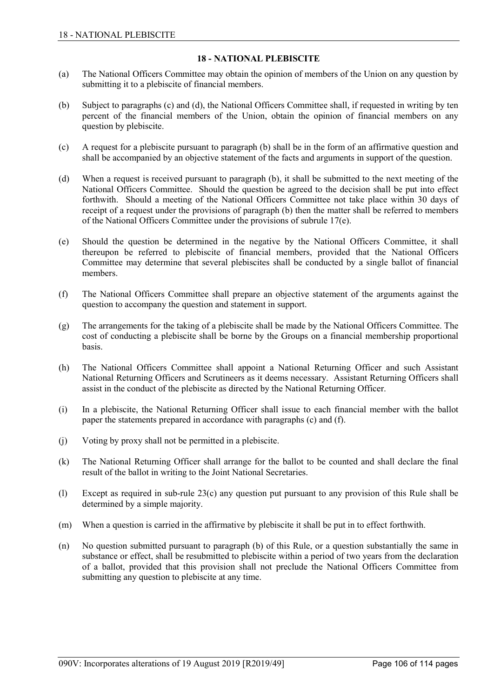# **18 - NATIONAL PLEBISCITE**

- (a) The National Officers Committee may obtain the opinion of members of the Union on any question by submitting it to a plebiscite of financial members.
- (b) Subject to paragraphs (c) and (d), the National Officers Committee shall, if requested in writing by ten percent of the financial members of the Union, obtain the opinion of financial members on any question by plebiscite.
- (c) A request for a plebiscite pursuant to paragraph (b) shall be in the form of an affirmative question and shall be accompanied by an objective statement of the facts and arguments in support of the question.
- (d) When a request is received pursuant to paragraph (b), it shall be submitted to the next meeting of the National Officers Committee. Should the question be agreed to the decision shall be put into effect forthwith. Should a meeting of the National Officers Committee not take place within 30 days of receipt of a request under the provisions of paragraph (b) then the matter shall be referred to members of the National Officers Committee under the provisions of subrule 17(e).
- (e) Should the question be determined in the negative by the National Officers Committee, it shall thereupon be referred to plebiscite of financial members, provided that the National Officers Committee may determine that several plebiscites shall be conducted by a single ballot of financial members.
- (f) The National Officers Committee shall prepare an objective statement of the arguments against the question to accompany the question and statement in support.
- (g) The arrangements for the taking of a plebiscite shall be made by the National Officers Committee. The cost of conducting a plebiscite shall be borne by the Groups on a financial membership proportional basis.
- (h) The National Officers Committee shall appoint a National Returning Officer and such Assistant National Returning Officers and Scrutineers as it deems necessary. Assistant Returning Officers shall assist in the conduct of the plebiscite as directed by the National Returning Officer.
- (i) In a plebiscite, the National Returning Officer shall issue to each financial member with the ballot paper the statements prepared in accordance with paragraphs (c) and (f).
- (j) Voting by proxy shall not be permitted in a plebiscite.
- (k) The National Returning Officer shall arrange for the ballot to be counted and shall declare the final result of the ballot in writing to the Joint National Secretaries.
- (l) Except as required in sub-rule 23(c) any question put pursuant to any provision of this Rule shall be determined by a simple majority.
- (m) When a question is carried in the affirmative by plebiscite it shall be put in to effect forthwith.
- (n) No question submitted pursuant to paragraph (b) of this Rule, or a question substantially the same in substance or effect, shall be resubmitted to plebiscite within a period of two years from the declaration of a ballot, provided that this provision shall not preclude the National Officers Committee from submitting any question to plebiscite at any time.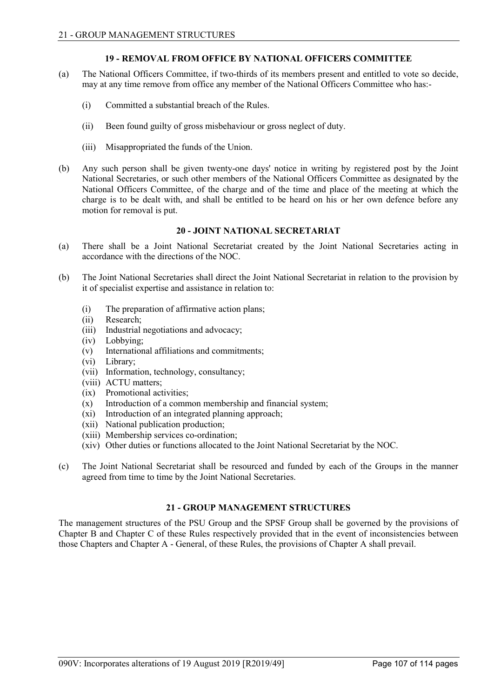# **19 - REMOVAL FROM OFFICE BY NATIONAL OFFICERS COMMITTEE**

- (a) The National Officers Committee, if two-thirds of its members present and entitled to vote so decide, may at any time remove from office any member of the National Officers Committee who has:-
	- (i) Committed a substantial breach of the Rules.
	- (ii) Been found guilty of gross misbehaviour or gross neglect of duty.
	- (iii) Misappropriated the funds of the Union.
- (b) Any such person shall be given twenty-one days' notice in writing by registered post by the Joint National Secretaries, or such other members of the National Officers Committee as designated by the National Officers Committee, of the charge and of the time and place of the meeting at which the charge is to be dealt with, and shall be entitled to be heard on his or her own defence before any motion for removal is put.

## **20 - JOINT NATIONAL SECRETARIAT**

- (a) There shall be a Joint National Secretariat created by the Joint National Secretaries acting in accordance with the directions of the NOC.
- (b) The Joint National Secretaries shall direct the Joint National Secretariat in relation to the provision by it of specialist expertise and assistance in relation to:
	- (i) The preparation of affirmative action plans;
	- (ii) Research;
	- (iii) Industrial negotiations and advocacy;
	- (iv) Lobbying;
	- (v) International affiliations and commitments;
	- (vi) Library;
	- (vii) Information, technology, consultancy;
	- (viii) ACTU matters;
	- (ix) Promotional activities;
	- (x) Introduction of a common membership and financial system;
	- (xi) Introduction of an integrated planning approach;
	- (xii) National publication production;
	- (xiii) Membership services co-ordination;
	- (xiv) Other duties or functions allocated to the Joint National Secretariat by the NOC.
- (c) The Joint National Secretariat shall be resourced and funded by each of the Groups in the manner agreed from time to time by the Joint National Secretaries.

# **21 - GROUP MANAGEMENT STRUCTURES**

The management structures of the PSU Group and the SPSF Group shall be governed by the provisions of Chapter B and Chapter C of these Rules respectively provided that in the event of inconsistencies between those Chapters and Chapter A - General, of these Rules, the provisions of Chapter A shall prevail.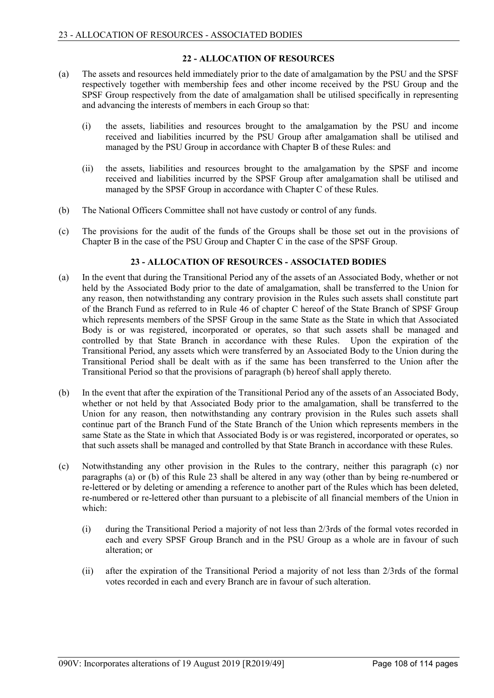# **22 - ALLOCATION OF RESOURCES**

- (a) The assets and resources held immediately prior to the date of amalgamation by the PSU and the SPSF respectively together with membership fees and other income received by the PSU Group and the SPSF Group respectively from the date of amalgamation shall be utilised specifically in representing and advancing the interests of members in each Group so that:
	- (i) the assets, liabilities and resources brought to the amalgamation by the PSU and income received and liabilities incurred by the PSU Group after amalgamation shall be utilised and managed by the PSU Group in accordance with Chapter B of these Rules: and
	- (ii) the assets, liabilities and resources brought to the amalgamation by the SPSF and income received and liabilities incurred by the SPSF Group after amalgamation shall be utilised and managed by the SPSF Group in accordance with Chapter C of these Rules.
- (b) The National Officers Committee shall not have custody or control of any funds.
- (c) The provisions for the audit of the funds of the Groups shall be those set out in the provisions of Chapter B in the case of the PSU Group and Chapter C in the case of the SPSF Group.

## **23 - ALLOCATION OF RESOURCES - ASSOCIATED BODIES**

- (a) In the event that during the Transitional Period any of the assets of an Associated Body, whether or not held by the Associated Body prior to the date of amalgamation, shall be transferred to the Union for any reason, then notwithstanding any contrary provision in the Rules such assets shall constitute part of the Branch Fund as referred to in Rule 46 of chapter C hereof of the State Branch of SPSF Group which represents members of the SPSF Group in the same State as the State in which that Associated Body is or was registered, incorporated or operates, so that such assets shall be managed and controlled by that State Branch in accordance with these Rules. Upon the expiration of the Transitional Period, any assets which were transferred by an Associated Body to the Union during the Transitional Period shall be dealt with as if the same has been transferred to the Union after the Transitional Period so that the provisions of paragraph (b) hereof shall apply thereto.
- (b) In the event that after the expiration of the Transitional Period any of the assets of an Associated Body, whether or not held by that Associated Body prior to the amalgamation, shall be transferred to the Union for any reason, then notwithstanding any contrary provision in the Rules such assets shall continue part of the Branch Fund of the State Branch of the Union which represents members in the same State as the State in which that Associated Body is or was registered, incorporated or operates, so that such assets shall be managed and controlled by that State Branch in accordance with these Rules.
- (c) Notwithstanding any other provision in the Rules to the contrary, neither this paragraph (c) nor paragraphs (a) or (b) of this Rule 23 shall be altered in any way (other than by being re-numbered or re-lettered or by deleting or amending a reference to another part of the Rules which has been deleted, re-numbered or re-lettered other than pursuant to a plebiscite of all financial members of the Union in which:
	- (i) during the Transitional Period a majority of not less than 2/3rds of the formal votes recorded in each and every SPSF Group Branch and in the PSU Group as a whole are in favour of such alteration; or
	- (ii) after the expiration of the Transitional Period a majority of not less than 2/3rds of the formal votes recorded in each and every Branch are in favour of such alteration.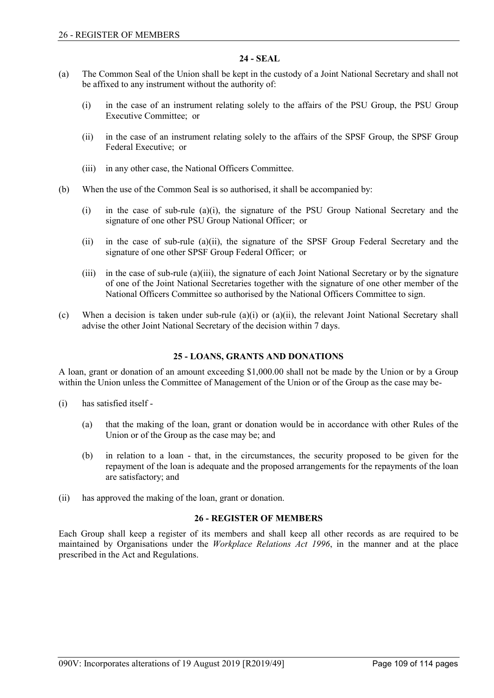### **24 - SEAL**

- (a) The Common Seal of the Union shall be kept in the custody of a Joint National Secretary and shall not be affixed to any instrument without the authority of:
	- (i) in the case of an instrument relating solely to the affairs of the PSU Group, the PSU Group Executive Committee; or
	- (ii) in the case of an instrument relating solely to the affairs of the SPSF Group, the SPSF Group Federal Executive; or
	- (iii) in any other case, the National Officers Committee.
- (b) When the use of the Common Seal is so authorised, it shall be accompanied by:
	- (i) in the case of sub-rule (a)(i), the signature of the PSU Group National Secretary and the signature of one other PSU Group National Officer; or
	- (ii) in the case of sub-rule (a)(ii), the signature of the SPSF Group Federal Secretary and the signature of one other SPSF Group Federal Officer; or
	- (iii) in the case of sub-rule (a)(iii), the signature of each Joint National Secretary or by the signature of one of the Joint National Secretaries together with the signature of one other member of the National Officers Committee so authorised by the National Officers Committee to sign.
- (c) When a decision is taken under sub-rule (a)(i) or (a)(ii), the relevant Joint National Secretary shall advise the other Joint National Secretary of the decision within 7 days.

### **25 - LOANS, GRANTS AND DONATIONS**

A loan, grant or donation of an amount exceeding \$1,000.00 shall not be made by the Union or by a Group within the Union unless the Committee of Management of the Union or of the Group as the case may be-

- (i) has satisfied itself
	- (a) that the making of the loan, grant or donation would be in accordance with other Rules of the Union or of the Group as the case may be; and
	- (b) in relation to a loan that, in the circumstances, the security proposed to be given for the repayment of the loan is adequate and the proposed arrangements for the repayments of the loan are satisfactory; and
- (ii) has approved the making of the loan, grant or donation.

#### **26 - REGISTER OF MEMBERS**

Each Group shall keep a register of its members and shall keep all other records as are required to be maintained by Organisations under the *Workplace Relations Act 1996*, in the manner and at the place prescribed in the Act and Regulations.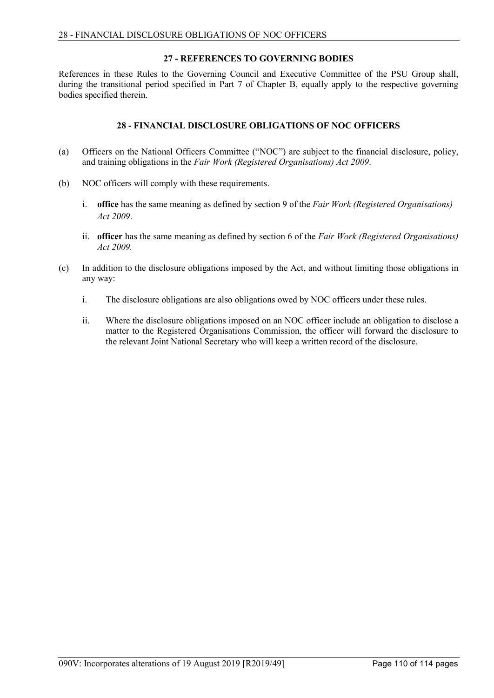### **27 - REFERENCES TO GOVERNING BODIES**

References in these Rules to the Governing Council and Executive Committee of the PSU Group shall, during the transitional period specified in Part 7 of Chapter B, equally apply to the respective governing bodies specified therein.

## **28 - FINANCIAL DISCLOSURE OBLIGATIONS OF NOC OFFICERS**

- (a) Officers on the National Officers Committee ("NOC") are subject to the financial disclosure, policy, and training obligations in the *Fair Work (Registered Organisations) Act 2009*.
- (b) NOC officers will comply with these requirements.
	- i. **office** has the same meaning as defined by section 9 of the *Fair Work (Registered Organisations) Act 2009*.
	- ii. **officer** has the same meaning as defined by section 6 of the *Fair Work (Registered Organisations) Act 2009.*
- (c) In addition to the disclosure obligations imposed by the Act, and without limiting those obligations in any way:
	- i. The disclosure obligations are also obligations owed by NOC officers under these rules.
	- ii. Where the disclosure obligations imposed on an NOC officer include an obligation to disclose a matter to the Registered Organisations Commission, the officer will forward the disclosure to the relevant Joint National Secretary who will keep a written record of the disclosure.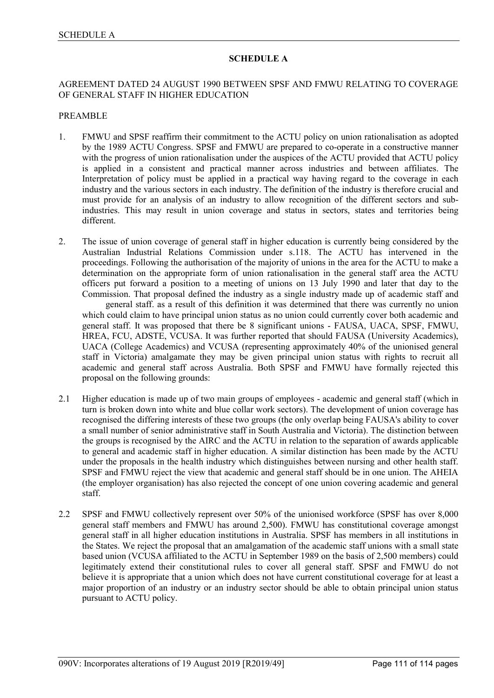## **SCHEDULE A**

## AGREEMENT DATED 24 AUGUST 1990 BETWEEN SPSF AND FMWU RELATING TO COVERAGE OF GENERAL STAFF IN HIGHER EDUCATION

#### PREAMBLE

- 1. FMWU and SPSF reaffirm their commitment to the ACTU policy on union rationalisation as adopted by the 1989 ACTU Congress. SPSF and FMWU are prepared to co-operate in a constructive manner with the progress of union rationalisation under the auspices of the ACTU provided that ACTU policy is applied in a consistent and practical manner across industries and between affiliates. The Interpretation of policy must be applied in a practical way having regard to the coverage in each industry and the various sectors in each industry. The definition of the industry is therefore crucial and must provide for an analysis of an industry to allow recognition of the different sectors and subindustries. This may result in union coverage and status in sectors, states and territories being different.
- 2. The issue of union coverage of general staff in higher education is currently being considered by the Australian Industrial Relations Commission under s.118. The ACTU has intervened in the proceedings. Following the authorisation of the majority of unions in the area for the ACTU to make a determination on the appropriate form of union rationalisation in the general staff area the ACTU officers put forward a position to a meeting of unions on 13 July 1990 and later that day to the Commission. That proposal defined the industry as a single industry made up of academic staff and general staff. as a result of this definition it was determined that there was currently no union which could claim to have principal union status as no union could currently cover both academic and general staff. It was proposed that there be 8 significant unions - FAUSA, UACA, SPSF, FMWU, HREA, FCU, ADSTE, VCUSA. It was further reported that should FAUSA (University Academics), UACA (College Academics) and VCUSA (representing approximately 40% of the unionised general staff in Victoria) amalgamate they may be given principal union status with rights to recruit all academic and general staff across Australia. Both SPSF and FMWU have formally rejected this proposal on the following grounds:
- 2.1 Higher education is made up of two main groups of employees academic and general staff (which in turn is broken down into white and blue collar work sectors). The development of union coverage has recognised the differing interests of these two groups (the only overlap being FAUSA's ability to cover a small number of senior administrative staff in South Australia and Victoria). The distinction between the groups is recognised by the AIRC and the ACTU in relation to the separation of awards applicable to general and academic staff in higher education. A similar distinction has been made by the ACTU under the proposals in the health industry which distinguishes between nursing and other health staff. SPSF and FMWU reject the view that academic and general staff should be in one union. The AHEIA (the employer organisation) has also rejected the concept of one union covering academic and general staff.
- 2.2 SPSF and FMWU collectively represent over 50% of the unionised workforce (SPSF has over 8,000 general staff members and FMWU has around 2,500). FMWU has constitutional coverage amongst general staff in all higher education institutions in Australia. SPSF has members in all institutions in the States. We reject the proposal that an amalgamation of the academic staff unions with a small state based union (VCUSA affiliated to the ACTU in September 1989 on the basis of 2,500 members) could legitimately extend their constitutional rules to cover all general staff. SPSF and FMWU do not believe it is appropriate that a union which does not have current constitutional coverage for at least a major proportion of an industry or an industry sector should be able to obtain principal union status pursuant to ACTU policy.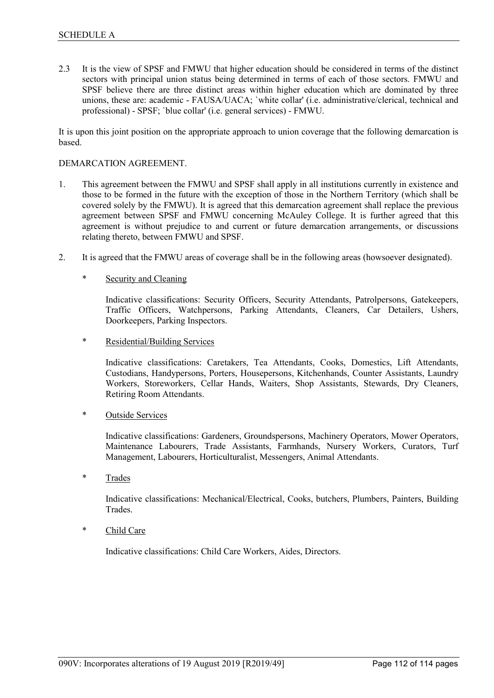2.3 It is the view of SPSF and FMWU that higher education should be considered in terms of the distinct sectors with principal union status being determined in terms of each of those sectors. FMWU and SPSF believe there are three distinct areas within higher education which are dominated by three unions, these are: academic - FAUSA/UACA; `white collar' (i.e. administrative/clerical, technical and professional) - SPSF; `blue collar' (i.e. general services) - FMWU.

It is upon this joint position on the appropriate approach to union coverage that the following demarcation is based.

#### DEMARCATION AGREEMENT.

- 1. This agreement between the FMWU and SPSF shall apply in all institutions currently in existence and those to be formed in the future with the exception of those in the Northern Territory (which shall be covered solely by the FMWU). It is agreed that this demarcation agreement shall replace the previous agreement between SPSF and FMWU concerning McAuley College. It is further agreed that this agreement is without prejudice to and current or future demarcation arrangements, or discussions relating thereto, between FMWU and SPSF.
- 2. It is agreed that the FMWU areas of coverage shall be in the following areas (howsoever designated).

#### Security and Cleaning

Indicative classifications: Security Officers, Security Attendants, Patrolpersons, Gatekeepers, Traffic Officers, Watchpersons, Parking Attendants, Cleaners, Car Detailers, Ushers, Doorkeepers, Parking Inspectors.

Residential/Building Services

Indicative classifications: Caretakers, Tea Attendants, Cooks, Domestics, Lift Attendants, Custodians, Handypersons, Porters, Housepersons, Kitchenhands, Counter Assistants, Laundry Workers, Storeworkers, Cellar Hands, Waiters, Shop Assistants, Stewards, Dry Cleaners, Retiring Room Attendants.

### \* Outside Services

Indicative classifications: Gardeners, Groundspersons, Machinery Operators, Mower Operators, Maintenance Labourers, Trade Assistants, Farmhands, Nursery Workers, Curators, Turf Management, Labourers, Horticulturalist, Messengers, Animal Attendants.

\* Trades

Indicative classifications: Mechanical/Electrical, Cooks, butchers, Plumbers, Painters, Building Trades.

\* Child Care

Indicative classifications: Child Care Workers, Aides, Directors.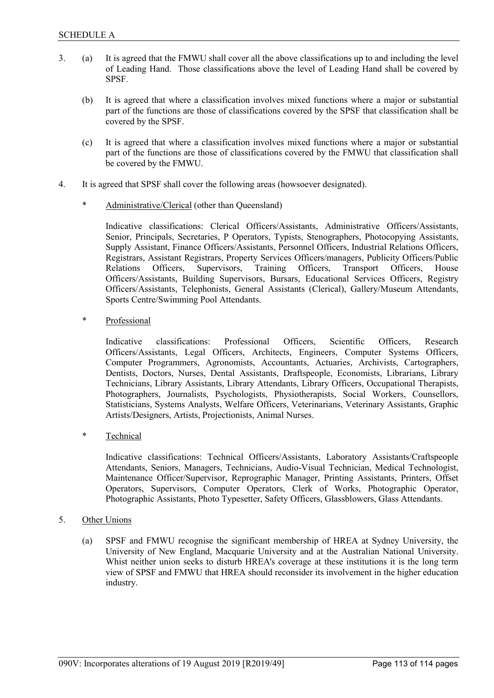- 3. (a) It is agreed that the FMWU shall cover all the above classifications up to and including the level of Leading Hand. Those classifications above the level of Leading Hand shall be covered by SPSF.
	- (b) It is agreed that where a classification involves mixed functions where a major or substantial part of the functions are those of classifications covered by the SPSF that classification shall be covered by the SPSF.
	- (c) It is agreed that where a classification involves mixed functions where a major or substantial part of the functions are those of classifications covered by the FMWU that classification shall be covered by the FMWU.
- 4. It is agreed that SPSF shall cover the following areas (howsoever designated).
	- Administrative/Clerical (other than Queensland)

Indicative classifications: Clerical Officers/Assistants, Administrative Officers/Assistants, Senior, Principals, Secretaries, P Operators, Typists, Stenographers, Photocopying Assistants, Supply Assistant, Finance Officers/Assistants, Personnel Officers, Industrial Relations Officers, Registrars, Assistant Registrars, Property Services Officers/managers, Publicity Officers/Public Relations Officers, Supervisors, Training Officers, Transport Officers, House Officers/Assistants, Building Supervisors, Bursars, Educational Services Officers, Registry Officers/Assistants, Telephonists, General Assistants (Clerical), Gallery/Museum Attendants, Sports Centre/Swimming Pool Attendants.

Professional

Indicative classifications: Professional Officers, Scientific Officers, Research Officers/Assistants, Legal Officers, Architects, Engineers, Computer Systems Officers, Computer Programmers, Agronomists, Accountants, Actuaries, Archivists, Cartographers, Dentists, Doctors, Nurses, Dental Assistants, Draftspeople, Economists, Librarians, Library Technicians, Library Assistants, Library Attendants, Library Officers, Occupational Therapists, Photographers, Journalists, Psychologists, Physiotherapists, Social Workers, Counsellors, Statisticians, Systems Analysts, Welfare Officers, Veterinarians, Veterinary Assistants, Graphic Artists/Designers, Artists, Projectionists, Animal Nurses.

\* Technical

Indicative classifications: Technical Officers/Assistants, Laboratory Assistants/Craftspeople Attendants, Seniors, Managers, Technicians, Audio-Visual Technician, Medical Technologist, Maintenance Officer/Supervisor, Reprographic Manager, Printing Assistants, Printers, Offset Operators, Supervisors, Computer Operators, Clerk of Works, Photographic Operator, Photographic Assistants, Photo Typesetter, Safety Officers, Glassblowers, Glass Attendants.

- 5. Other Unions
	- (a) SPSF and FMWU recognise the significant membership of HREA at Sydney University, the University of New England, Macquarie University and at the Australian National University. Whist neither union seeks to disturb HREA's coverage at these institutions it is the long term view of SPSF and FMWU that HREA should reconsider its involvement in the higher education industry.